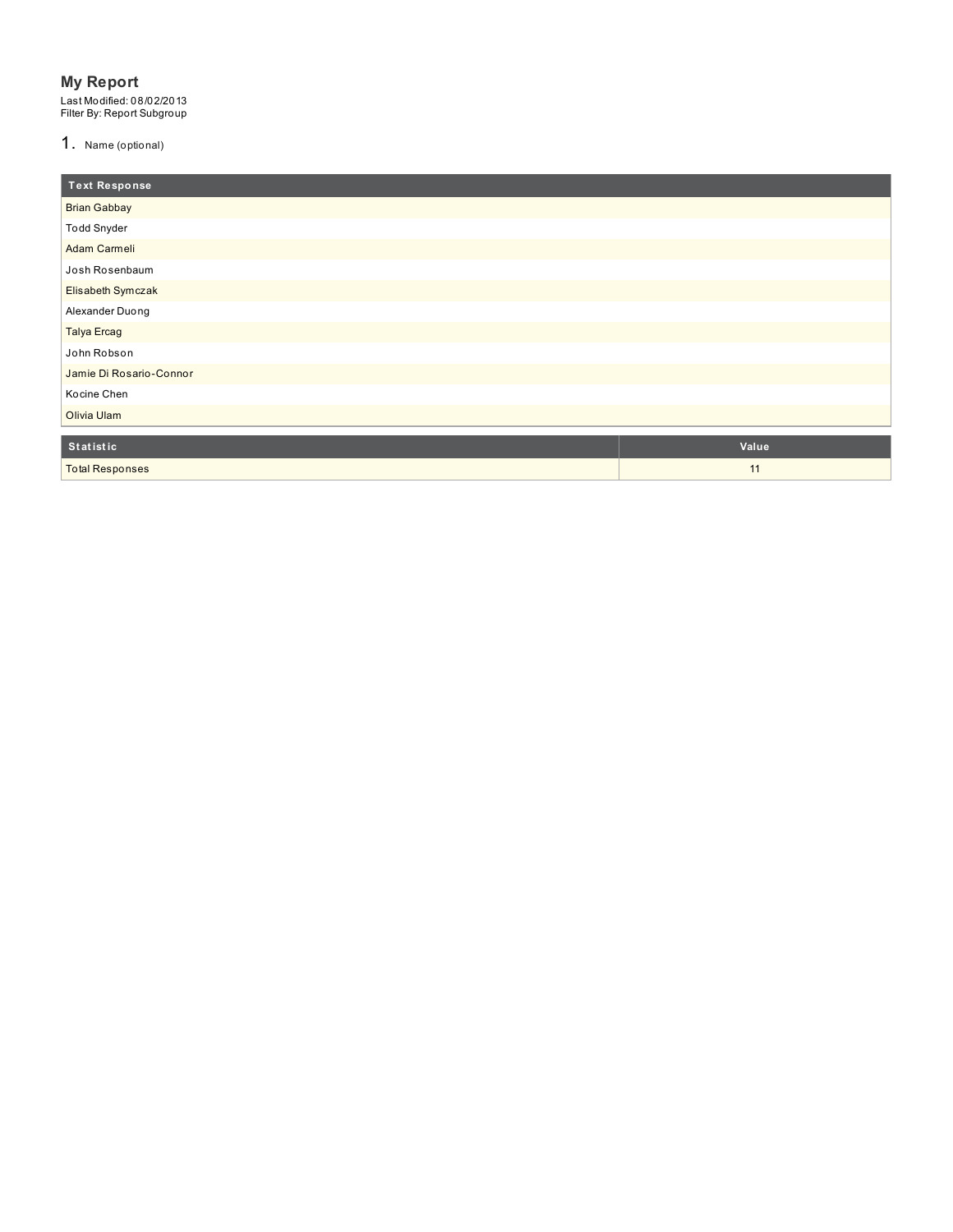### **My Report**

Last Modified: 08/02/2013<br>Filter By: Report Subgroup

1. Name (optional)

| <b>Text Response</b>    |       |
|-------------------------|-------|
| <b>Brian Gabbay</b>     |       |
| <b>Todd Snyder</b>      |       |
| Adam Carmeli            |       |
| Josh Rosenbaum          |       |
| Elisabeth Symczak       |       |
| Alexander Duong         |       |
| <b>Talya Ercag</b>      |       |
| John Robson             |       |
| Jamie Di Rosario-Connor |       |
| Kocine Chen             |       |
| Olivia Ulam             |       |
| Statistic               | Value |
| <b>Total Responses</b>  | 11    |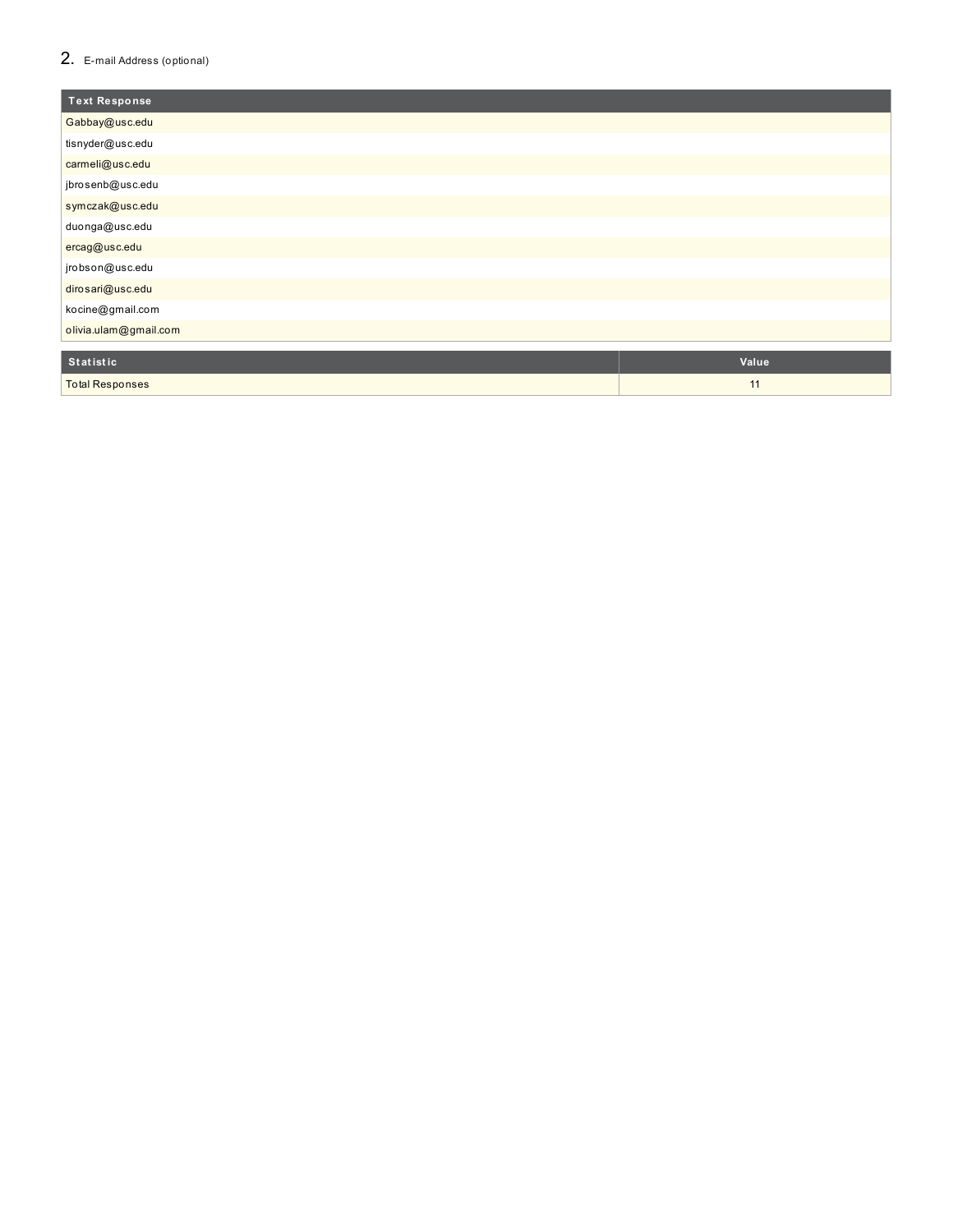### 2. E-mail Address (optional)

| <b>Text Response</b>  |       |
|-----------------------|-------|
| Gabbay@usc.edu        |       |
| tisnyder@usc.edu      |       |
| carmeli@usc.edu       |       |
| jbrosenb@usc.edu      |       |
| symczak@usc.edu       |       |
| duonga@usc.edu        |       |
| ercag@usc.edu         |       |
| jrobson@usc.edu       |       |
| dirosari@usc.edu      |       |
| kocine@gmail.com      |       |
| olivia.ulam@gmail.com |       |
| Cánáináin             | $Val$ |

| Statistic              | <b>Value</b> |
|------------------------|--------------|
| <b>Total Responses</b> |              |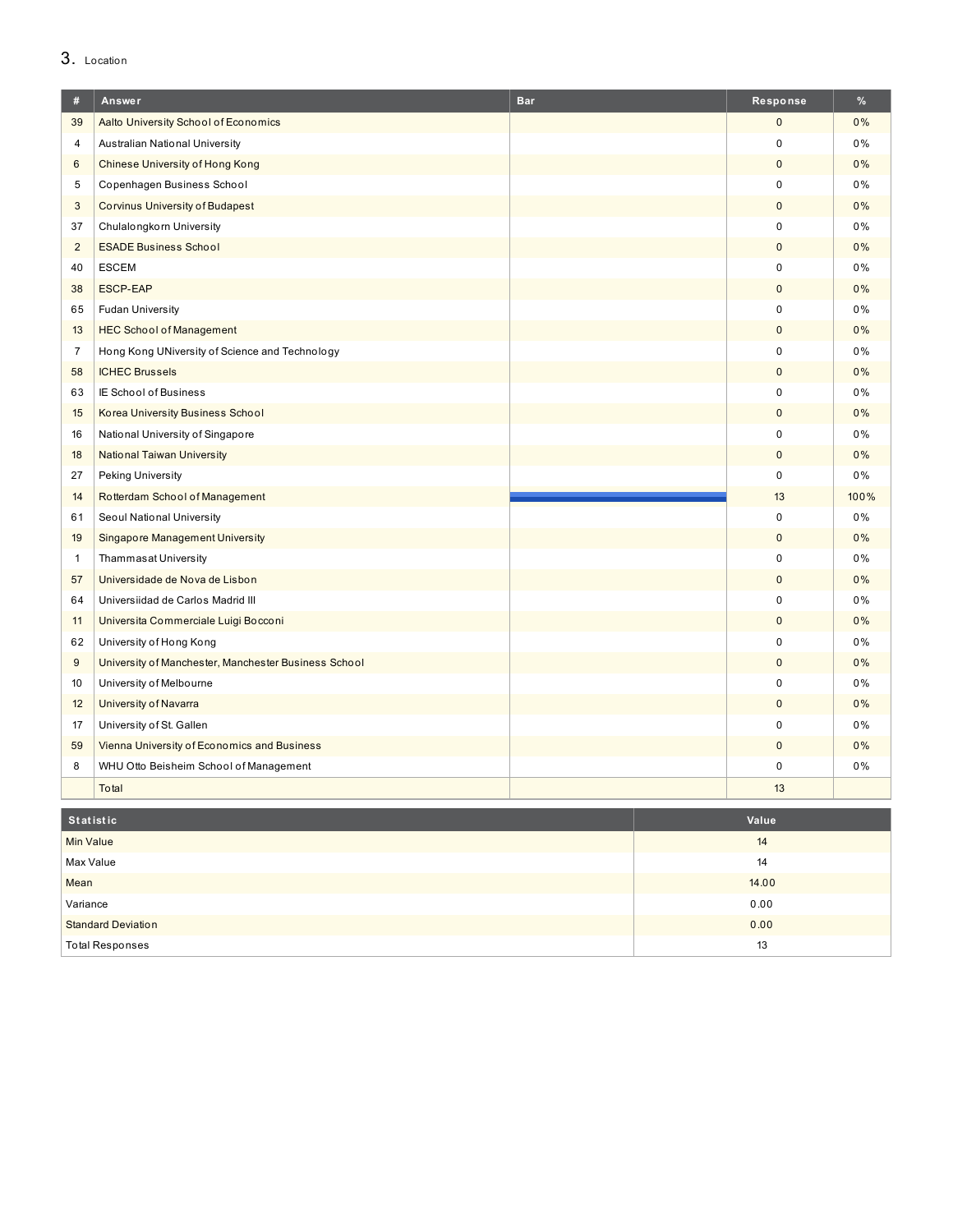# 3. Location

| #              | Answer                                               | <b>Bar</b> | Response     | %    |
|----------------|------------------------------------------------------|------------|--------------|------|
| 39             | Aalto University School of Economics                 |            | $\mathbf 0$  | 0%   |
| $\overline{4}$ | Australian National University                       |            | 0            | 0%   |
| 6              | Chinese University of Hong Kong                      |            | $\pmb{0}$    | 0%   |
| 5              | Copenhagen Business School                           |            | $\Omega$     | 0%   |
| 3              | <b>Corvinus University of Budapest</b>               |            | $\mathbf 0$  | 0%   |
| 37             | Chulalongkorn University                             |            | 0            | 0%   |
| $\overline{2}$ | <b>ESADE Business School</b>                         |            | $\pmb{0}$    | 0%   |
| 40             | <b>ESCEM</b>                                         |            | $\mathbf 0$  | 0%   |
| 38             | <b>ESCP-EAP</b>                                      |            | $\mathbf{0}$ | 0%   |
| 65             | <b>Fudan University</b>                              |            | 0            | 0%   |
| 13             | <b>HEC School of Management</b>                      |            | $\pmb{0}$    | 0%   |
| $\overline{7}$ | Hong Kong UNiversity of Science and Technology       |            | 0            | 0%   |
| 58             | <b>ICHEC Brussels</b>                                |            | $\mathbf 0$  | 0%   |
| 63             | IE School of Business                                |            | 0            | 0%   |
| 15             | <b>Korea University Business School</b>              |            | $\mathbf 0$  | 0%   |
| 16             | National University of Singapore                     |            | $\mathbf 0$  | 0%   |
| 18             | <b>National Taiwan University</b>                    |            | $\mathbf 0$  | 0%   |
| 27             | <b>Peking University</b>                             |            | $\mathbf 0$  | 0%   |
| 14             | Rotterdam School of Management                       |            | 13           | 100% |
| 61             | Seoul National University                            |            | $\mathbf 0$  | 0%   |
| 19             | <b>Singapore Management University</b>               |            | $\mathbf{0}$ | 0%   |
| $\mathbf{1}$   | Thammasat University                                 |            | 0            | 0%   |
| 57             | Universidade de Nova de Lisbon                       |            | $\mathbf 0$  | 0%   |
| 64             | Universiidad de Carlos Madrid III                    |            | $\mathbf 0$  | 0%   |
| 11             | Universita Commerciale Luigi Bocconi                 |            | $\pmb{0}$    | 0%   |
| 62             | University of Hong Kong                              |            | 0            | 0%   |
| 9              | University of Manchester, Manchester Business School |            | $\mathbf 0$  | 0%   |
| 10             | University of Melbourne                              |            | $\Omega$     | 0%   |
| 12             | <b>University of Navarra</b>                         |            | $\pmb{0}$    | 0%   |
| 17             | University of St. Gallen                             |            | 0            | 0%   |
| 59             | Vienna University of Economics and Business          |            | $\mathbf{0}$ | 0%   |
| 8              | WHU Otto Beisheim School of Management               |            | $\mathsf 0$  | 0%   |
|                | Total                                                |            | 13           |      |

| Statistic                 | Value |
|---------------------------|-------|
| <b>Min Value</b>          | 14    |
| Max Value                 | 14    |
| Mean                      | 14.00 |
| Variance                  | 0.00  |
| <b>Standard Deviation</b> | 0.00  |
| <b>Total Responses</b>    | 13    |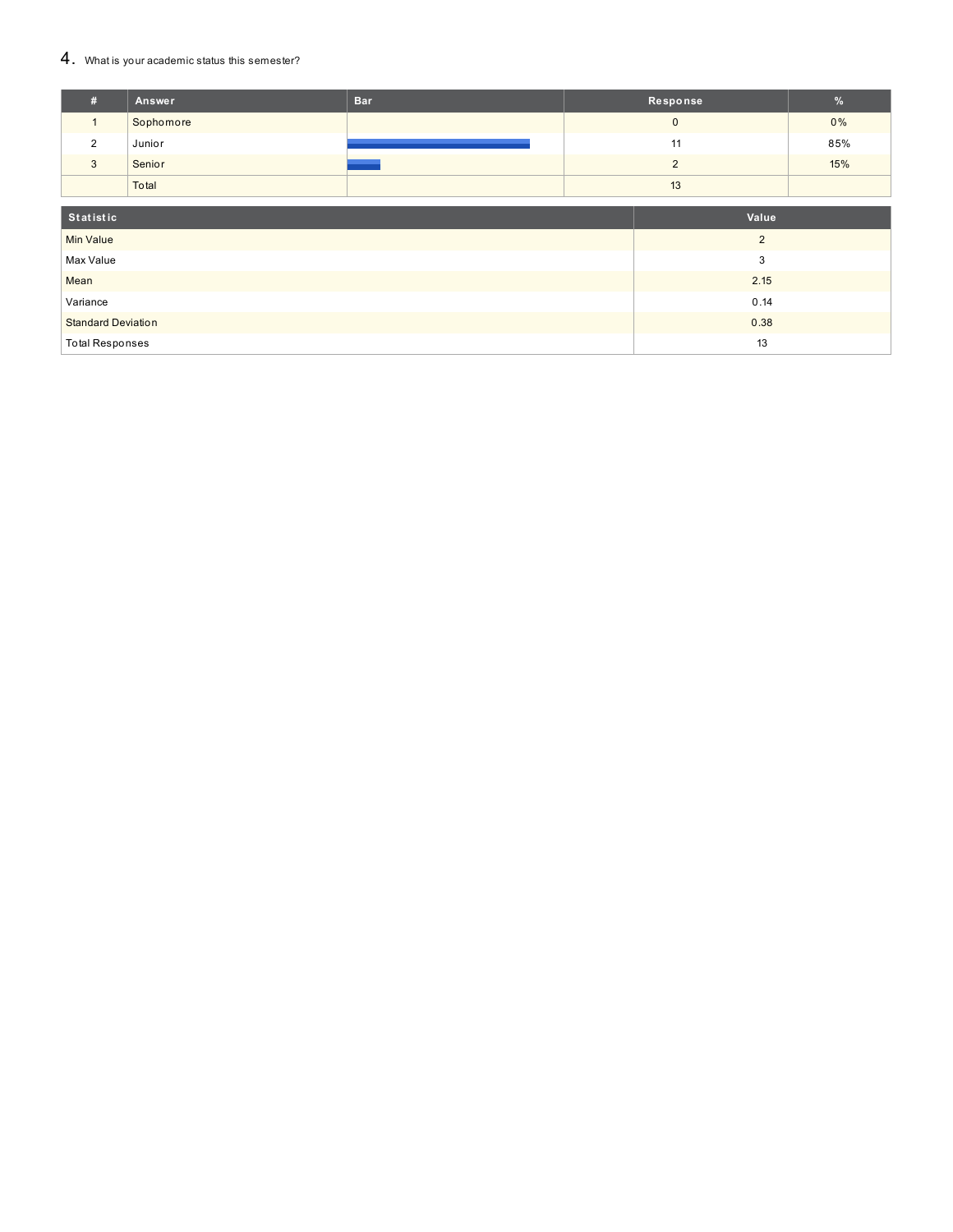### 4. What is your academic status this semester?

| #                         | Answer    | <b>Bar</b> |  | Response       | %                |  |  |
|---------------------------|-----------|------------|--|----------------|------------------|--|--|
| $\mathbf{1}$              | Sophomore |            |  | $\mathbf{0}$   | 0%               |  |  |
| $\overline{2}$            | Junior    |            |  | 11             |                  |  |  |
| $\mathbf{3}$              | Senior    |            |  | $\overline{2}$ |                  |  |  |
|                           | Total     |            |  | 13             |                  |  |  |
| Statistic<br>Value        |           |            |  |                |                  |  |  |
| <b>Min Value</b>          |           |            |  | $\overline{2}$ |                  |  |  |
| Max Value                 |           |            |  | 3              |                  |  |  |
| Mean                      |           | 2.15       |  |                |                  |  |  |
| Variance                  |           |            |  | 0.14           |                  |  |  |
| <b>Standard Deviation</b> |           |            |  | 0.38           | 85%<br>15%<br>13 |  |  |
| <b>Total Responses</b>    |           |            |  |                |                  |  |  |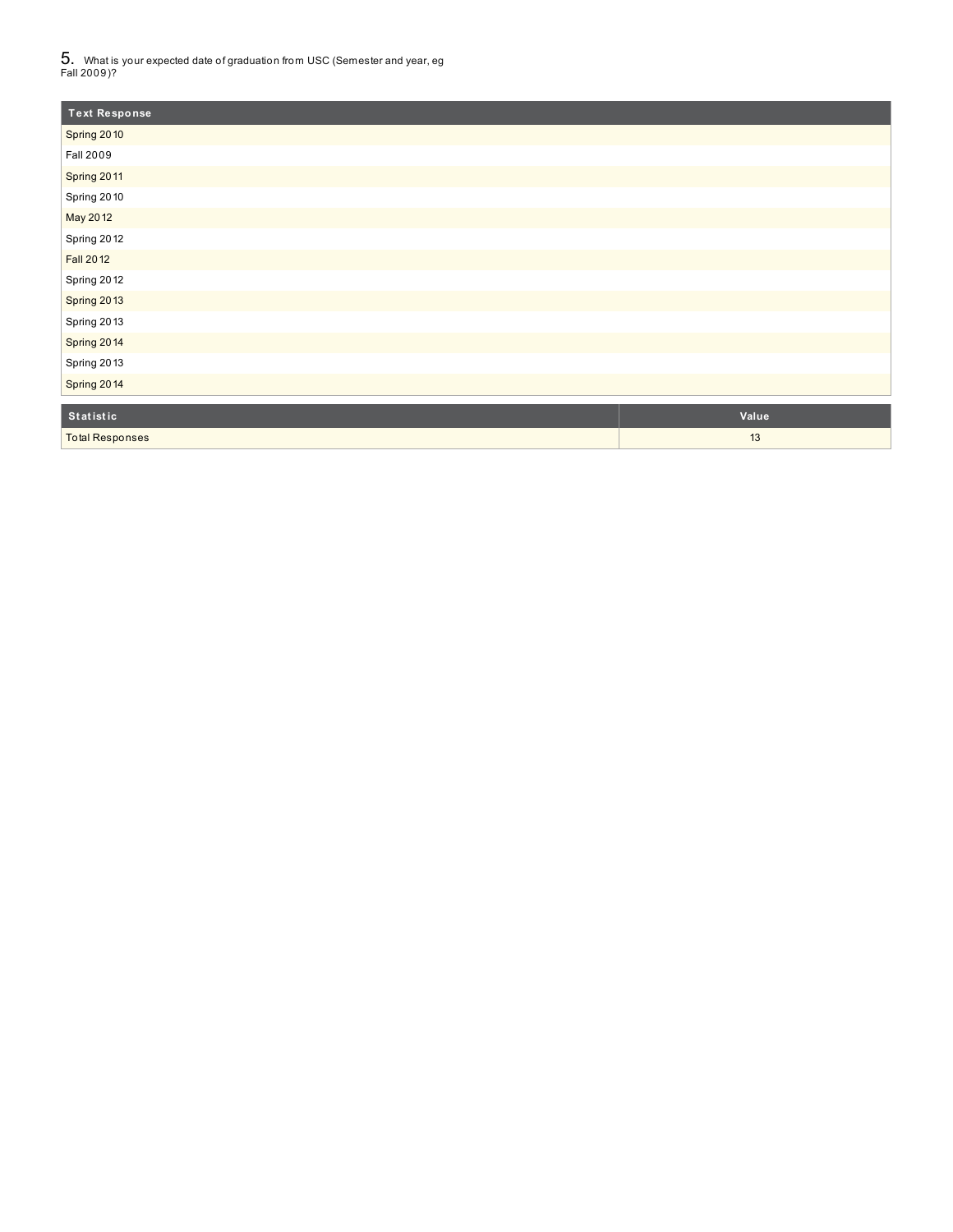$5_\cdot$  What is your expected date of graduation from USC (Semester and year, eg<br>Fall 2009)?

| <b>Text Response</b>   |       |
|------------------------|-------|
| Spring 2010            |       |
| <b>Fall 2009</b>       |       |
| Spring 2011            |       |
| Spring 2010            |       |
| May 2012               |       |
| Spring 2012            |       |
| <b>Fall 2012</b>       |       |
| Spring 2012            |       |
| Spring 2013            |       |
| Spring 2013            |       |
| Spring 2014            |       |
| Spring 2013            |       |
| Spring 2014            |       |
| Statistic              | Value |
| <b>Total Responses</b> | 13    |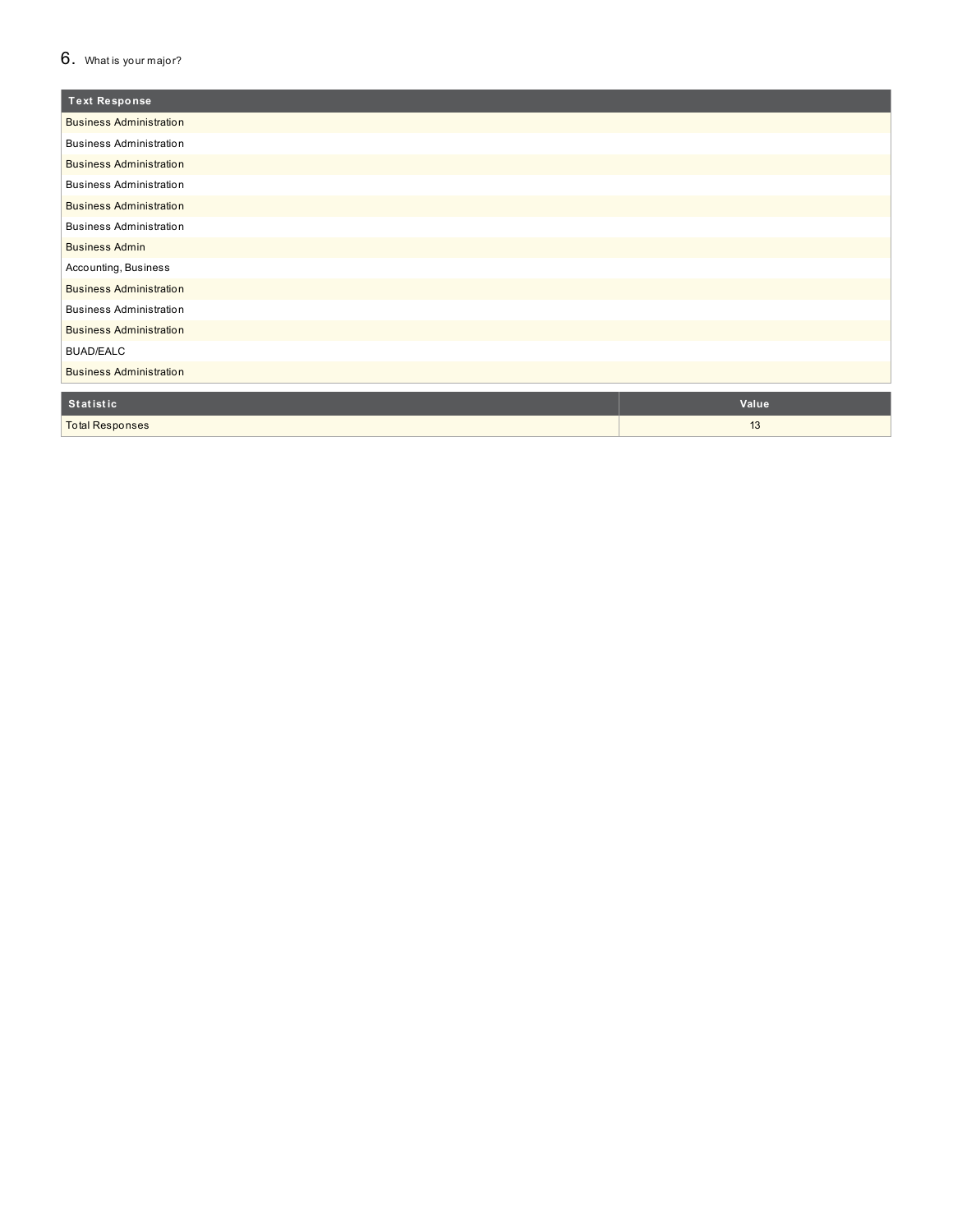### $6.$  What is your major?

| <b>Text Response</b>           |       |
|--------------------------------|-------|
| <b>Business Administration</b> |       |
| <b>Business Administration</b> |       |
| <b>Business Administration</b> |       |
| <b>Business Administration</b> |       |
| <b>Business Administration</b> |       |
| <b>Business Administration</b> |       |
| <b>Business Admin</b>          |       |
| Accounting, Business           |       |
| <b>Business Administration</b> |       |
| <b>Business Administration</b> |       |
| <b>Business Administration</b> |       |
| <b>BUAD/EALC</b>               |       |
| <b>Business Administration</b> |       |
| Statistic                      | Value |
|                                |       |
| <b>Total Responses</b>         | 13    |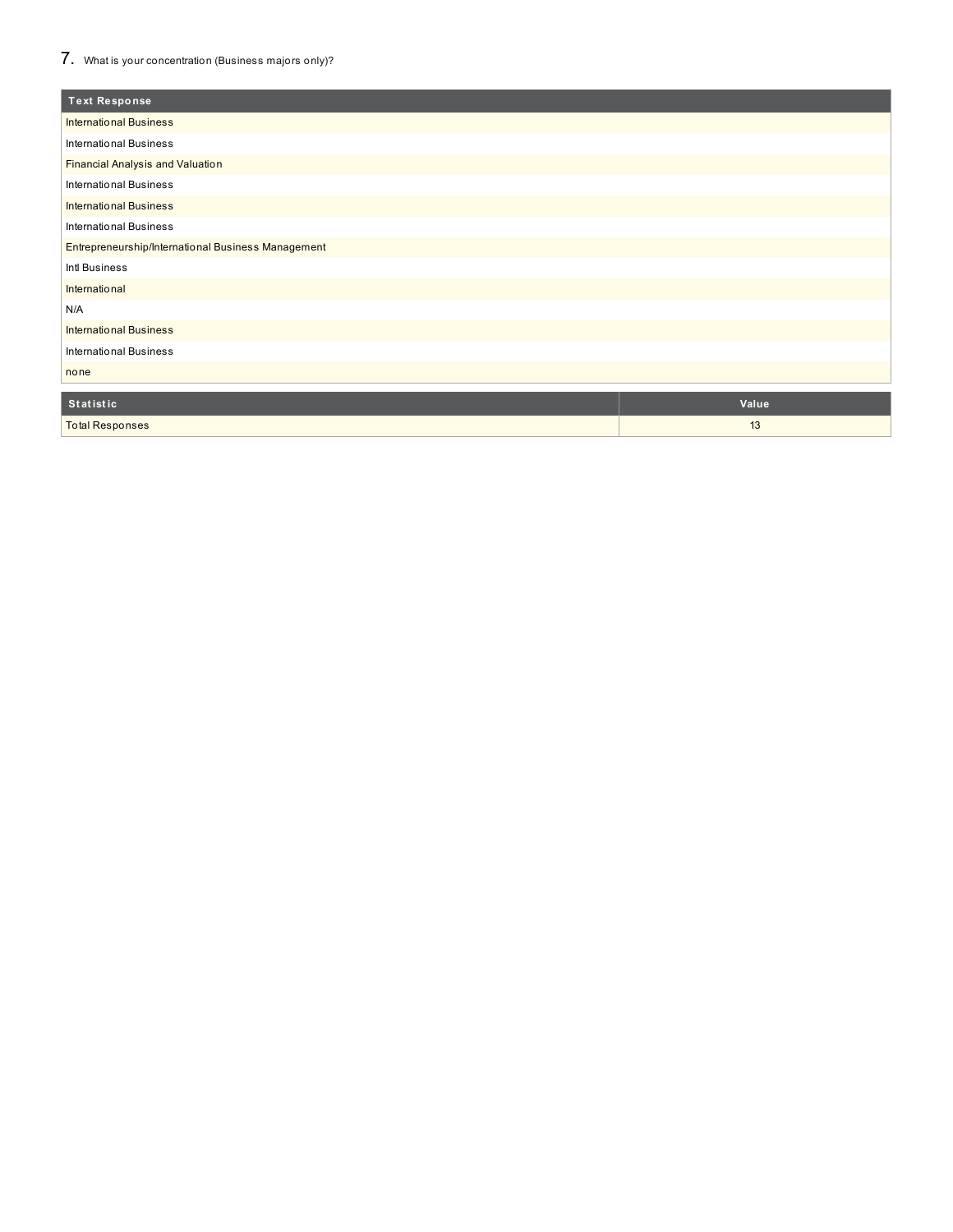# 7. What is your concentration (Business majors only)?

| <b>Text Response</b>                               |       |
|----------------------------------------------------|-------|
| <b>International Business</b>                      |       |
| <b>International Business</b>                      |       |
| <b>Financial Analysis and Valuation</b>            |       |
| <b>International Business</b>                      |       |
| <b>International Business</b>                      |       |
| <b>International Business</b>                      |       |
| Entrepreneurship/International Business Management |       |
| Intl Business                                      |       |
| International                                      |       |
| N/A                                                |       |
| <b>International Business</b>                      |       |
| <b>International Business</b>                      |       |
| none                                               |       |
| Statistic                                          | Value |
|                                                    |       |
| <b>Total Responses</b>                             | 13    |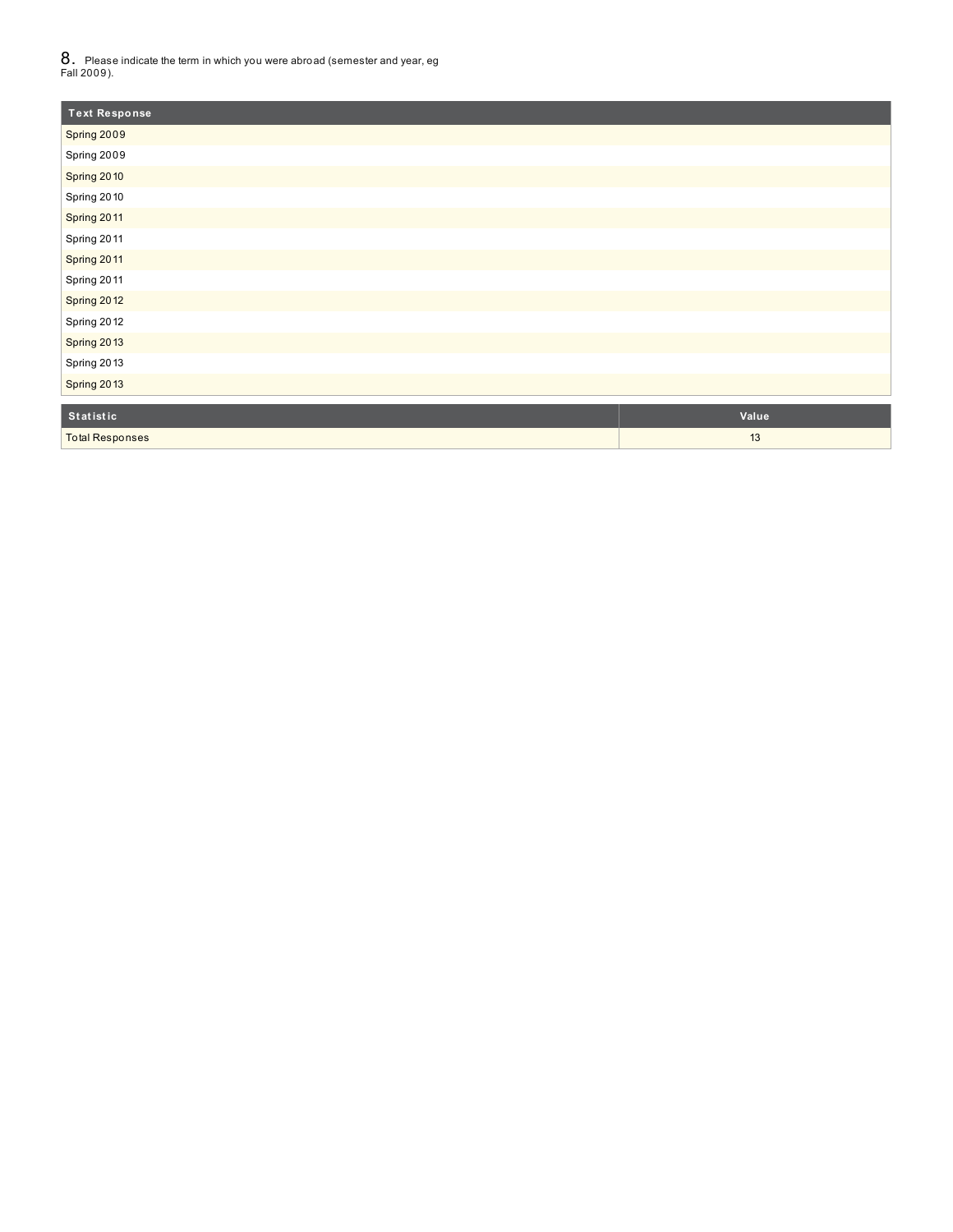$8_\cdot\,$  Please indicate the term in which you were abroad (semester and year, eg<br>Fall 2009).

| <b>Text Response</b>   |       |
|------------------------|-------|
| Spring 2009            |       |
| Spring 2009            |       |
| Spring 2010            |       |
| Spring 2010            |       |
| Spring 2011            |       |
| Spring 2011            |       |
| Spring 2011            |       |
| Spring 2011            |       |
| Spring 2012            |       |
| Spring 2012            |       |
| Spring 2013            |       |
| Spring 2013            |       |
| Spring 2013            |       |
| Statistic              | Value |
| <b>Total Responses</b> | 13    |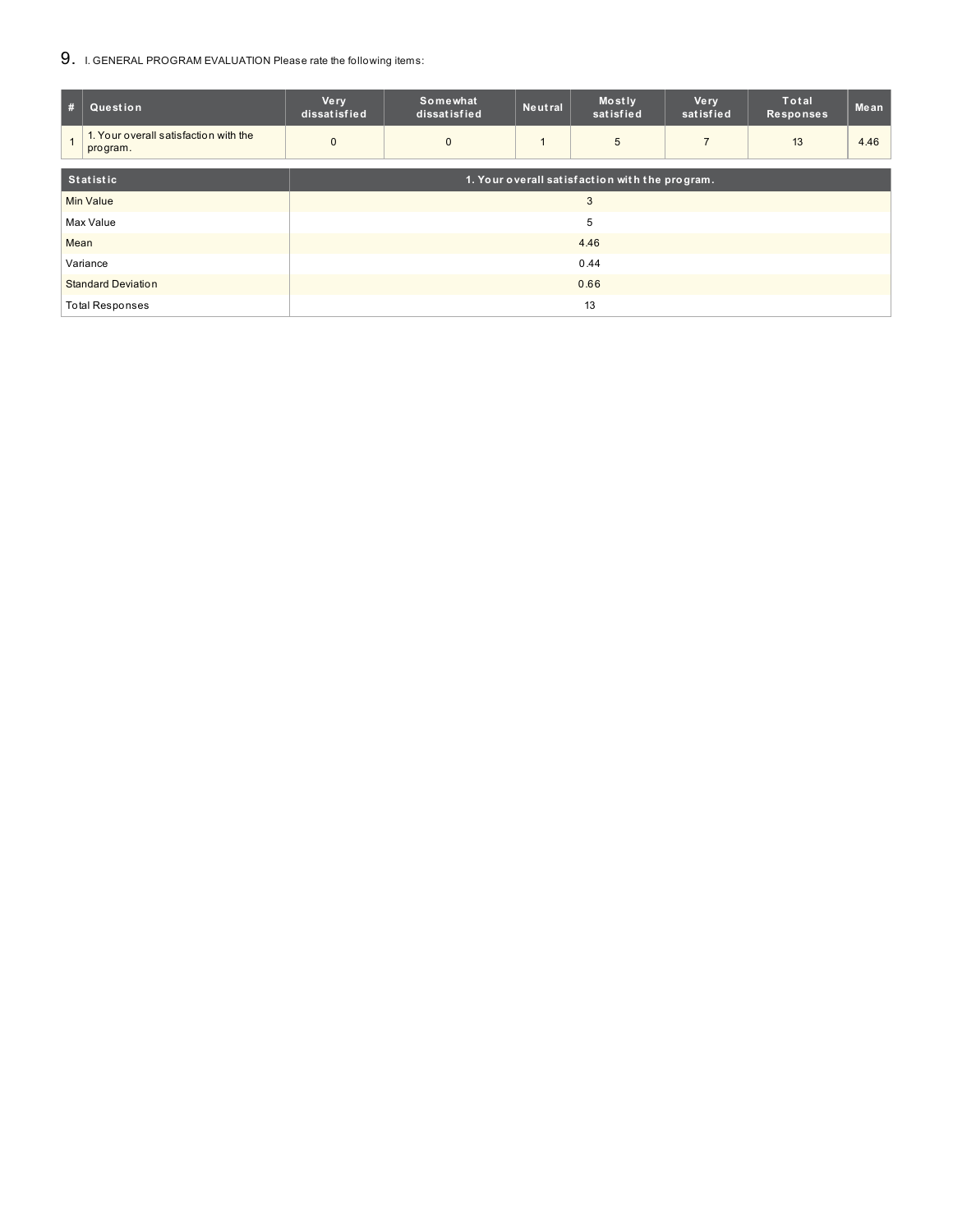## 9. I. GENERAL PROGRAM EVALUATION Please rate the following items:

| #                         | Question                                          | <b>Very</b><br>dissatisfied | Somewhat<br>dissatisfied | Neutral | Mostly<br>satisfied                            | <b>Very</b><br>satisfied | <b>Total</b><br><b>Responses</b> | Mean |
|---------------------------|---------------------------------------------------|-----------------------------|--------------------------|---------|------------------------------------------------|--------------------------|----------------------------------|------|
|                           | 1. Your overall satisfaction with the<br>program. | $\mathbf 0$                 | $\mathbf{0}$             |         | 5                                              | $\overline{7}$           | 13                               | 4.46 |
| <b>Statistic</b>          |                                                   |                             |                          |         | 1. Your overall satisfaction with the program. |                          |                                  |      |
|                           | <b>Min Value</b>                                  | 3                           |                          |         |                                                |                          |                                  |      |
|                           | Max Value                                         | 5                           |                          |         |                                                |                          |                                  |      |
| Mean                      |                                                   | 4.46                        |                          |         |                                                |                          |                                  |      |
| Variance                  |                                                   | 0.44                        |                          |         |                                                |                          |                                  |      |
| <b>Standard Deviation</b> |                                                   |                             | 0.66                     |         |                                                |                          |                                  |      |
| <b>Total Responses</b>    |                                                   | 13                          |                          |         |                                                |                          |                                  |      |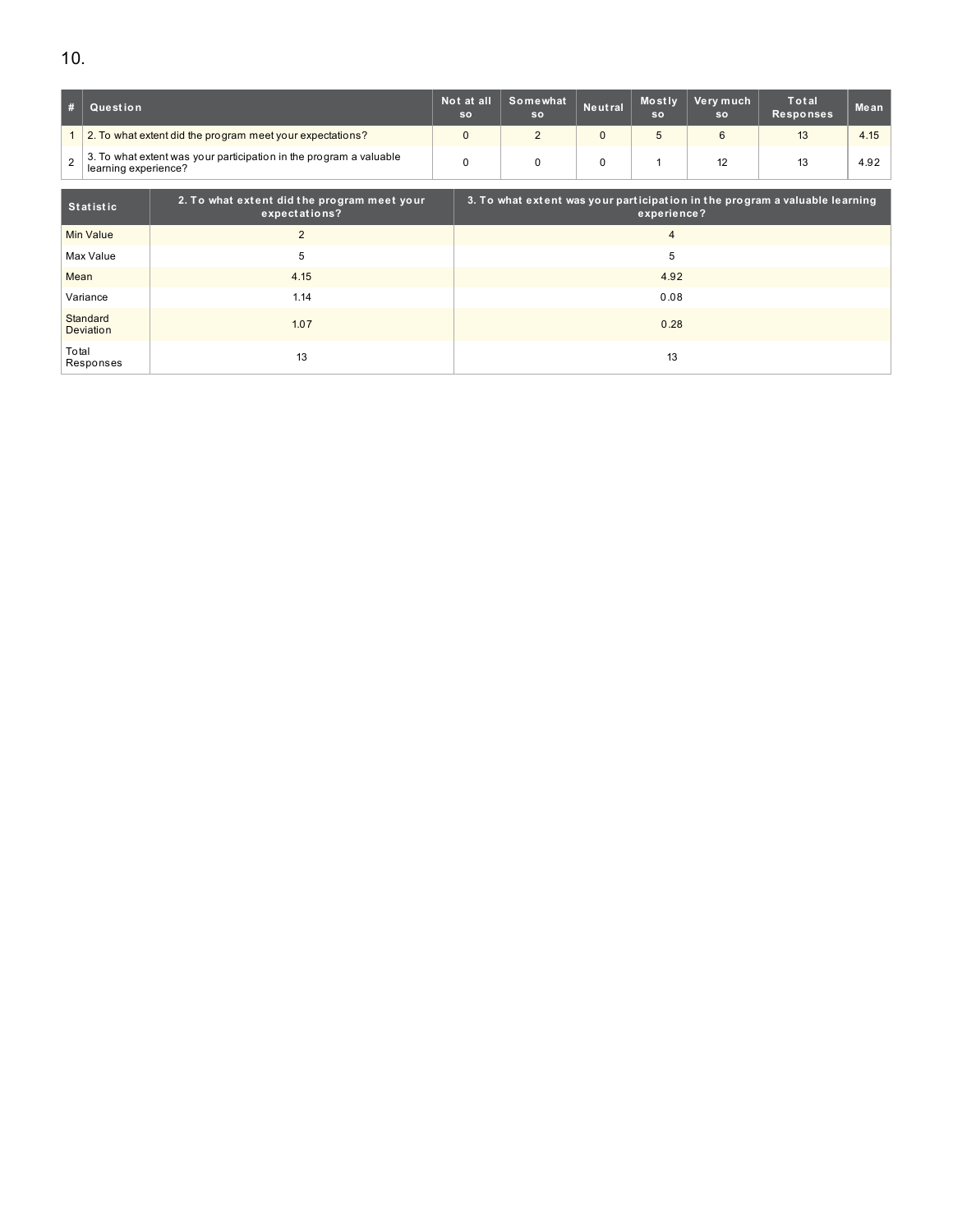| #              | ∣ Question                                                                                 | Not at all<br><b>SO</b> | Somewhat<br><b>SO</b> | Neutral | <b>Mostly</b><br>SO | Very much<br><b>SO</b> | Total<br><b>Responses</b> | Mean |
|----------------|--------------------------------------------------------------------------------------------|-------------------------|-----------------------|---------|---------------------|------------------------|---------------------------|------|
|                | 2. To what extent did the program meet your expectations?                                  |                         |                       |         |                     | 6                      |                           | 4.15 |
| $\overline{2}$ | 3. To what extent was your participation in the program a valuable<br>learning experience? |                         |                       |         |                     | 12                     |                           | 4.92 |

| Statistic             | 2. To what extent did the program meet your<br>expectations? | 3. To what extent was your participation in the program a valuable learning<br>experience? |
|-----------------------|--------------------------------------------------------------|--------------------------------------------------------------------------------------------|
| Min Value             | 2                                                            | 4                                                                                          |
| Max Value             | 5                                                            | 5                                                                                          |
| Mean                  | 4.15                                                         | 4.92                                                                                       |
| Variance              | 1.14                                                         | 0.08                                                                                       |
| Standard<br>Deviation | 1.07                                                         | 0.28                                                                                       |
| Total<br>Responses    | 13                                                           | 13                                                                                         |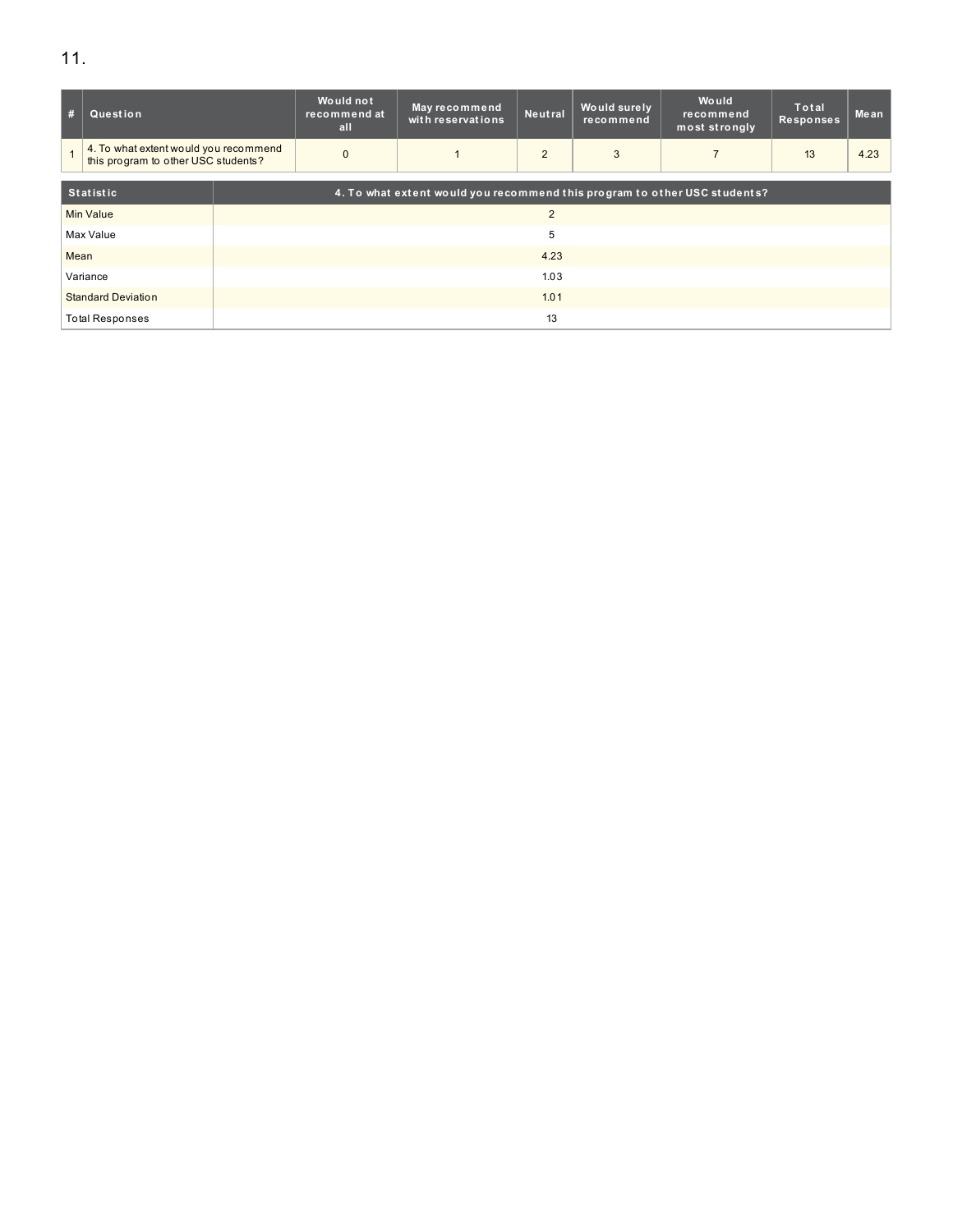| #                         | Question                                                                     |                                                                           | Would not<br>recommend at<br>all | May recommend<br>with reservations | Neutral        | Would surely<br>recommend | Would<br>recommend<br>most strongly | <b>Total</b><br>Responses | Mean |  |  |
|---------------------------|------------------------------------------------------------------------------|---------------------------------------------------------------------------|----------------------------------|------------------------------------|----------------|---------------------------|-------------------------------------|---------------------------|------|--|--|
|                           | 4. To what extent would you recommend<br>this program to other USC students? |                                                                           | $\Omega$                         |                                    | 2              | 3                         |                                     | 13                        | 4.23 |  |  |
|                           |                                                                              |                                                                           |                                  |                                    |                |                           |                                     |                           |      |  |  |
|                           | <b>Statistic</b>                                                             | 4. To what extent would you recommend this program to other USC students? |                                  |                                    |                |                           |                                     |                           |      |  |  |
| <b>Min Value</b>          |                                                                              |                                                                           |                                  |                                    | $\overline{2}$ |                           |                                     |                           |      |  |  |
|                           | Max Value                                                                    |                                                                           |                                  |                                    |                |                           |                                     |                           |      |  |  |
| Mean                      |                                                                              |                                                                           |                                  |                                    |                |                           |                                     |                           |      |  |  |
| Variance                  |                                                                              |                                                                           | 1.03                             |                                    |                |                           |                                     |                           |      |  |  |
| <b>Standard Deviation</b> |                                                                              |                                                                           | 1.01                             |                                    |                |                           |                                     |                           |      |  |  |
|                           | <b>Total Responses</b>                                                       |                                                                           | 13                               |                                    |                |                           |                                     |                           |      |  |  |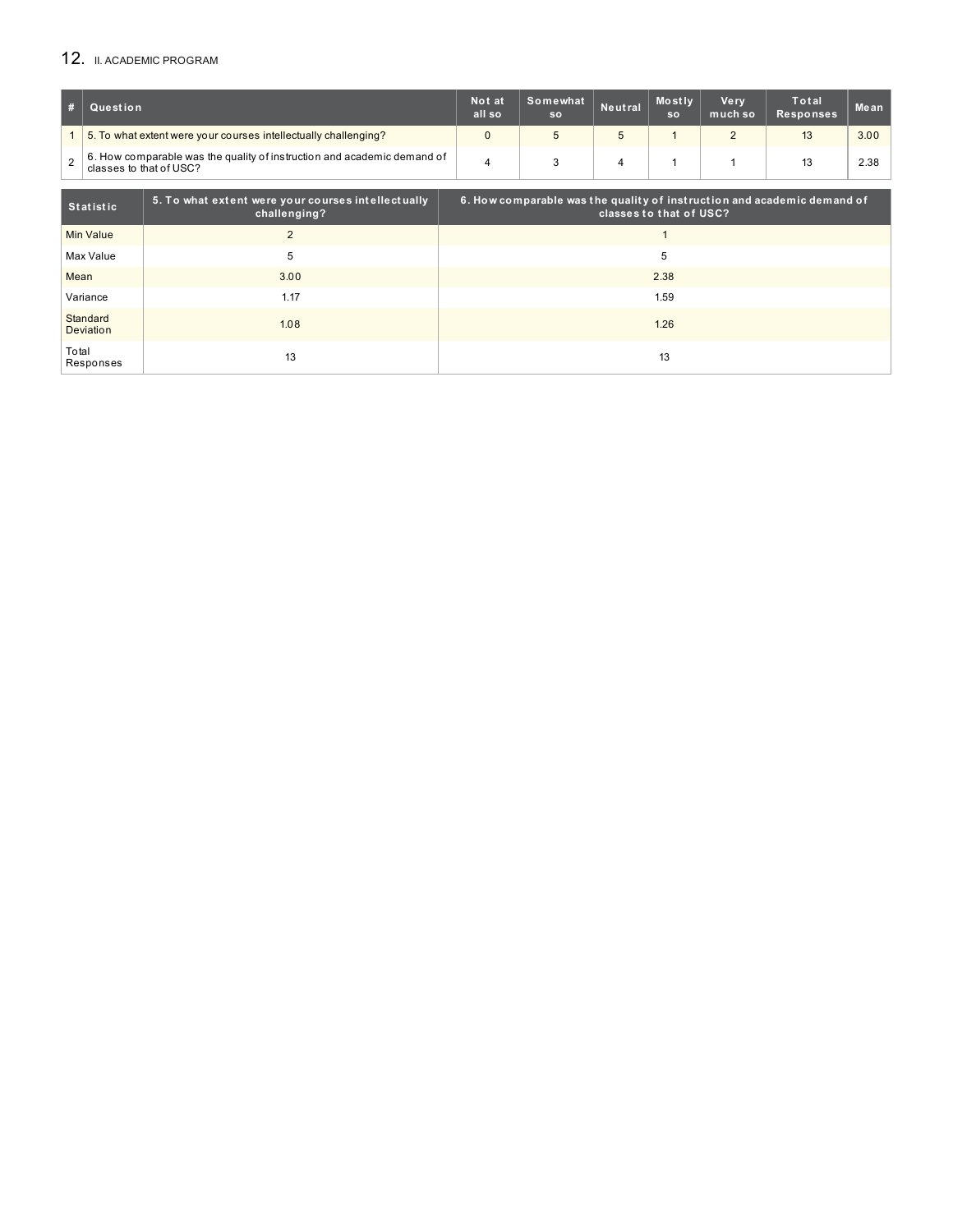## 12. II. ACADEMIC PROGRAM

| # | Question                                                                                           | Not at<br>all so | Somewhat<br><b>SO</b> | Neutral | <b>Mostly</b><br><b>SO</b> | Ve rv<br>much so | Total<br><b>Responses</b> | Mean |
|---|----------------------------------------------------------------------------------------------------|------------------|-----------------------|---------|----------------------------|------------------|---------------------------|------|
|   | 5. To what extent were your courses intellectually challenging?                                    |                  |                       |         |                            |                  | 13                        | 3.00 |
|   | 6. How comparable was the quality of instruction and academic demand of<br>classes to that of USC? |                  |                       |         |                            |                  | 13                        | 2.38 |

| Statistic             | 5. To what extent were your courses intellectually<br>challenging? | $\,$ 6. How comparable was the quality of instruction and academic demand of<br>classes to that of USC? |
|-----------------------|--------------------------------------------------------------------|---------------------------------------------------------------------------------------------------------|
| Min Value             |                                                                    |                                                                                                         |
| Max Value             | 5                                                                  | 5                                                                                                       |
| Mean                  | 3.00                                                               | 2.38                                                                                                    |
| Variance              | 1.17                                                               | 1.59                                                                                                    |
| Standard<br>Deviation | 1.08                                                               | 1.26                                                                                                    |
| Total<br>Responses    | 13                                                                 | 13                                                                                                      |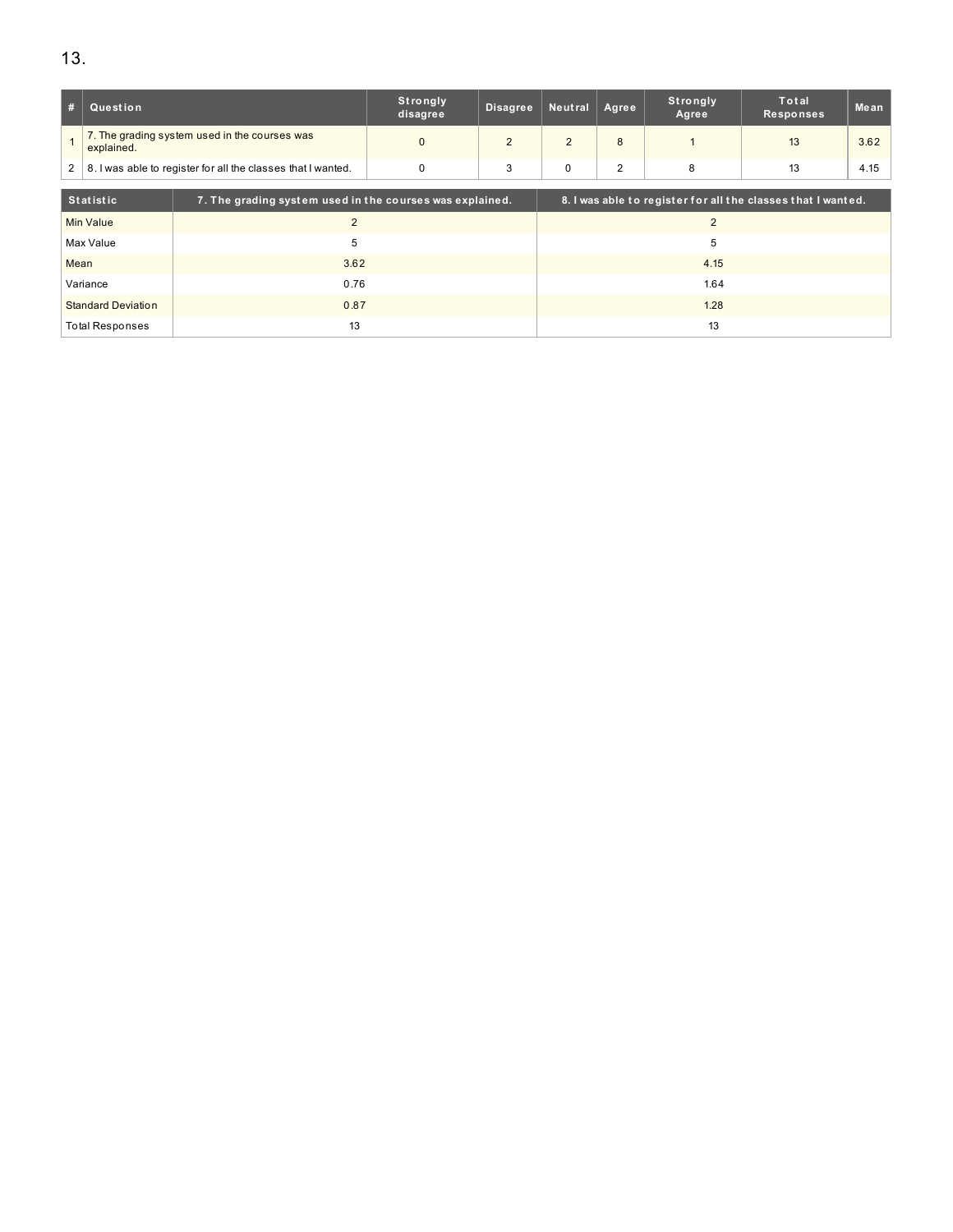| #                                  | Question                                                     |                                                          | Strongly<br>disagree | <b>Disagree</b> | Neutral     | Agree | Strongly<br>Agree | Total<br><b>Responses</b>                                    | Mean |  |  |
|------------------------------------|--------------------------------------------------------------|----------------------------------------------------------|----------------------|-----------------|-------------|-------|-------------------|--------------------------------------------------------------|------|--|--|
|                                    | explained.                                                   | 7. The grading system used in the courses was            | $\Omega$             | 2               | 2           | 8     |                   | 13                                                           | 3.62 |  |  |
| $\overline{2}$                     | 8. I was able to register for all the classes that I wanted. |                                                          | $\mathbf 0$          | 3               | $\mathbf 0$ | 2     | 8                 | 13                                                           | 4.15 |  |  |
|                                    | <b>Statistic</b>                                             | 7. The grading system used in the courses was explained. |                      |                 |             |       |                   | 8. I was able to register for all the classes that I wanted. |      |  |  |
| $\overline{2}$<br><b>Min Value</b> |                                                              | $\overline{2}$                                           |                      |                 |             |       |                   |                                                              |      |  |  |
|                                    | Max Value                                                    | 5                                                        | 5                    |                 |             |       |                   |                                                              |      |  |  |
| Mean                               |                                                              | 3.62                                                     |                      |                 |             |       | 4.15              |                                                              |      |  |  |
|                                    | Variance                                                     | 0.76                                                     |                      |                 |             |       | 1.64              |                                                              |      |  |  |
| 0.87<br><b>Standard Deviation</b>  |                                                              |                                                          |                      | 1.28            |             |       |                   |                                                              |      |  |  |
|                                    |                                                              | 13<br><b>Total Responses</b>                             |                      |                 |             |       | 13                |                                                              |      |  |  |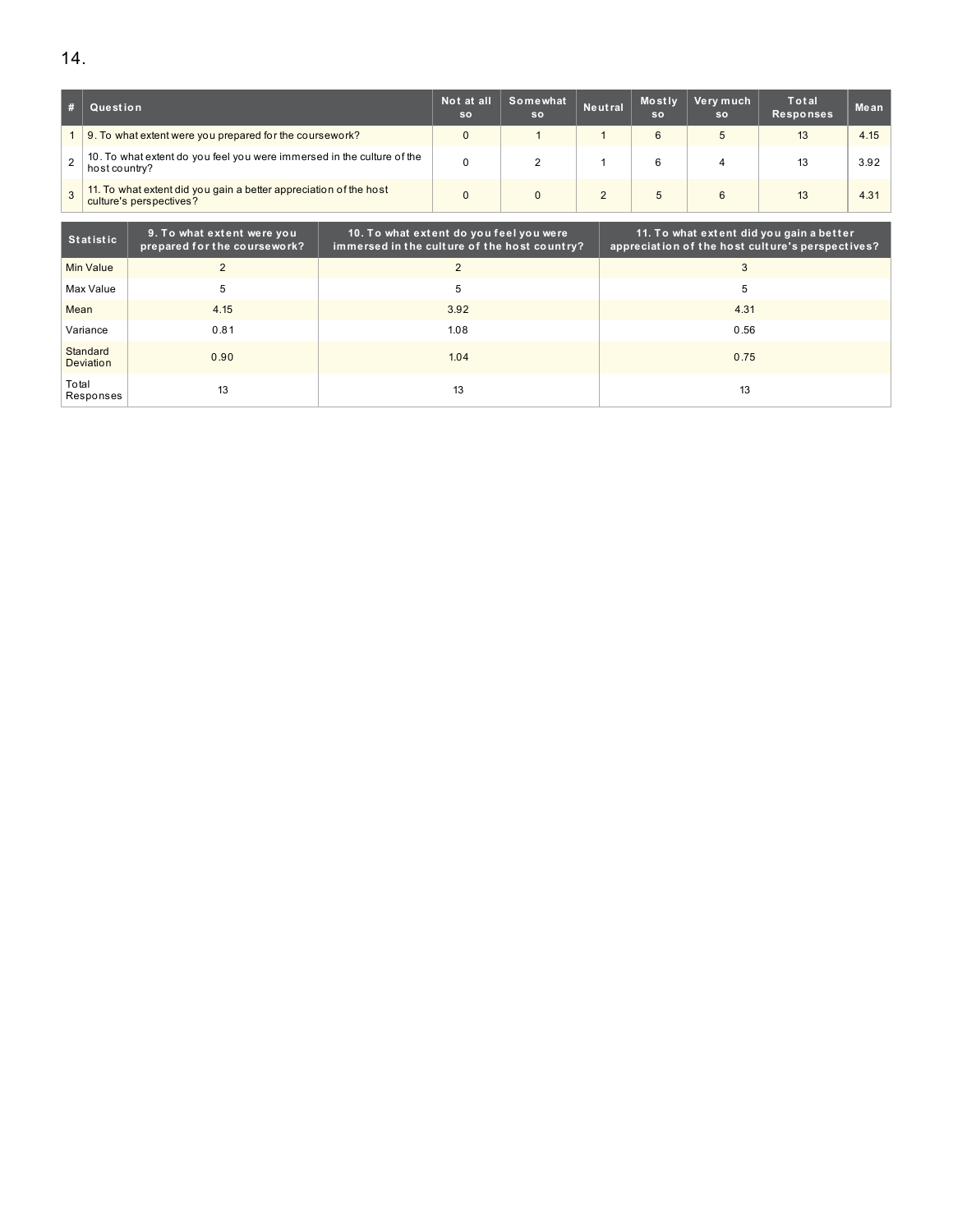|                | Question                                                                                     | Not at all<br><b>SO</b> | Somewhat<br><sub>So</sub> | Neutral | Mostly<br><b>SO</b> | Very much<br><b>SO</b> | Total<br>Responses | Mean |
|----------------|----------------------------------------------------------------------------------------------|-------------------------|---------------------------|---------|---------------------|------------------------|--------------------|------|
|                | 1 9. To what extent were you prepared for the coursework?                                    | 0                       |                           |         | 6                   | 5                      | 13                 | 4.15 |
| $\overline{2}$ | 10. To what extent do you feel you were immersed in the culture of the<br>host country?      | 0                       |                           |         |                     |                        | 13                 | 3.92 |
| $\overline{3}$ | 11. To what extent did you gain a better appreciation of the host<br>culture's perspectives? | 0                       |                           |         | 5                   | 6                      | 13                 | 4.31 |

| <b>Statistic</b>             | 9. To what extent were you<br>prepared for the coursework? | 10. To what extent do you feel you were<br>immersed in the culture of the host country? | 11. To what extent did you gain a better<br>appreciation of the host culture's perspectives? |
|------------------------------|------------------------------------------------------------|-----------------------------------------------------------------------------------------|----------------------------------------------------------------------------------------------|
| Min Value                    | $\overline{2}$                                             | $\mathcal{D}$                                                                           |                                                                                              |
| Max Value                    | 5                                                          | 5                                                                                       | 5                                                                                            |
| Mean                         | 4.15                                                       | 3.92                                                                                    | 4.31                                                                                         |
| Variance                     | 0.81                                                       | 1.08                                                                                    | 0.56                                                                                         |
| Standard<br><b>Deviation</b> | 0.90                                                       | 1.04                                                                                    | 0.75                                                                                         |
| Total<br>Responses           | 13                                                         | 13                                                                                      | 13                                                                                           |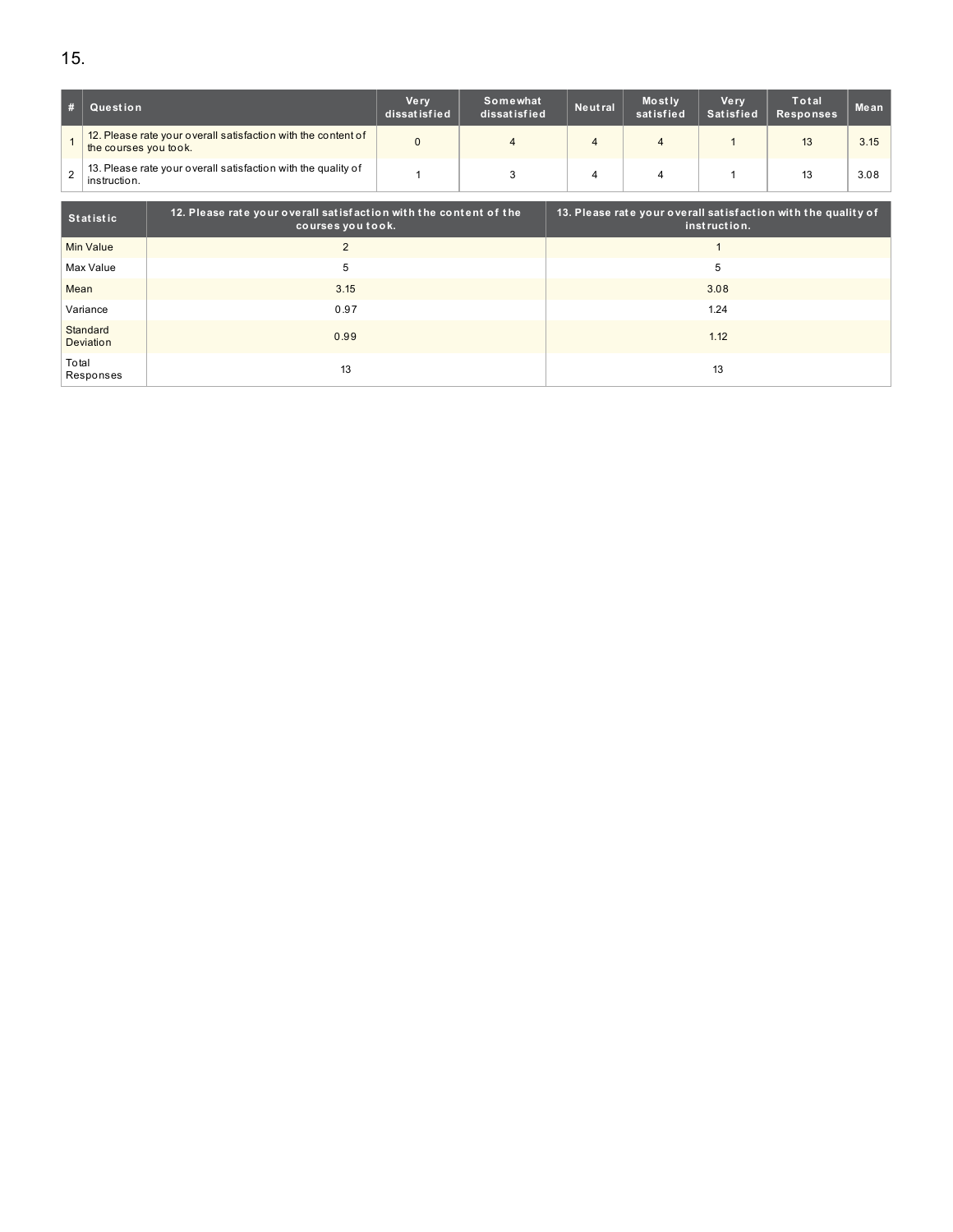|   | Question                                                                               | Verv<br>dissatisfied | Somewhat<br>dissatisfied | Neutral | Mostly<br>satisfied | Ve rv<br>Satisfied | Total<br><b>Responses</b> | Mean |
|---|----------------------------------------------------------------------------------------|----------------------|--------------------------|---------|---------------------|--------------------|---------------------------|------|
|   | 12. Please rate your overall satisfaction with the content of<br>the courses you took. |                      | 4                        | 4       |                     |                    | 13                        | 3.15 |
| 2 | 13. Please rate your overall satisfaction with the quality of<br>instruction.          |                      |                          |         |                     |                    | 13                        | 3.08 |

| Statistic             | 12. Please rate your overall satisfaction with the content of the<br>courses you took. | 13. Please rate your overall satisfaction with the quality of<br>instruction. |
|-----------------------|----------------------------------------------------------------------------------------|-------------------------------------------------------------------------------|
| Min Value             | $\mathfrak{p}$                                                                         |                                                                               |
| Max Value             | 5                                                                                      | 5                                                                             |
| Mean                  | 3.15                                                                                   | 3.08                                                                          |
| Variance              | 0.97                                                                                   | 1.24                                                                          |
| Standard<br>Deviation | 0.99                                                                                   | 1.12                                                                          |
| Total<br>Responses    | 13                                                                                     | 13                                                                            |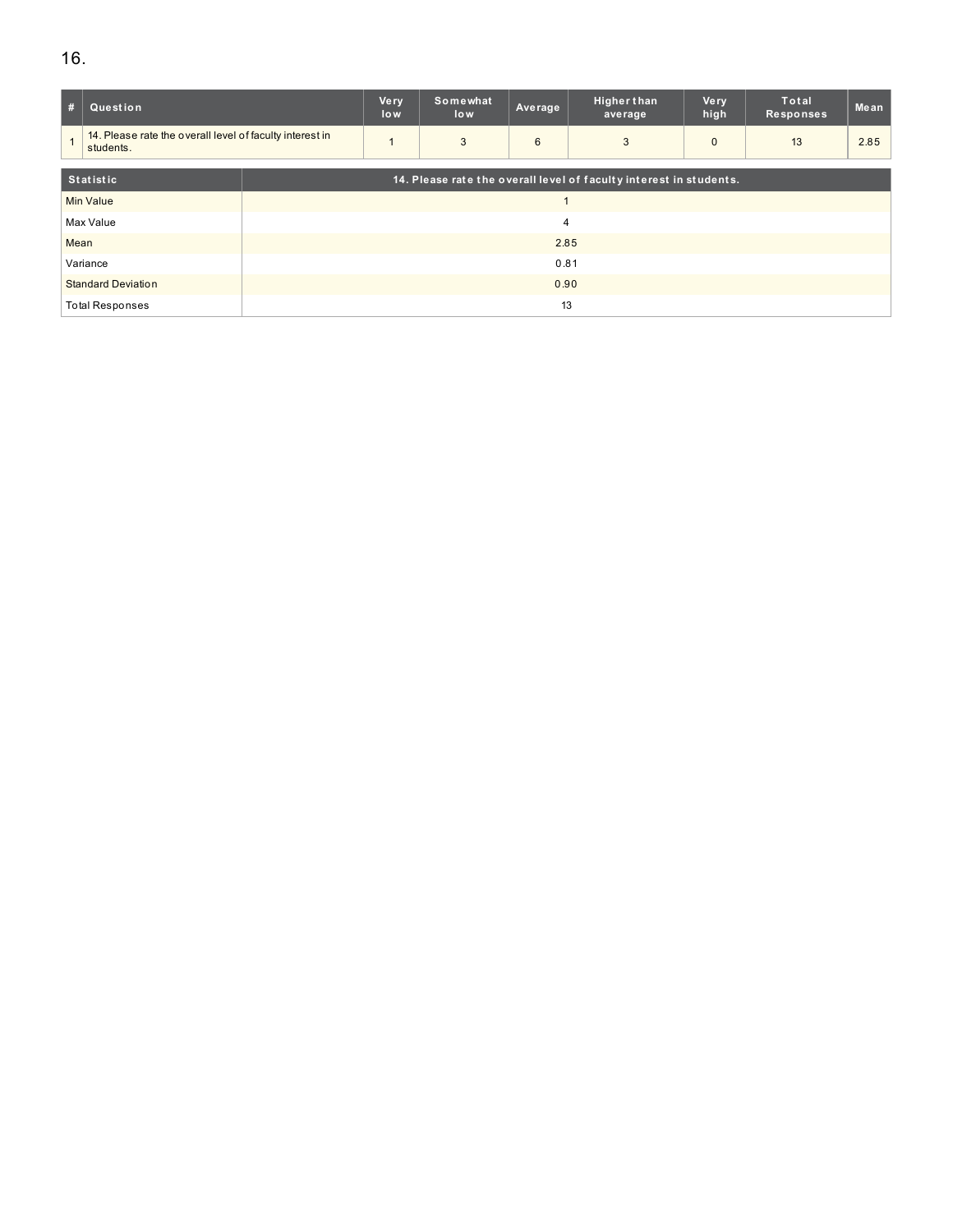# 16.

| #                         | Question                                                              |      | Very<br>low    | Somewhat<br>low | Average | <b>Higher than</b><br>average                                      | Very<br>high | <b>Total</b><br>Responses | Mean |
|---------------------------|-----------------------------------------------------------------------|------|----------------|-----------------|---------|--------------------------------------------------------------------|--------------|---------------------------|------|
|                           | 14. Please rate the overall level of faculty interest in<br>students. |      |                | 3               | 6       | 3                                                                  | $\Omega$     | 13                        | 2.85 |
|                           | <b>Statistic</b>                                                      |      |                |                 |         | 14. Please rate the overall level of faculty interest in students. |              |                           |      |
| <b>Min Value</b>          |                                                                       |      |                |                 |         |                                                                    |              |                           |      |
|                           | Max Value                                                             |      | $\overline{4}$ |                 |         |                                                                    |              |                           |      |
| Mean                      |                                                                       |      | 2.85           |                 |         |                                                                    |              |                           |      |
| Variance                  |                                                                       | 0.81 |                |                 |         |                                                                    |              |                           |      |
| <b>Standard Deviation</b> |                                                                       | 0.90 |                |                 |         |                                                                    |              |                           |      |
|                           | <b>Total Responses</b>                                                |      | 13             |                 |         |                                                                    |              |                           |      |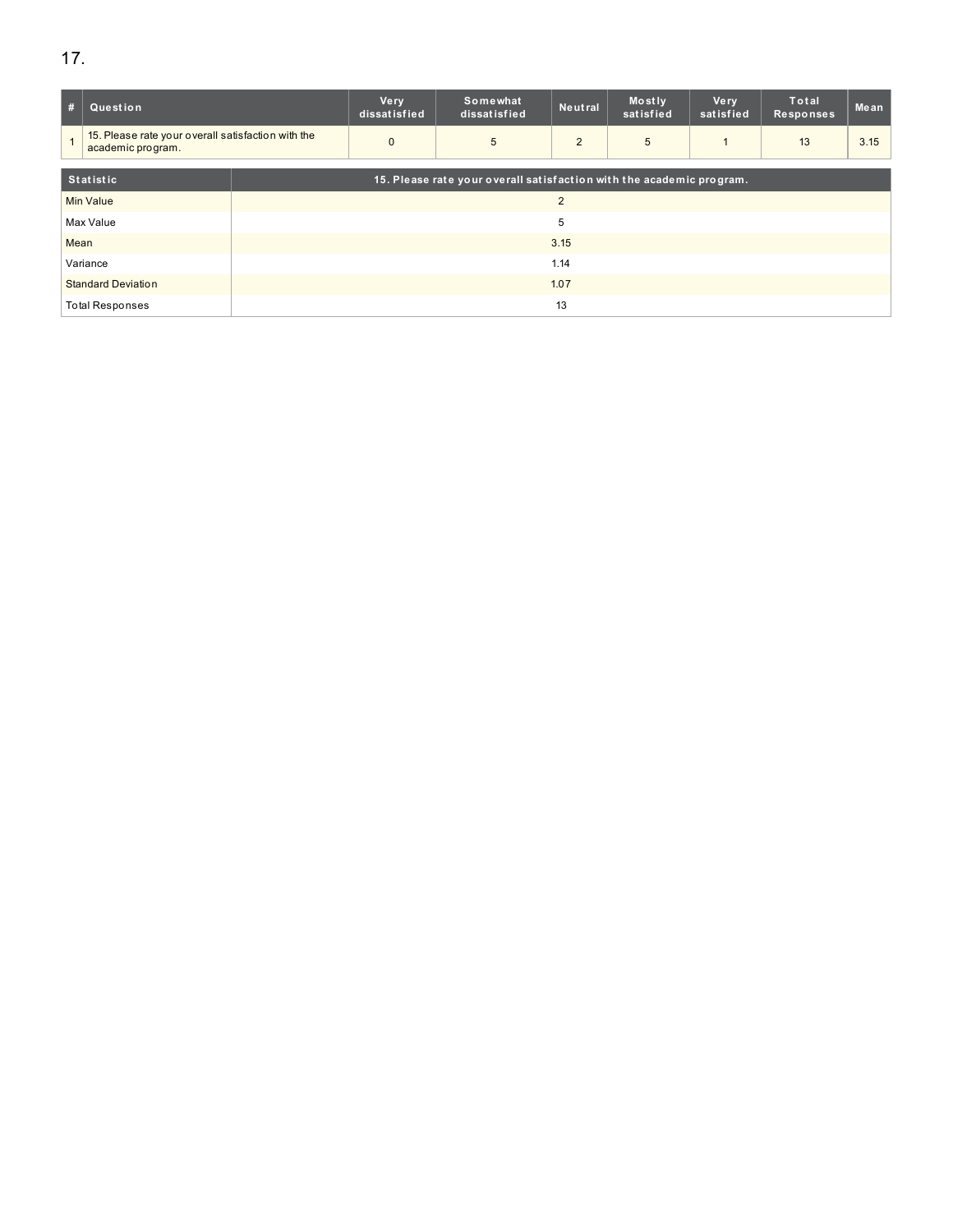| #                         | Question                                                                |      | <b>Very</b><br>dissatisfied | Somewhat<br>dissatisfied                                             | Neutral | Mostly<br>satisfied | <b>Very</b><br>satisfied | Total<br><b>Responses</b> | Mean |
|---------------------------|-------------------------------------------------------------------------|------|-----------------------------|----------------------------------------------------------------------|---------|---------------------|--------------------------|---------------------------|------|
|                           | 15. Please rate your overall satisfaction with the<br>academic program. |      | $\mathbf{0}$                | 5                                                                    | 2       | 5                   |                          | 13                        | 3.15 |
| <b>Statistic</b>          |                                                                         |      |                             | 15. Please rate your overall satisfaction with the academic program. |         |                     |                          |                           |      |
| <b>Min Value</b>          |                                                                         |      | $\overline{2}$              |                                                                      |         |                     |                          |                           |      |
|                           | Max Value                                                               |      | 5                           |                                                                      |         |                     |                          |                           |      |
| Mean                      |                                                                         |      | 3.15                        |                                                                      |         |                     |                          |                           |      |
| Variance                  |                                                                         | 1.14 |                             |                                                                      |         |                     |                          |                           |      |
| <b>Standard Deviation</b> |                                                                         | 1.07 |                             |                                                                      |         |                     |                          |                           |      |
|                           | <b>Total Responses</b>                                                  |      | 13                          |                                                                      |         |                     |                          |                           |      |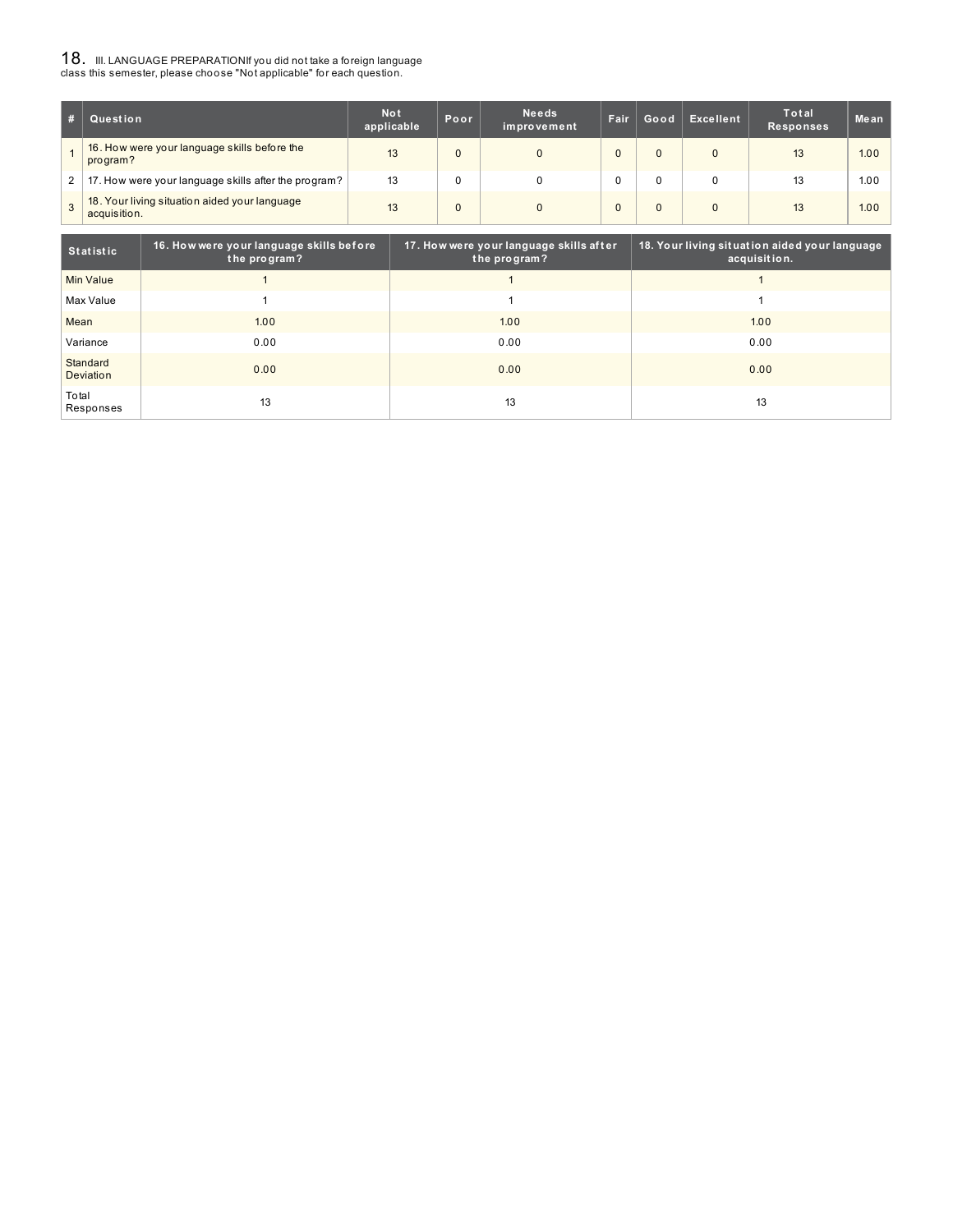# ${\bf 18}$  . III. LANGUAGE PREPARATIONIf you did not take a foreign language<br>class this semester, please choose "Not applicable" for each question.

|              | Question                                                      | <b>Not</b><br>applicable | Poor | <b>Needs</b><br>improvement | Fair | Good     | Excellent | Total<br><b>Responses</b> | Mean |
|--------------|---------------------------------------------------------------|--------------------------|------|-----------------------------|------|----------|-----------|---------------------------|------|
|              | 16. How were your language skills before the<br>program?      | 13                       |      | $\Omega$                    |      | $\Omega$ |           | 13                        | 1.00 |
| $\mathbf{2}$ | 17. How were your language skills after the program?          | 13                       |      |                             |      |          |           | 13                        | 1.00 |
|              | 18. Your living situation aided your language<br>acquisition. | 13                       |      | $\Omega$                    |      |          |           | 13                        | 1.00 |

| Statistic             | 16. How were your language skills before<br>the program? | 17. How were your language skills after<br>the program? | 18. Your living situation aided your language<br>acquisition. |
|-----------------------|----------------------------------------------------------|---------------------------------------------------------|---------------------------------------------------------------|
| Min Value             |                                                          |                                                         |                                                               |
| Max Value             |                                                          |                                                         |                                                               |
| Mean                  | 1.00                                                     | 1.00                                                    | 1.00                                                          |
| Variance              | 0.00                                                     | 0.00                                                    | 0.00                                                          |
| Standard<br>Deviation | 0.00                                                     | 0.00                                                    | 0.00                                                          |
| Total<br>Responses    | 13                                                       | 13                                                      | 13                                                            |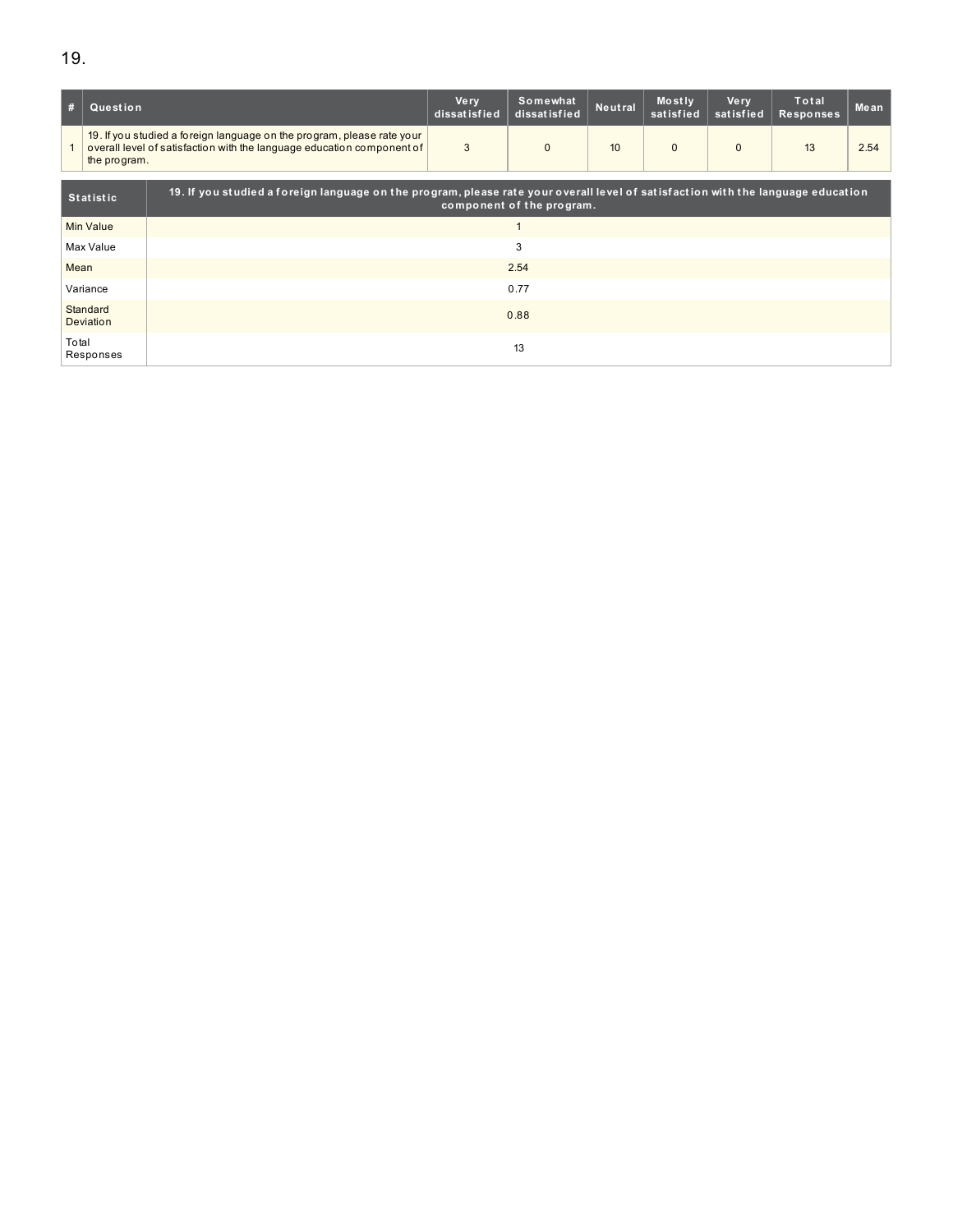| #                                                                                                                                                    | Question         |                                                                                                                                                  | <b>Very</b><br>dissatisfied | Somewhat<br>dissatisfied | Neutral | Mostly<br>satisfied | <b>Very</b><br>satisfied | Total<br><b>Responses</b> | Mean |  |
|------------------------------------------------------------------------------------------------------------------------------------------------------|------------------|--------------------------------------------------------------------------------------------------------------------------------------------------|-----------------------------|--------------------------|---------|---------------------|--------------------------|---------------------------|------|--|
|                                                                                                                                                      | the program.     | 19. If you studied a foreign language on the program, please rate your<br>overall level of satisfaction with the language education component of | 3                           | $\Omega$                 | 10      | $\mathbf{0}$        | $\Omega$                 | 13                        | 2.54 |  |
| 19. If you studied a foreign language on the program, please rate your overall level of satisfaction with the language education<br><b>Statistic</b> |                  |                                                                                                                                                  | component of the program.   |                          |         |                     |                          |                           |      |  |
|                                                                                                                                                      | <b>Min Value</b> |                                                                                                                                                  |                             |                          |         |                     |                          |                           |      |  |
|                                                                                                                                                      | Max Value        | 3                                                                                                                                                |                             |                          |         |                     |                          |                           |      |  |
| Mean                                                                                                                                                 |                  | 2.54                                                                                                                                             |                             |                          |         |                     |                          |                           |      |  |
| Variance                                                                                                                                             |                  | 0.77                                                                                                                                             |                             |                          |         |                     |                          |                           |      |  |
| Standard<br>Deviation                                                                                                                                |                  | 0.88                                                                                                                                             |                             |                          |         |                     |                          |                           |      |  |
| Total<br>Responses                                                                                                                                   |                  | 13                                                                                                                                               |                             |                          |         |                     |                          |                           |      |  |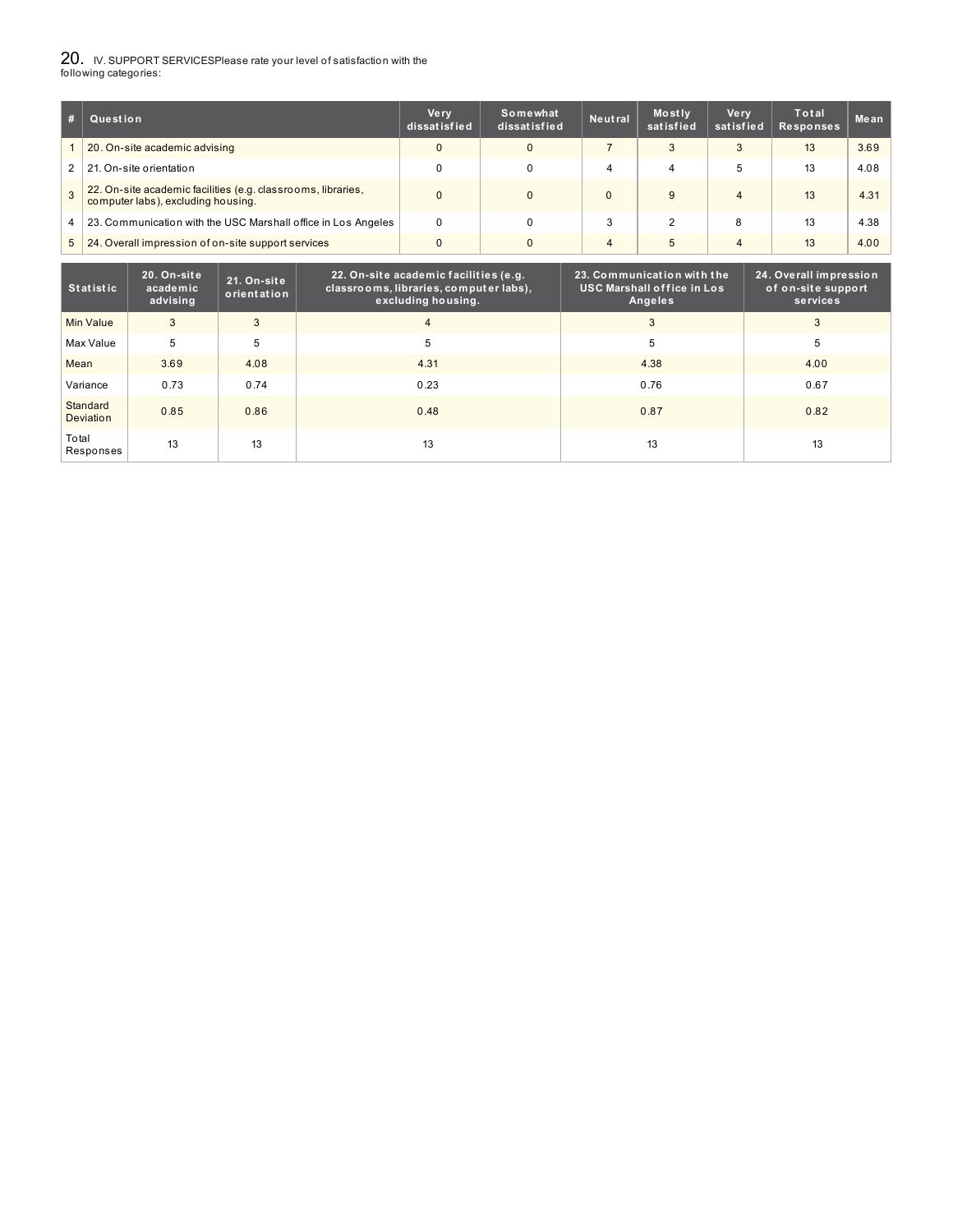# 20. IV. SUPPORT SERVICESPlease rate your level of satisfaction with the following categories:

| #             | Question                                                                                           | <b>Very</b><br>dissatisfied | Somewhat<br>dissatisfied | <b>Neutral</b> | Mostly<br>satisfied | <b>Very</b><br>satisfied | Total<br>Responses | Mean |
|---------------|----------------------------------------------------------------------------------------------------|-----------------------------|--------------------------|----------------|---------------------|--------------------------|--------------------|------|
|               | 20. On-site academic advising                                                                      |                             | $\Omega$                 |                | 3                   |                          | 13                 | 3.69 |
| 2             | 21. On-site orientation                                                                            |                             |                          | 4              | 4                   | 5                        | 13                 | 4.08 |
| $\mathcal{B}$ | 22. On-site academic facilities (e.g. classrooms, libraries,<br>computer labs), excluding housing. |                             | $\mathbf{0}$             |                |                     | 4                        | 13                 | 4.31 |
| 4             | 23. Communication with the USC Marshall office in Los Angeles                                      | 0                           | 0                        | 3              |                     | 8                        | 13                 | 4.38 |
| 5             | 24. Overall impression of on-site support services                                                 |                             | $\Omega$                 | $\overline{4}$ | 5                   | $\overline{4}$           | 13                 | 4.00 |

| <b>Statistic</b>      | 20. On-site<br>academic<br>advising | 21. On-site<br>orientation | 22. On-site academic facilities (e.g.<br>classrooms, libraries, computer labs),<br>excluding housing. | 23. Communication with the<br><b>USC Marshall office in Los</b><br>Angeles | 24. Overall impression<br>of on-site support<br>services |
|-----------------------|-------------------------------------|----------------------------|-------------------------------------------------------------------------------------------------------|----------------------------------------------------------------------------|----------------------------------------------------------|
| Min Value             | 3                                   | 3                          | 4                                                                                                     | 3                                                                          | 3                                                        |
| Max Value             | 5                                   | 5                          | 5                                                                                                     | 5                                                                          | 5                                                        |
| Mean                  | 3.69                                | 4.08                       | 4.31                                                                                                  | 4.38                                                                       | 4.00                                                     |
| Variance              | 0.73                                | 0.74                       | 0.23                                                                                                  | 0.76                                                                       | 0.67                                                     |
| Standard<br>Deviation | 0.85                                | 0.86                       | 0.48                                                                                                  | 0.87                                                                       | 0.82                                                     |
| Total<br>Responses    | 13                                  | 13                         | 13                                                                                                    | 13                                                                         | 13                                                       |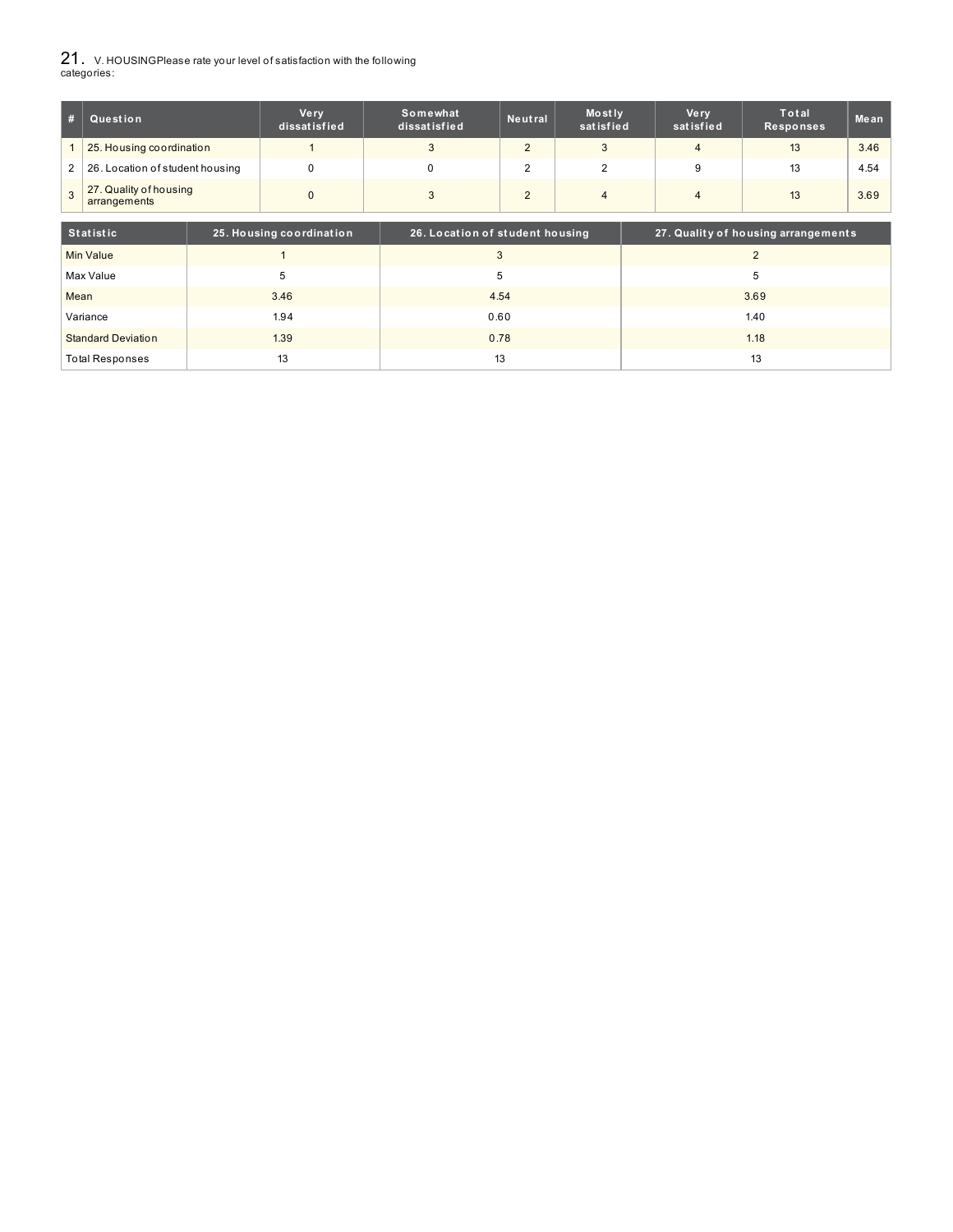21. V. HOUSINGPlease rate your level of satisfaction with the following categories:

| #              | Question                               | <b>Very</b><br>dissatisfied | Somewhat<br>dissatisfied | Neutral | Mostly<br>satisfied | Ve rv<br>satisfied | Total<br><b>Responses</b> | Me an |
|----------------|----------------------------------------|-----------------------------|--------------------------|---------|---------------------|--------------------|---------------------------|-------|
|                | 25. Housing coordination               |                             |                          |         |                     |                    | 13                        | 3.46  |
| 2 <sup>1</sup> | 26. Location of student housing        |                             |                          |         |                     |                    | 13                        | 4.54  |
| 3              | 27. Quality of housing<br>arrangements |                             |                          |         |                     |                    | 13                        | 3.69  |

| Statistic                 | 25. Housing coordination | 26. Location of student housing | 27. Quality of housing arrangements |
|---------------------------|--------------------------|---------------------------------|-------------------------------------|
| Min Value                 |                          |                                 |                                     |
| Max Value                 |                          | G                               | G                                   |
| Mean                      | 3.46                     | 4.54                            | 3.69                                |
| Variance                  | 1.94                     | 0.60                            | 1.40                                |
| <b>Standard Deviation</b> | 1.39                     | 0.78                            | 1.18                                |
| <b>Total Responses</b>    | 13                       | 13                              | 13                                  |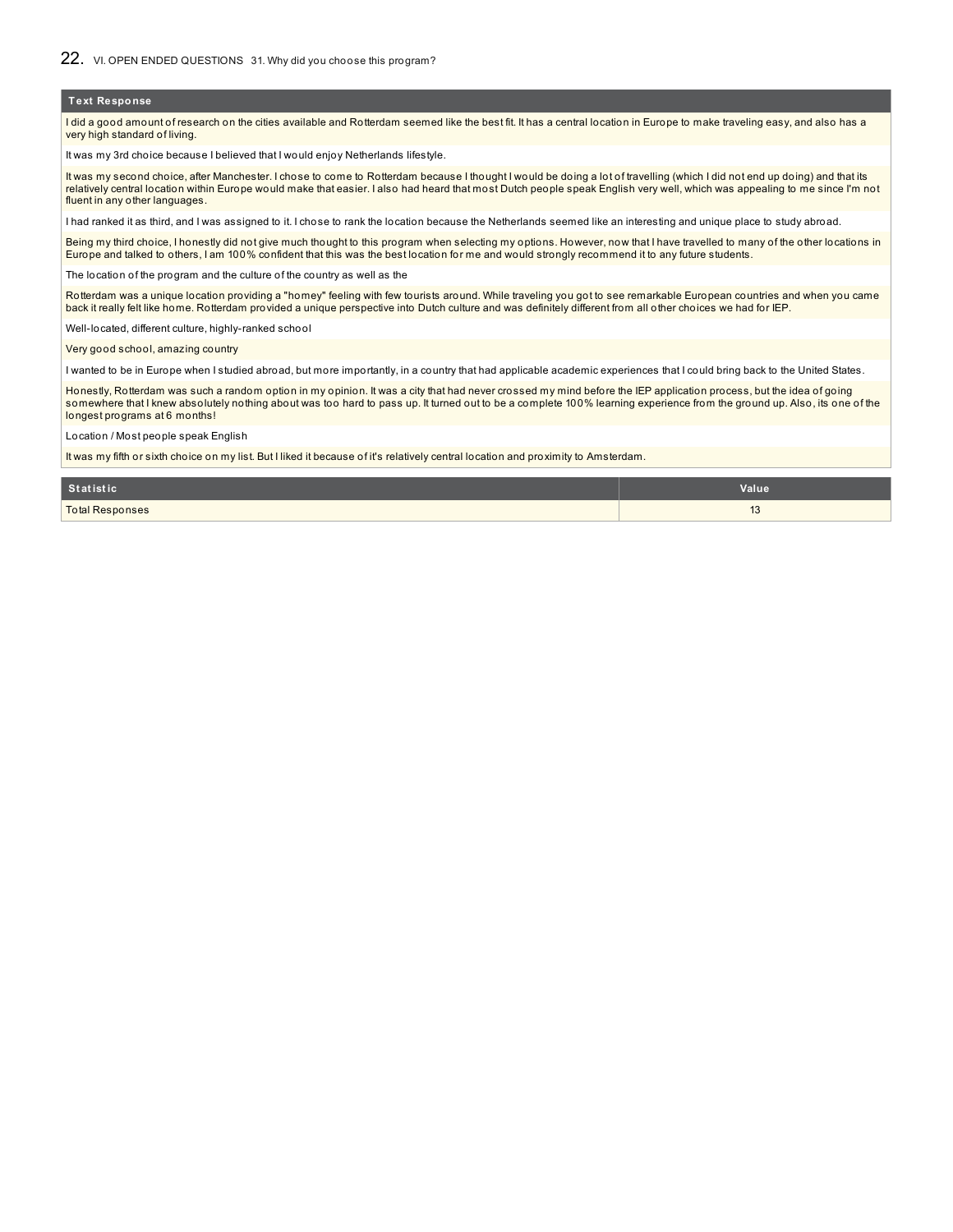I did a good amount of research on the cities available and Rotterdam seemed like the best fit. It has a central location in Europe to make traveling easy, and also has a very high standard of living.

It was my 3rd choice because I believed that I would enjoy Netherlands lifestyle.

It was my second choice, after Manchester. I chose to come to Rotterdam because I thought I would be doing a lot of travelling (which I did not end up doing) and that its relatively central location within Europe would make that easier. I also had heard that most Dutch people speak English very well, which was appealing to me since I'm not fluent in any other languages.

I had ranked it as third, and I was assigned to it. I chose to rank the location because the Netherlands seemed like an interesting and unique place to study abroad.

Being my third choice, I honestly did not give much thought to this program when selecting my options. However, now that I have travelled to many of the other locations in Europe and talked to others, I am 100% confident that this was the best location for me and would strongly recommend it to any future students.

The location of the program and the culture of the country as well as the

Rotterdam was a unique location providing a "homey" feeling with few tourists around. While traveling you got to see remarkable European countries and when you came back it really felt like home. Rotterdam provided a unique perspective into Dutch culture and was definitely different from all other choices we had for IEP.

Well-located, different culture, highly-ranked school

Very good school, amazing country

I wanted to be in Europe when I studied abroad, but more importantly, in a country that had applicable academic experiences that I could bring back to the United States.

Honestly, Rotterdam was such a random option in my opinion. It was a city that had never crossed my mind before the IEP application process, but the idea of going somewhere that I knew absolutely nothing about was too hard to pass up. It turned out to be a complete 100% learning experience from the ground up. Also, its one of the longest programs at 6 months!

Location / Most people speak English

It was my fifth or sixth choice on my list. But I liked it because of it's relatively central location and proximity to Amsterdam.

| Statistic              | Value                |
|------------------------|----------------------|
| <b>Total Responses</b> | $\overline{A}$<br>10 |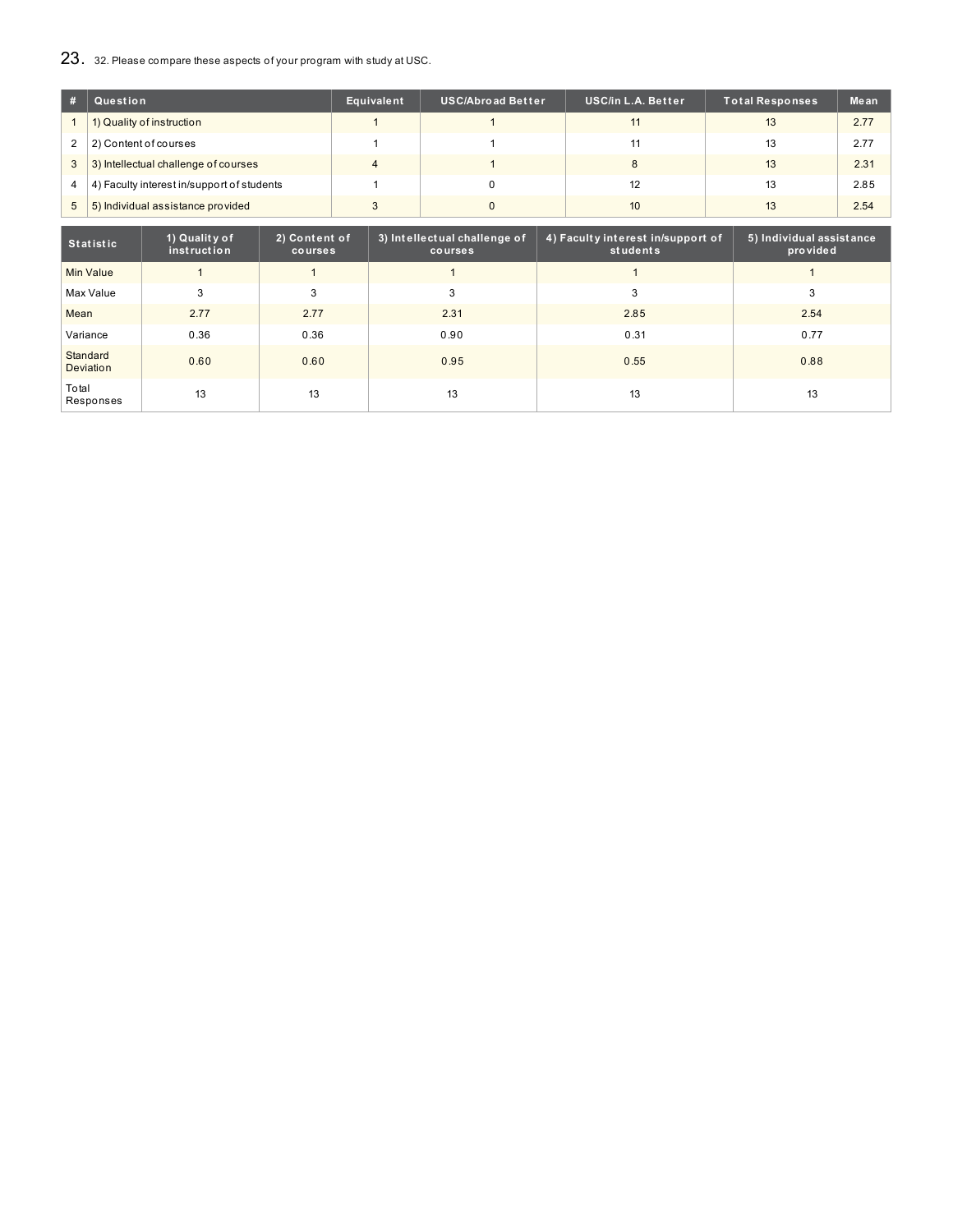# 23. 32. Please compare these aspects of your program with study at USC.

|                | Question                                   | Equivalent | <b>USC/Abroad Better</b> | <b>USC/in L.A. Better</b> | Total Responses | Mean |
|----------------|--------------------------------------------|------------|--------------------------|---------------------------|-----------------|------|
|                | 1) Quality of instruction                  |            |                          | 11                        | 13              | 2.77 |
| $\overline{2}$ | 2) Content of courses                      |            |                          | 11                        | 13              | 2.77 |
| $\overline{3}$ | 3) Intellectual challenge of courses       | 4          |                          | 8                         | 13              | 2.31 |
| 4              | 4) Faculty interest in/support of students |            |                          | 12                        | 13              | 2.85 |
| 5              | 5) Individual assistance provided          |            |                          | 10                        | 13              | 2.54 |

| <b>Statistic</b>      | 1) Quality of<br>instruction | 2) Content of<br>courses | 3) Intellectual challenge of<br>courses | 4) Faculty interest in/support of<br>students | 5) Individual assistance<br>provided |
|-----------------------|------------------------------|--------------------------|-----------------------------------------|-----------------------------------------------|--------------------------------------|
| <b>Min Value</b>      |                              |                          |                                         |                                               |                                      |
| Max Value             | 3                            | 3                        | 3                                       | 3                                             | 3                                    |
| Mean                  | 2.77                         | 2.77                     | 2.31                                    | 2.85                                          | 2.54                                 |
| Variance              | 0.36                         | 0.36                     | 0.90                                    | 0.31                                          | 0.77                                 |
| Standard<br>Deviation | 0.60                         | 0.60                     | 0.95                                    | 0.55                                          | 0.88                                 |
| Total<br>Responses    | 13                           | 13                       | 13                                      | 13                                            | 13                                   |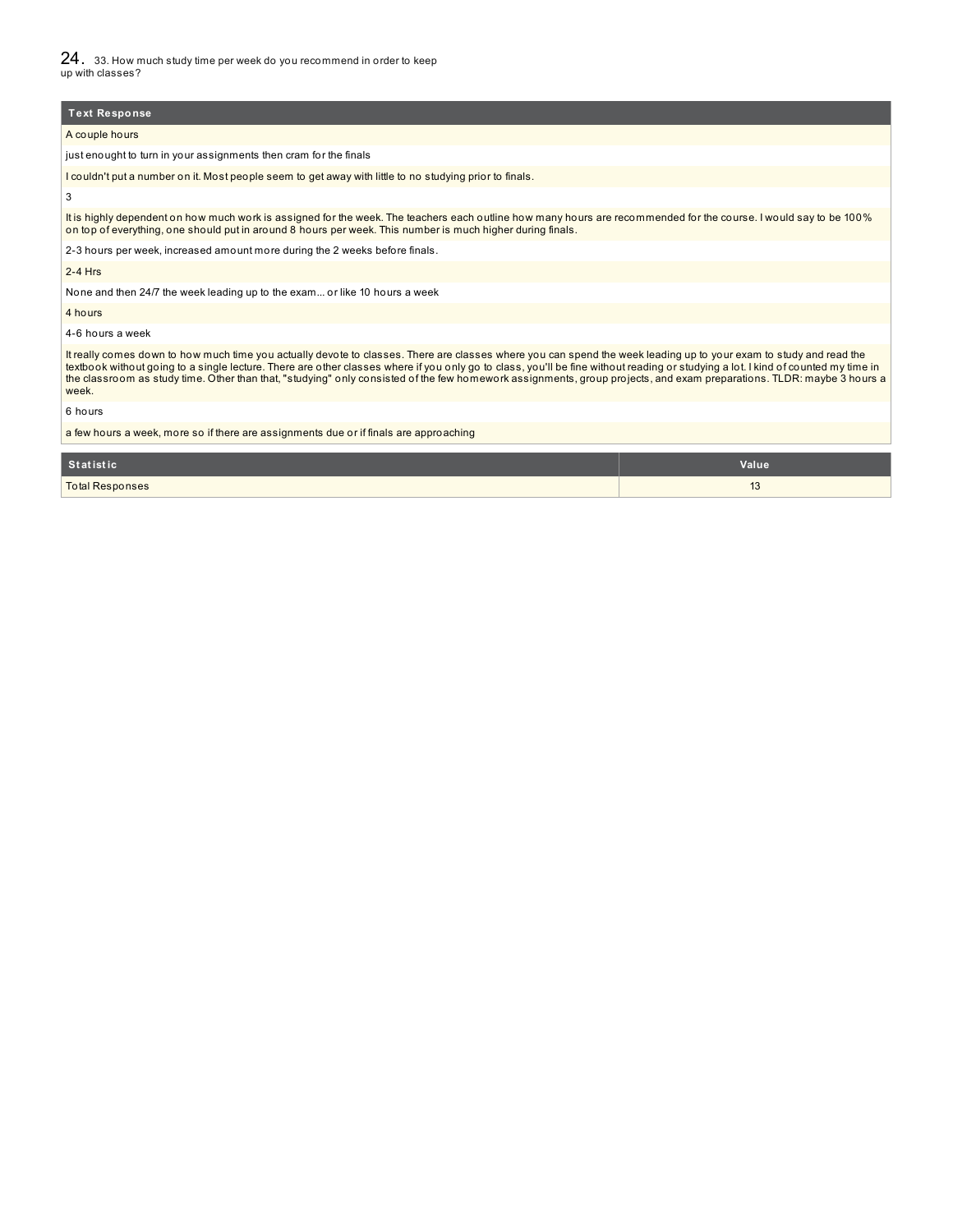24. 33. How much study time per week do you recommend in order to keep up with classes?

**Text Response**

A couple hours

just enought to turn in your assignments then cram for the finals

I couldn't put a number on it. Most people seem to get away with little to no studying prior to finals

3

It is highly dependent on how much work is assigned for the week. The teachers each outline how many hours are recommended for the course. I would say to be 100% on top of everything, one should put in around 8 hours per week. This number is much higher during finals.

2-3 hours per week, increased amount more during the 2 weeks before finals.

2-4 Hrs

None and then 24/7 the week leading up to the exam... or like 10 hours a week

4 hours

4-6 hours a week

It really comes down to how much time you actually devote to classes. There are classes where you can spend the week leading up to your exam to study and read the<br>textbook without going to a single lecture. There are other week.

6 hours

a few hours a week, more so if there are assignments due or if finals are approaching

| Statistic              | Value                       |
|------------------------|-----------------------------|
| <b>Total Responses</b> | $\overline{16}$<br>ιυ<br>__ |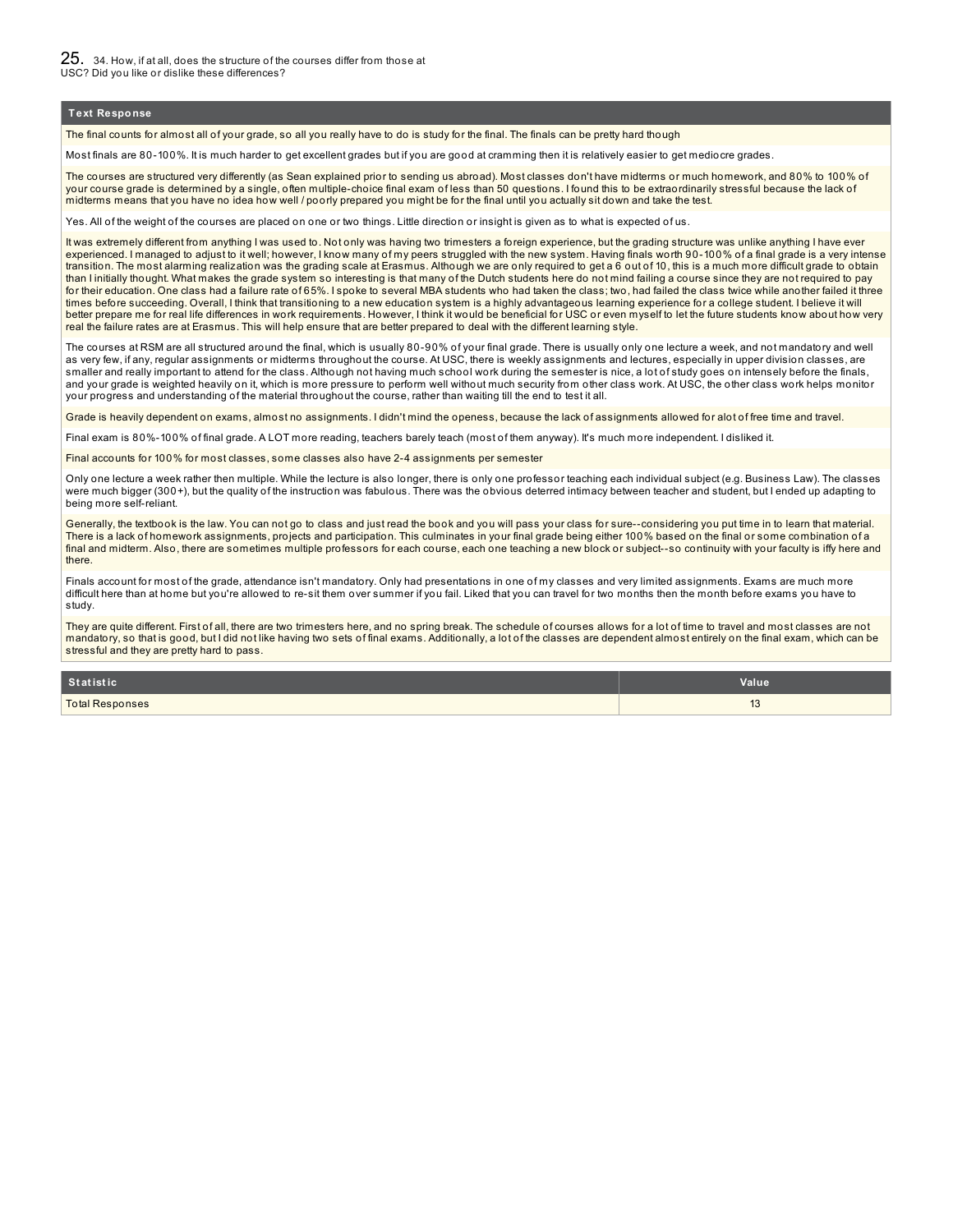The final counts for almost all of your grade, so all you really have to do is study for the final. The finals can be pretty hard though

Most finals are 80-100%. It is much harder to get excellent grades but if you are good at cramming then it is relatively easier to get mediocre grades.

The courses are structured very differently (as Sean explained prior to sending us abroad). Most classes don't have midterms or much homework, and 80% to 100% of your course grade is determined by a single, often multiple-choice final exam of less than 50 questions. I found this to be extraordinarily stressful because the lack of midterms means that you have no idea how well / poorly prepared you might be for the final until you actually sit down and take the test.

Yes. All of the weight of the courses are placed on one or two things. Little direction or insight is given as to what is expected of us.

It was extremely different from anything I was used to. Not only was having two trimesters a foreign experience, but the grading structure was unlike anything I have ever experienced. I managed to adjust to it well; however, I know many of my peers struggled with the new system. Having finals worth 90-100% of a final grade is a very intense transition. The most alarming realization was the grading scale at Erasmus. Although we are only required to get a 6 out of 10, this is a much more difficult grade to obtain than I initially thought. What makes the grade system so interesting is that many of the Dutch students here do not mind failing a course since they are not required to pay for their education. One class had a failure rate of 65%. I spoke to several MBA students who had taken the class; two, had failed the class twice while another failed it three times before succeeding. Overall, I think that transitioning to a new education system is a highly advantageous learning experience for a college student. I believe it will better prepare me for real life differences in work requirements. However, I think it would be beneficial for USC or even myself to let the future students know about how very real the failure rates are at Erasmus. This will help ensure that are better prepared to deal with the different learning style.

The courses at RSM are all structured around the final, which is usually 80-90% of your final grade. There is usually only one lecture a week, and not mandatory and well as very few, if any, regular assignments or midterms throughout the course. At USC, there is weekly assignments and lectures, especially in upper division classes, are smaller and really important to attend for the class. Although not having much school work during the semester is nice, a lot of study goes on intensely before the finals, and your grade is weighted heavily on it, which is more pressure to perform well without much security from other class work. At USC, the other class work helps monitor your progress and understanding of the material throughout the course, rather than waiting till the end to test it all.

Grade is heavily dependent on exams, almost no assignments. I didn't mind the openess, because the lack of assignments allowed for alot of free time and travel.

Final exam is 80%-100% of final grade. A LOT more reading, teachers barely teach (most of them anyway). It's much more independent. I disliked it.

Final accounts for 100% for most classes, some classes also have 2-4 assignments per semester

Only one lecture a week rather then multiple. While the lecture is also longer, there is only one professor teaching each individual subject (e.g. Business Law). The classes were much bigger (300+), but the quality of the instruction was fabulous. There was the obvious deterred intimacy between teacher and student, but I ended up adapting to being more self-reliant.

Generally, the textbook is the law. You can not go to class and just read the book and you will pass your class for sure--considering you put time in to learn that material. There is a lack of homework assignments, projects and participation. This culminates in your final grade being either 100% based on the final or some combination of a final and midterm. Also, there are sometimes multiple professors for each course, each one teaching a new block or subject--so continuity with your faculty is iffy here and there.

Finals account for most of the grade, attendance isn't mandatory. Only had presentations in one of my classes and very limited assignments. Exams are much more difficult here than at home but you're allowed to re-sit them over summer if you fail. Liked that you can travel for two months then the month before exams you have to study.

They are quite different. First of all, there are two trimesters here, and no spring break. The schedule of courses allows for a lot of time to travel and most classes are not mandatory, so that is good, but I did not like having two sets of final exams. Additionally, a lot of the classes are dependent almost entirely on the final exam, which can be stressful and they are pretty hard to pass.

| Statistic              | Value                                 |
|------------------------|---------------------------------------|
| <b>Total Responses</b> | $\overline{A}$<br>ںו<br>$\sim$ $\sim$ |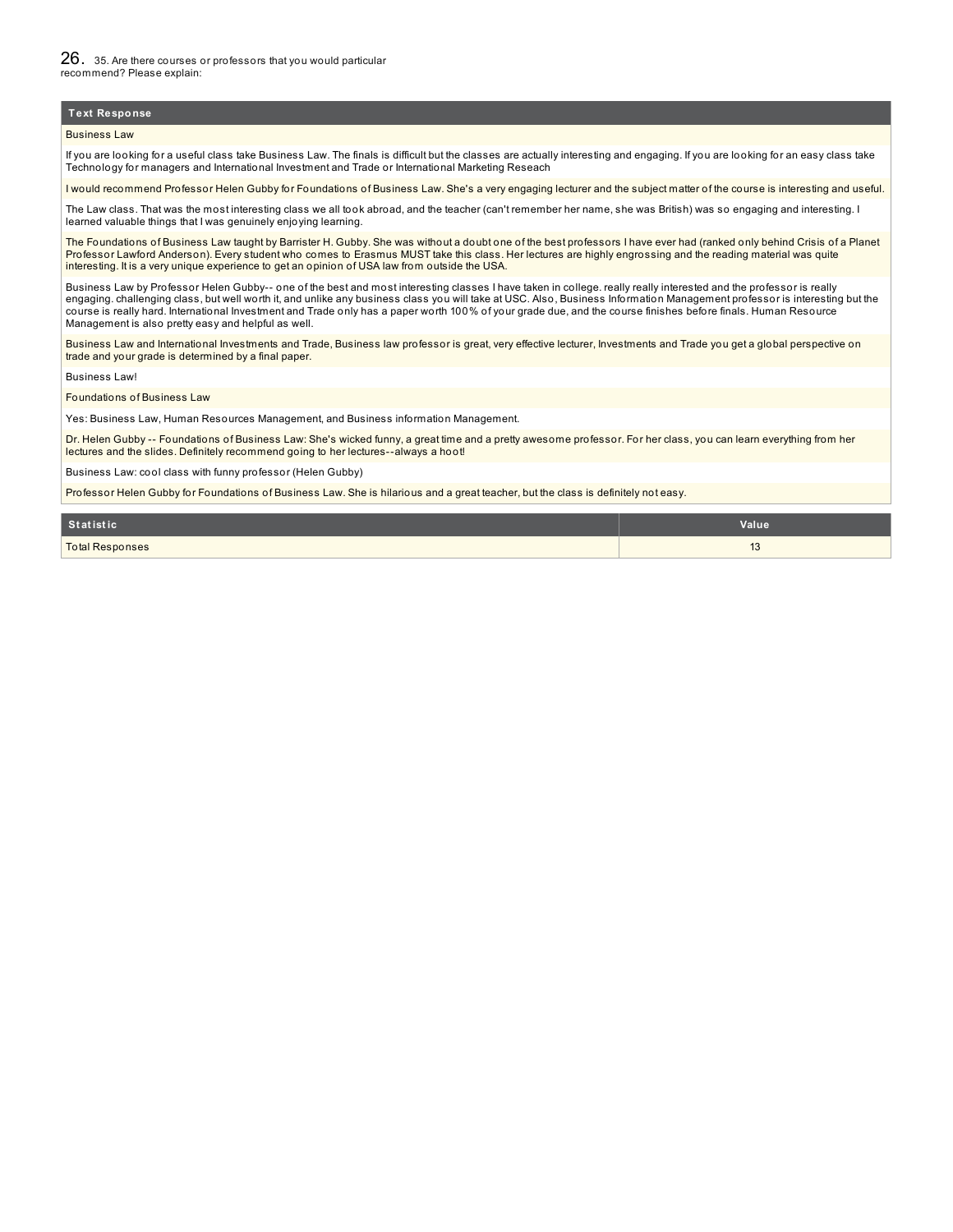#### Business Law

If you are looking for a useful class take Business Law. The finals is difficult but the classes are actually interesting and engaging. If you are looking for an easy class take Technology for managers and International Investment and Trade or International Marketing Reseach

I would recommend Professor Helen Gubby for Foundations of Business Law. She's a very engaging lecturer and the subject matter of the course is interesting and useful.

The Law class. That was the most interesting class we all took abroad, and the teacher (can't remember her name, she was British) was so engaging and interesting. I learned valuable things that I was genuinely enjoying learning.

The Foundations of Business Law taught by Barrister H. Gubby. She was without a doubt one of the best professors I have ever had (ranked only behind Crisis of a Planet Professor Lawford Anderson). Every student who comes to Erasmus MUST take this class. Her lectures are highly engrossing and the reading material was quite interesting. It is a very unique experience to get an opinion of USA law from outside the USA.

Business Law by Professor Helen Gubby-- one of the best and most interesting classes I have taken in college. really really interested and the professor is really engaging. challenging class, but well worth it, and unlike any business class you will take at USC. Also, Business Information Management professor is interesting but the course is really hard. International Investment and Trade only has a paper worth 100% of your grade due, and the course finishes before finals. Human Resource Management is also pretty easy and helpful as well.

Business Law and International Investments and Trade, Business law professor is great, very effective lecturer, Investments and Trade you get a global perspective on trade and your grade is determined by a final paper.

Business Law!

#### Foundations of Business Law

Yes: Business Law, Human Resources Management, and Business information Management.

Dr. Helen Gubby -- Foundations of Business Law: She's wicked funny, a great time and a pretty awesome professor. For her class, you can learn everything from her lectures and the slides. Definitely recommend going to her lectures--always a hoot!

Business Law: cool class with funny professor (Helen Gubby)

Professor Helen Gubby for Foundations of Business Law. She is hilarious and a great teacher, but the class is definitely not easy.

| <b>Statistic</b>       | Value                        |
|------------------------|------------------------------|
| <b>Total Responses</b> | $\overline{16}$<br><b>10</b> |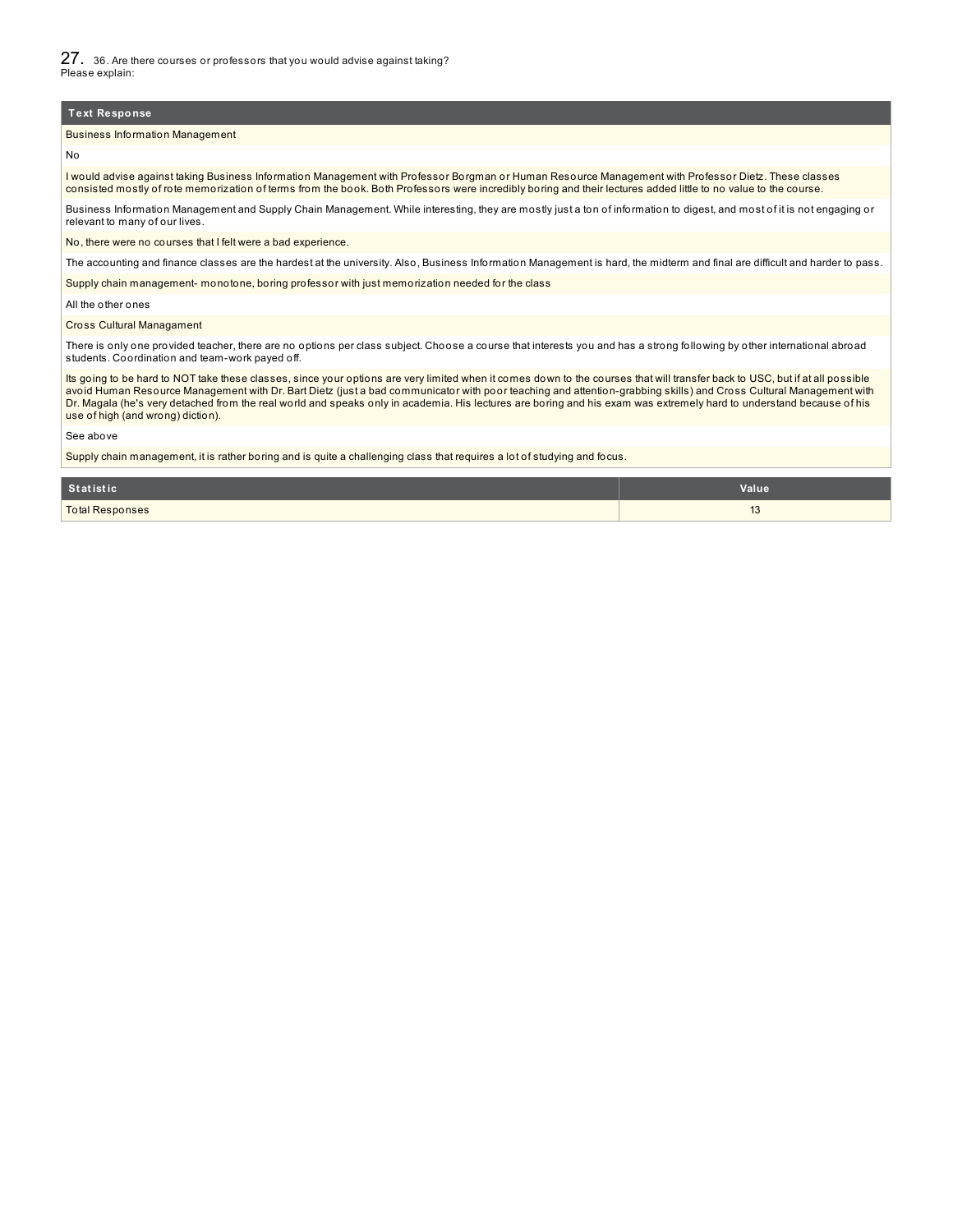27. 36. Are there courses or professors that you would advise against taking? Please explain:

#### **Text Response**

#### Business Information Management

No

I would advise against taking Business Information Management with Professor Borgman or Human Resource Management with Professor Dietz. These classes consisted mostly of rote memorization of terms from the book. Both Professors were incredibly boring and their lectures added little to no value to the course.

Business Information Management and Supply Chain Management. While interesting, they are mostly just a ton of information to digest, and most of it is not engaging or relevant to many of our lives.

No, there were no courses that I felt were a bad experience.

The accounting and finance classes are the hardest at the university. Also, Business Information Management is hard, the midterm and final are difficult and harder to pass.

Supply chain management- monotone, boring professor with just memorization needed for the class

All the other ones

#### Cross Cultural Managament

There is only one provided teacher, there are no options per class subject. Choose a course that interests you and has a strong following by other international abroad students. Coordination and team-work payed off.

Its going to be hard to NOT take these classes, since your options are very limited when it comes down to the courses that will transfer back to USC, but if at all possible avoid Human Resource Management with Dr. Bart Dietz (just a bad communicator with poor teaching and attention-grabbing skills) and Cross Cultural Management with Dr. Magala (he's very detached from the real world and speaks only in academia. His lectures are boring and his exam was extremely hard to understand because of his use of high (and wrong) diction).

#### See above

Supply chain management, it is rather boring and is quite a challenging class that requires a lot of studying and focus.

| Statistic              | Value                      |
|------------------------|----------------------------|
| <b>Total Responses</b> | $\overline{A}$<br><b>U</b> |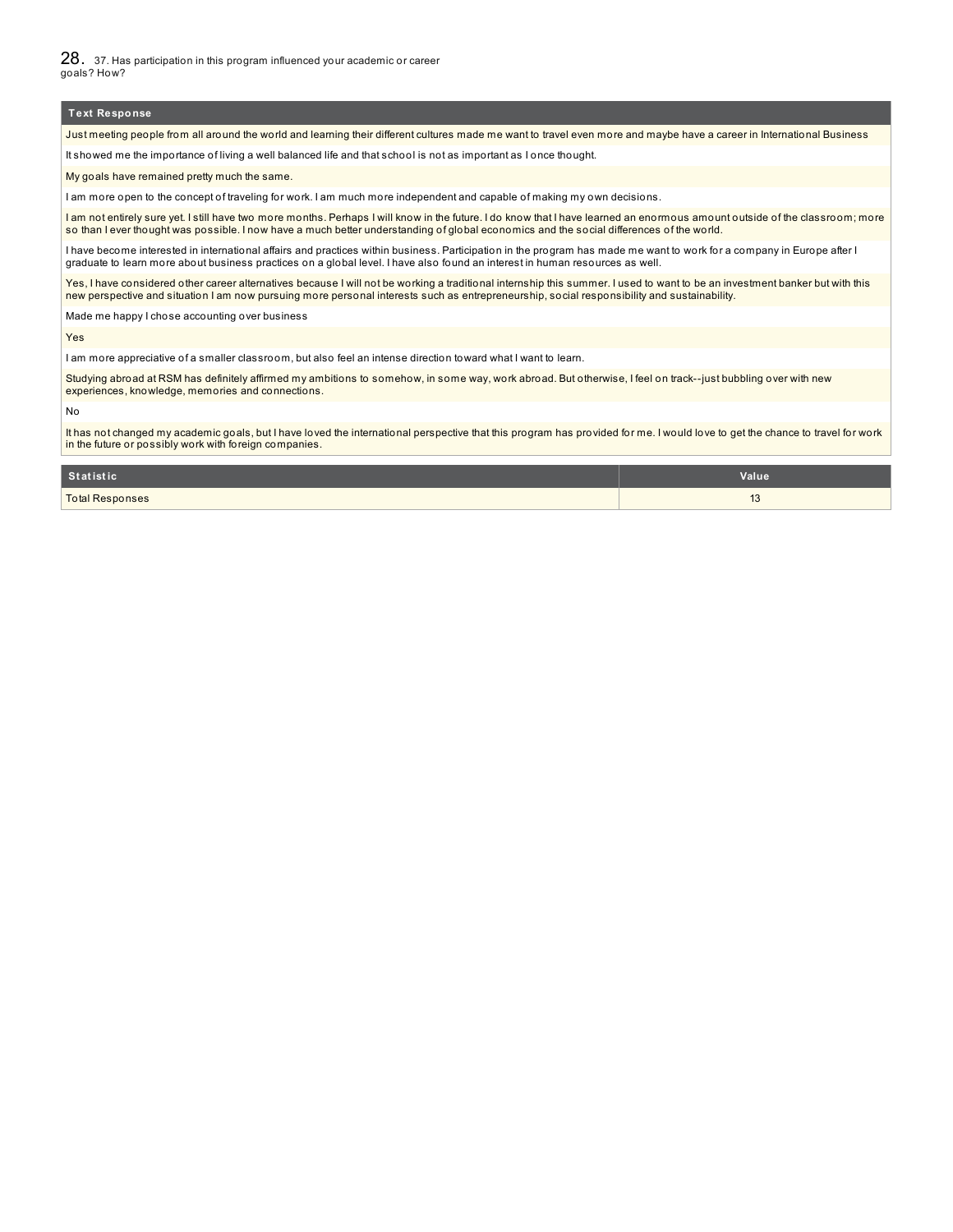28. 37. Has participation in this program influenced your academic or career goals? How?

#### **Text Response**

Just meeting people from all around the world and learning their different cultures made me want to travel even more and maybe have a career in International Business

It showed me the importance of living a well balanced life and that school is not as important as I once thought.

My goals have remained pretty much the same.

I am more open to the concept of traveling for work. I am much more independent and capable of making my own decisions.

I am not entirely sure yet. I still have two more months. Perhaps I will know in the future. I do know that I have learned an enormous amount outside of the classroom; more so than I ever thought was possible. I now have a much better understanding of global economics and the social differences of the world.

I have become interested in international affairs and practices within business. Participation in the program has made me want to work for a company in Europe after I graduate to learn more about business practices on a global level. I have also found an interest in human resources as well.

Yes, I have considered other career alternatives because I will not be working a traditional internship this summer. I used to want to be an investment banker but with this new perspective and situation I am now pursuing more personal interests such as entrepreneurship, social responsibility and sustainability.

Made me happy I chose accounting over business

Yes

I am more appreciative of a smaller classroom, but also feel an intense direction toward what I want to learn.

Studying abroad at RSM has definitely affirmed my ambitions to somehow, in some way, work abroad. But otherwise, I feel on track--just bubbling over with new experiences, knowledge, memories and connections.

No

It has not changed my academic goals, but I have loved the international perspective that this program has provided for me. I would love to get the chance to travel for work in the future or possibly work with foreign companies.

| Statistic              | <b>Value</b>                       |
|------------------------|------------------------------------|
| <b>Total Responses</b> | $\overline{\phantom{0}}$<br>$\sim$ |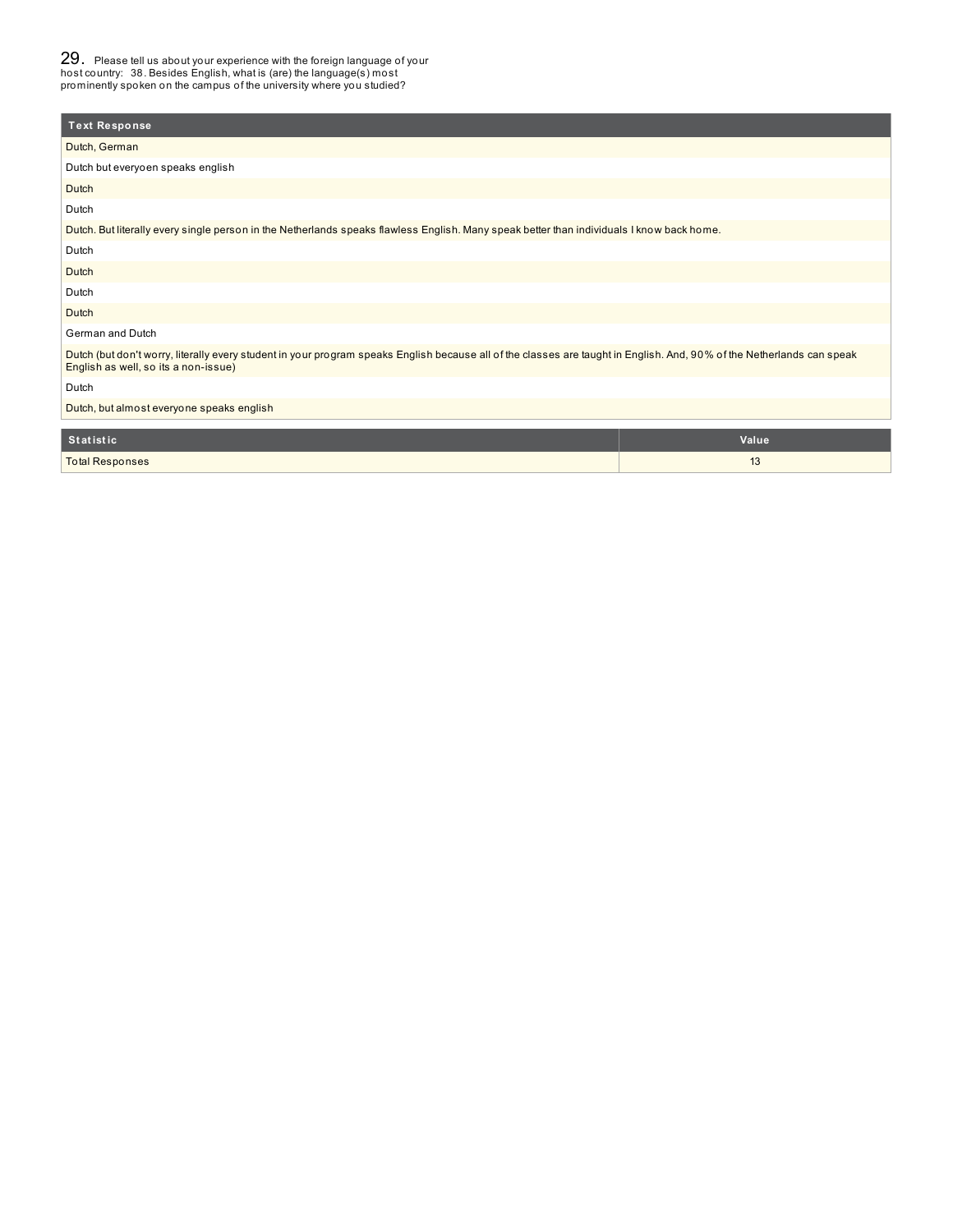29. Please tell us about your experience with the foreign language of your host country: 38. Besides English, what is (are) the language(s) most prominently spoken on the campus of the university where you studied?

| <b>Text Response</b>                                                                                                                                                                                           |       |
|----------------------------------------------------------------------------------------------------------------------------------------------------------------------------------------------------------------|-------|
| Dutch, German                                                                                                                                                                                                  |       |
| Dutch but everyoen speaks english                                                                                                                                                                              |       |
| Dutch                                                                                                                                                                                                          |       |
| Dutch                                                                                                                                                                                                          |       |
| Dutch. But literally every single person in the Netherlands speaks flawless English. Many speak better than individuals I know back home.                                                                      |       |
| Dutch                                                                                                                                                                                                          |       |
| Dutch                                                                                                                                                                                                          |       |
| Dutch                                                                                                                                                                                                          |       |
| Dutch                                                                                                                                                                                                          |       |
| German and Dutch                                                                                                                                                                                               |       |
| Dutch (but don't worry, literally every student in your program speaks English because all of the classes are taught in English. And, 90% of the Netherlands can speak<br>English as well, so its a non-issue) |       |
| Dutch                                                                                                                                                                                                          |       |
| Dutch, but almost everyone speaks english                                                                                                                                                                      |       |
|                                                                                                                                                                                                                |       |
| <b>Statistic</b>                                                                                                                                                                                               | Value |

Total Responses 13 and 200 million and 200 million and 200 million and 200 million and 200 million and 200 million and 200 million and 200 million and 200 million and 200 million and 200 million and 200 million and 200 mi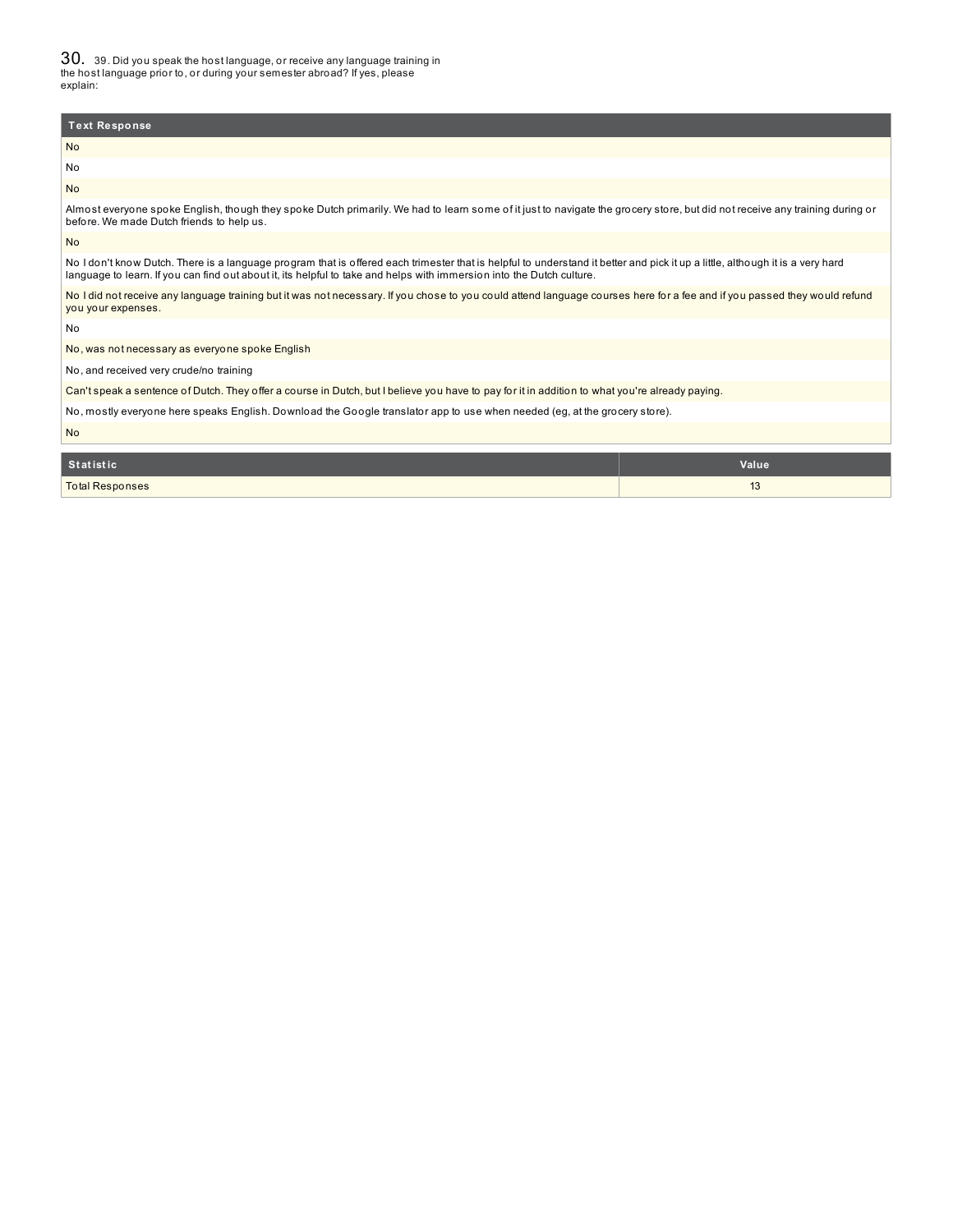30. 39. Did you speak the host language, or receive any language training in the host language prior to, or during your semester abroad? If yes, please explain:

| <b>Text Response</b>                                                                                                                                                                                                                                                                                   |  |  |  |
|--------------------------------------------------------------------------------------------------------------------------------------------------------------------------------------------------------------------------------------------------------------------------------------------------------|--|--|--|
| <b>No</b>                                                                                                                                                                                                                                                                                              |  |  |  |
| No                                                                                                                                                                                                                                                                                                     |  |  |  |
| <b>No</b>                                                                                                                                                                                                                                                                                              |  |  |  |
| Almost everyone spoke English, though they spoke Dutch primarily. We had to learn some of it just to navigate the grocery store, but did not receive any training during or<br>before. We made Dutch friends to help us.                                                                               |  |  |  |
| <b>No</b>                                                                                                                                                                                                                                                                                              |  |  |  |
| No I don't know Dutch. There is a language program that is offered each trimester that is helpful to understand it better and pick it up a little, although it is a very hard<br>language to learn. If you can find out about it, its helpful to take and helps with immersion into the Dutch culture. |  |  |  |
| No I did not receive any language training but it was not necessary. If you chose to you could attend language courses here for a fee and if you passed they would refund<br>you your expenses.                                                                                                        |  |  |  |
| No                                                                                                                                                                                                                                                                                                     |  |  |  |
| No, was not necessary as everyone spoke English                                                                                                                                                                                                                                                        |  |  |  |
| No, and received very crude/no training                                                                                                                                                                                                                                                                |  |  |  |
| Can't speak a sentence of Dutch. They offer a course in Dutch, but I believe you have to pay for it in addition to what you're already paying.                                                                                                                                                         |  |  |  |
| No, mostly everyone here speaks English. Download the Google translator app to use when needed (eg, at the grocery store).                                                                                                                                                                             |  |  |  |
| <b>No</b>                                                                                                                                                                                                                                                                                              |  |  |  |
| <b>Statistic</b><br>Value                                                                                                                                                                                                                                                                              |  |  |  |

Total Responses 13 and 2012 13 and 2013 13 and 2013 13 and 2013 13 and 2013 13 and 2013 13 and 2013 13 and 2013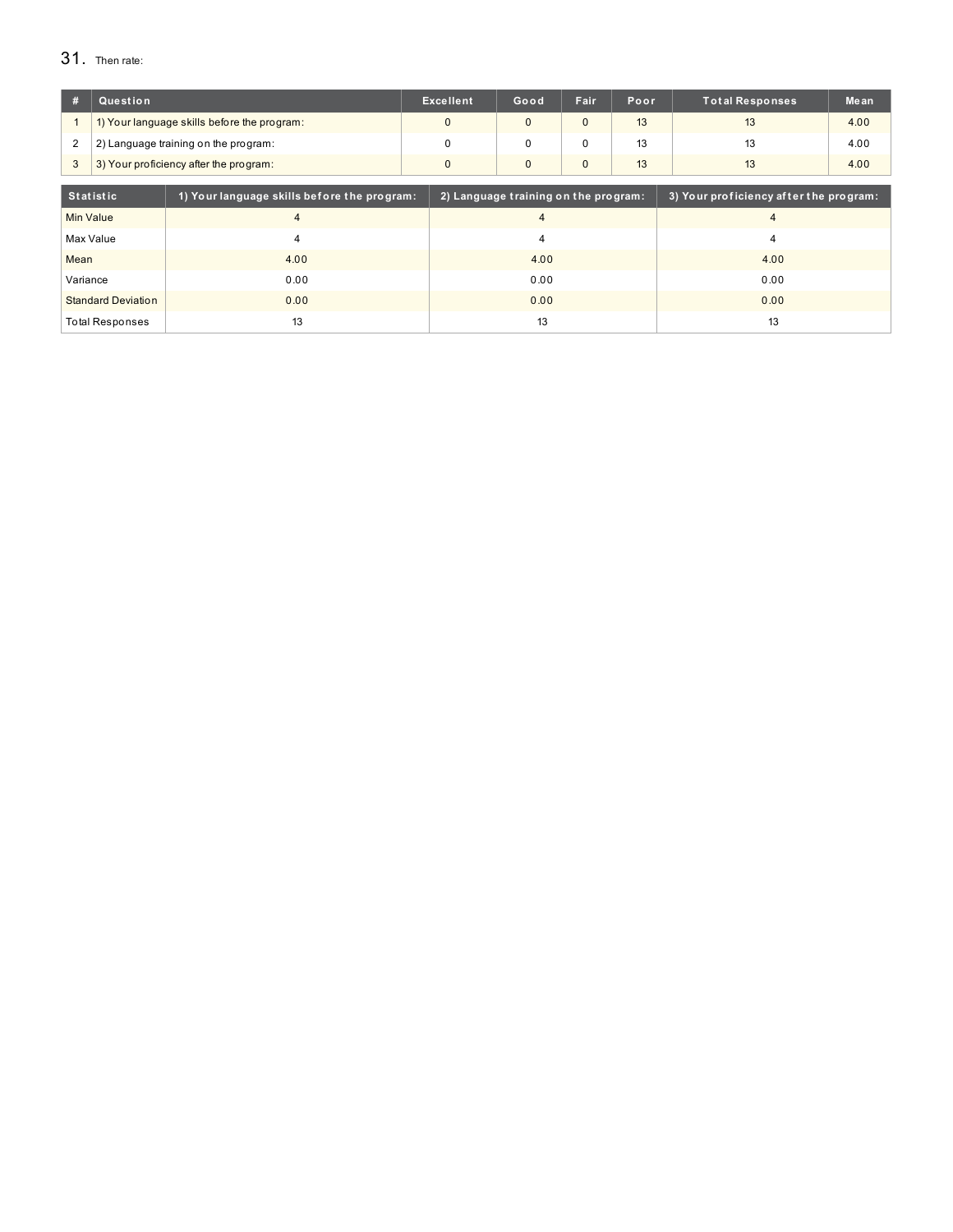# 31. Then rate:

| #                                                               | Question                                    |                | <b>Excellent</b>                     | Fair<br>Good<br>Poor             |              | <b>Total Responses</b>                 | Mean |      |  |
|-----------------------------------------------------------------|---------------------------------------------|----------------|--------------------------------------|----------------------------------|--------------|----------------------------------------|------|------|--|
|                                                                 | 1) Your language skills before the program: |                | $\Omega$                             | $\Omega$<br>13<br>$\mathbf{0}$   |              | 13<br>4.00                             |      |      |  |
| $\overline{2}$                                                  | 2) Language training on the program:        |                | $\mathbf 0$                          | 13<br>$\mathbf 0$<br>$\mathbf 0$ |              |                                        | 13   | 4.00 |  |
| 3                                                               | 3) Your proficiency after the program:      |                | $\mathbf{0}$                         | $\mathbf{0}$                     | $\mathbf{0}$ | 13                                     | 13   | 4.00 |  |
|                                                                 |                                             |                |                                      |                                  |              |                                        |      |      |  |
| <b>Statistic</b><br>1) Your language skills before the program: |                                             |                | 2) Language training on the program: |                                  |              | 3) Your proficiency after the program: |      |      |  |
| Min Value                                                       |                                             | $\overline{4}$ |                                      | $\overline{4}$                   |              | $\overline{4}$                         |      |      |  |
|                                                                 | Max Value                                   | 4              |                                      | $\overline{4}$                   |              | 4                                      |      |      |  |
| Mean                                                            |                                             | 4.00           |                                      | 4.00                             |              |                                        |      | 4.00 |  |
| Variance                                                        |                                             | 0.00           |                                      | 0.00                             |              |                                        |      | 0.00 |  |
| <b>Standard Deviation</b><br>0.00                               |                                             |                | 0.00                                 |                                  |              | 0.00                                   |      |      |  |
| 13<br><b>Total Responses</b>                                    |                                             |                | 13                                   |                                  |              | 13                                     |      |      |  |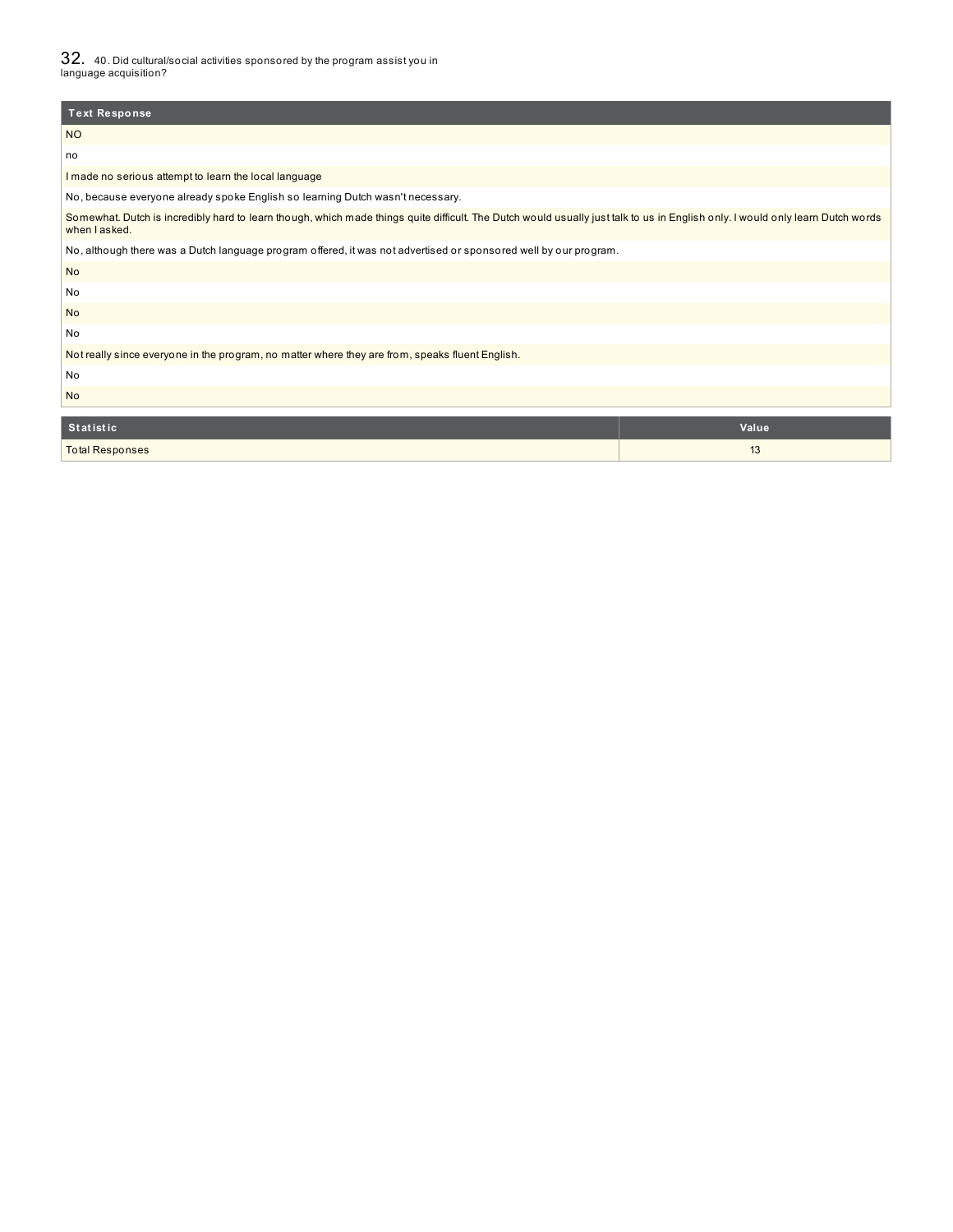$32\;\;$  40. Did cultural/social activities sponsored by the program assist you in<br>language acquisition?

| <b>Text Response</b>                                                                                                                                                                            |       |  |  |  |
|-------------------------------------------------------------------------------------------------------------------------------------------------------------------------------------------------|-------|--|--|--|
| <b>NO</b>                                                                                                                                                                                       |       |  |  |  |
| no                                                                                                                                                                                              |       |  |  |  |
| I made no serious attempt to learn the local language                                                                                                                                           |       |  |  |  |
| No, because everyone already spoke English so learning Dutch wasn't necessary.                                                                                                                  |       |  |  |  |
| Somewhat. Dutch is incredibly hard to learn though, which made things quite difficult. The Dutch would usually just talk to us in English only. I would only learn Dutch words<br>when I asked. |       |  |  |  |
| No, although there was a Dutch language program offered, it was not advertised or sponsored well by our program.                                                                                |       |  |  |  |
| <b>No</b>                                                                                                                                                                                       |       |  |  |  |
| No                                                                                                                                                                                              |       |  |  |  |
| <b>No</b>                                                                                                                                                                                       |       |  |  |  |
| No                                                                                                                                                                                              |       |  |  |  |
| Not really since everyone in the program, no matter where they are from, speaks fluent English.                                                                                                 |       |  |  |  |
| No                                                                                                                                                                                              |       |  |  |  |
| <b>No</b>                                                                                                                                                                                       |       |  |  |  |
| <b>Statistic</b>                                                                                                                                                                                | Value |  |  |  |
| <b>Total Responses</b>                                                                                                                                                                          | 13    |  |  |  |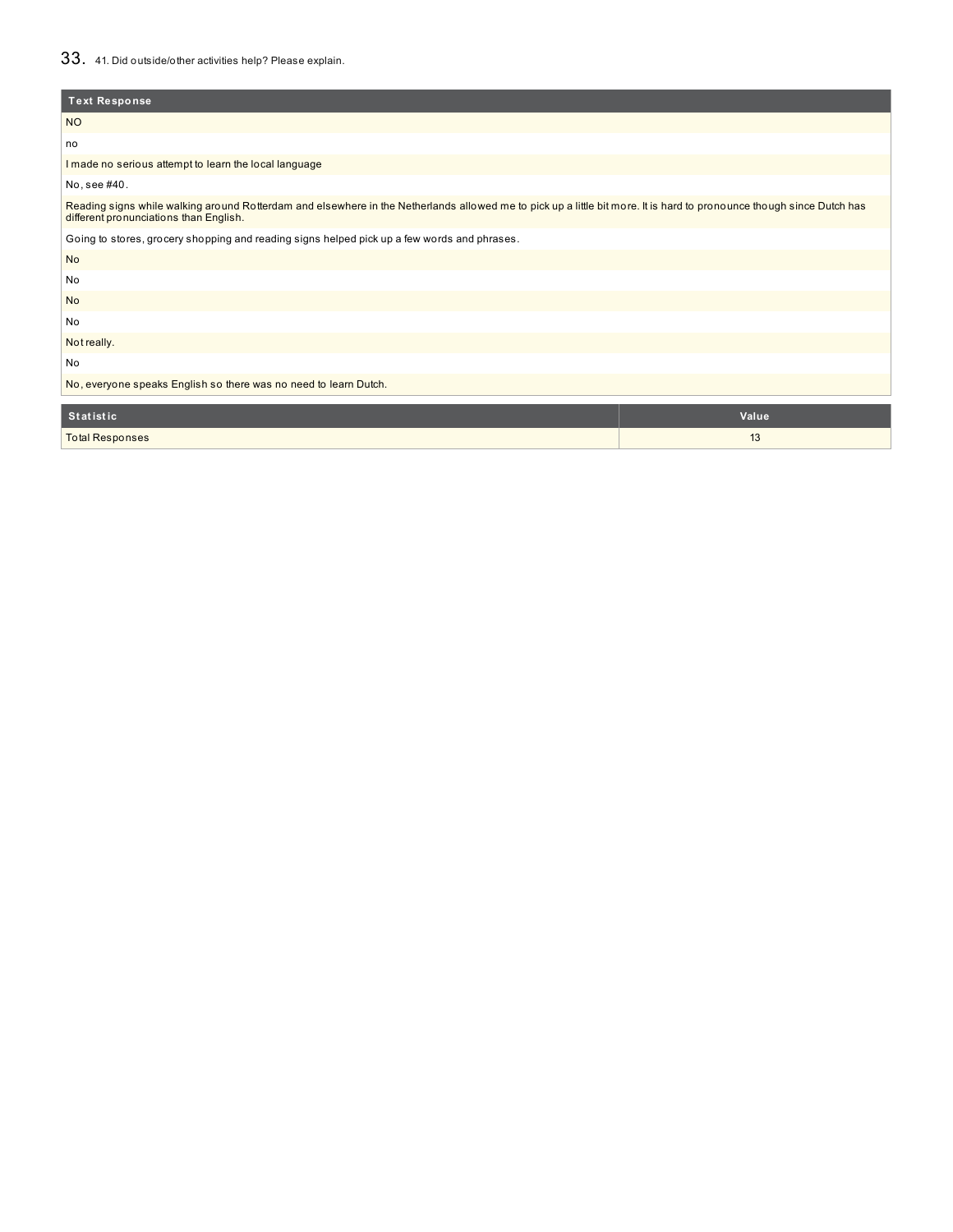# 33. 41. Did outside/other activities help? Please explain.

| <b>Text Response</b>                                                                                                                                                                                            |
|-----------------------------------------------------------------------------------------------------------------------------------------------------------------------------------------------------------------|
| <b>NO</b>                                                                                                                                                                                                       |
| no                                                                                                                                                                                                              |
| I made no serious attempt to learn the local language                                                                                                                                                           |
| No, see #40.                                                                                                                                                                                                    |
| Reading signs while walking around Rotterdam and elsewhere in the Netherlands allowed me to pick up a little bit more. It is hard to pronounce though since Dutch has<br>different pronunciations than English. |
| Going to stores, grocery shopping and reading signs helped pick up a few words and phrases.                                                                                                                     |
| <b>No</b>                                                                                                                                                                                                       |
| No                                                                                                                                                                                                              |
| <b>No</b>                                                                                                                                                                                                       |
| No                                                                                                                                                                                                              |
| Not really.                                                                                                                                                                                                     |
| No                                                                                                                                                                                                              |
| No, everyone speaks English so there was no need to learn Dutch.                                                                                                                                                |
| <b>Statistic</b><br>Value                                                                                                                                                                                       |

| statistic              | value <sup>.</sup>     |
|------------------------|------------------------|
| <b>Total Responses</b> | $\overline{A}$<br>- 19 |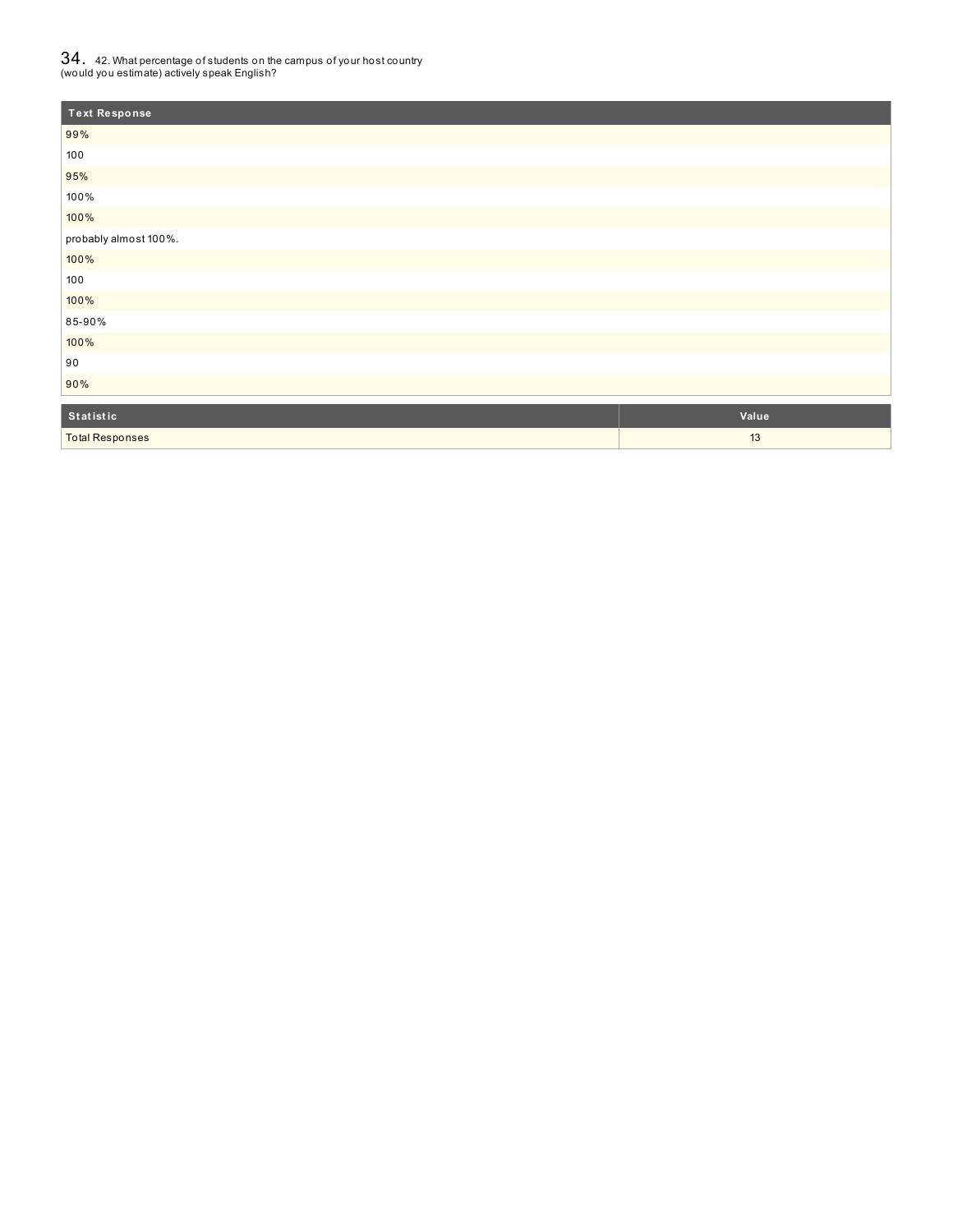# ${\bf 34}$  .  $\,$  42. What percentage of students on the campus of your host country<br>(would you estimate) actively speak English?

| <b>Text Response</b>  |       |
|-----------------------|-------|
| 99%                   |       |
| 100                   |       |
| 95%                   |       |
| 100%                  |       |
| 100%                  |       |
| probably almost 100%. |       |
| 100%                  |       |
| 100                   |       |
| 100%                  |       |
| 85-90%                |       |
| 100%                  |       |
| 90                    |       |
| 90%                   |       |
| Statistic             | Value |

Total Responses 23 and 23 and 23 and 23 and 24 and 25 and 25 and 25 and 25 and 25 and 26 and 26 and 26 and 26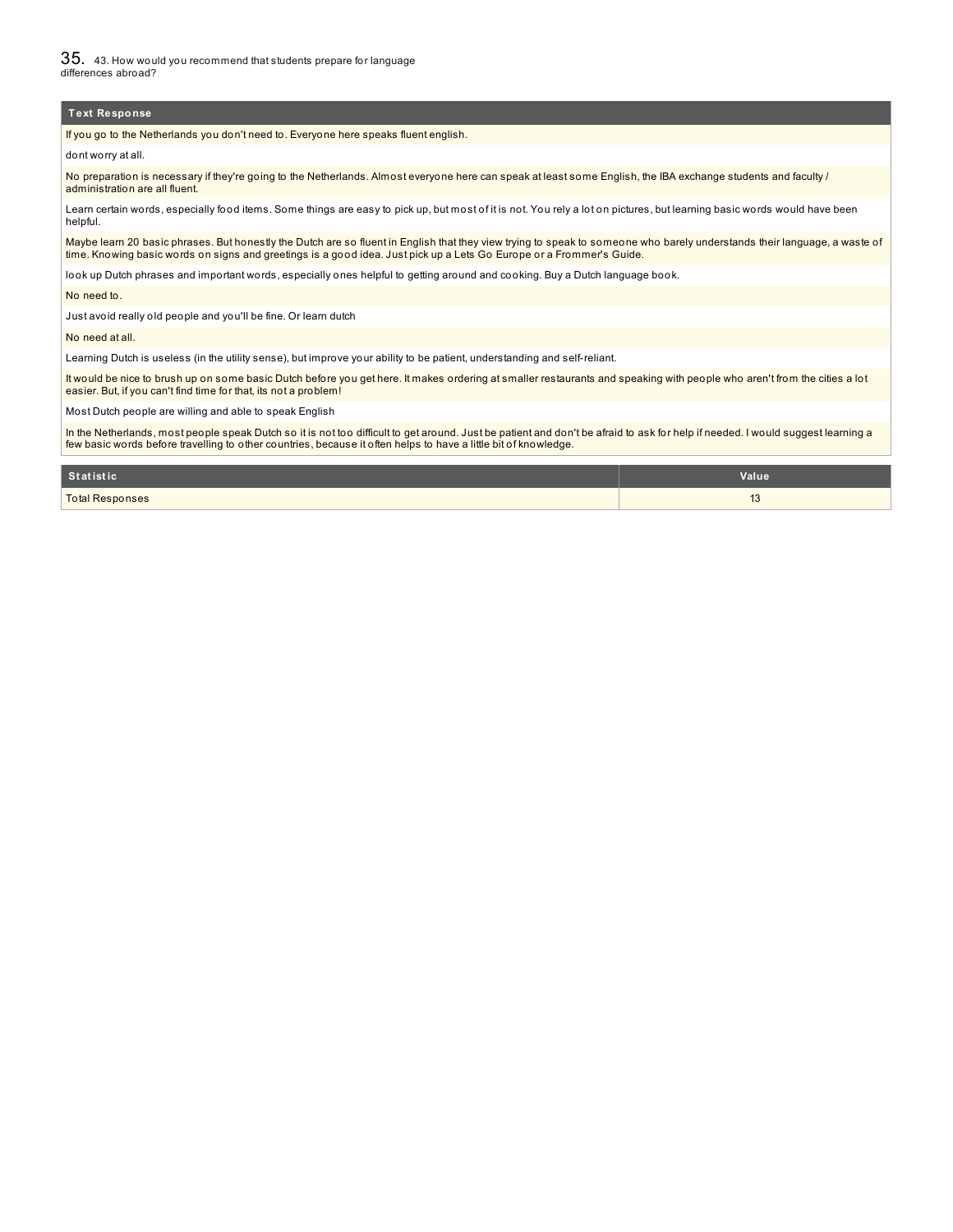35. 43. How would you recommend that students prepare for language differences abroad?

#### **Text Response**

If you go to the Netherlands you don't need to. Everyone here speaks fluent english.

dont worry at all.

No preparation is necessary if they're going to the Netherlands. Almost everyone here can speak at least some English, the IBA exchange students and faculty / administration are all fluent.

Learn certain words, especially food items. Some things are easy to pick up, but most of it is not. You rely a lot on pictures, but learning basic words would have been helpful.

Maybe learn 20 basic phrases. But honestly the Dutch are so fluent in English that they view trying to speak to someone who barely understands their language, a waste of time. Knowing basic words on signs and greetings is a good idea. Just pick up a Lets Go Europe or a Frommer's Guide.

look up Dutch phrases and important words, especially ones helpful to getting around and cooking. Buy a Dutch language book.

No need to.

Just avoid really old people and you'll be fine. Or learn dutch

No need at all.

Learning Dutch is useless (in the utility sense), but improve your ability to be patient, understanding and self-reliant.

It would be nice to brush up on some basic Dutch before you get here. It makes ordering at smaller restaurants and speaking with people who aren't from the cities a lot easier. But, if you can't find time for that, its not a problem!

Most Dutch people are willing and able to speak English

In the Netherlands, most people speak Dutch so it is not too difficult to get around. Just be patient and don't be afraid to ask for help if needed. I would suggest learning a<br>few basic words before travelling to other cou

| Statistic              | Value                 |
|------------------------|-----------------------|
| <b>Total Responses</b> | $\overline{A}$<br>ں ا |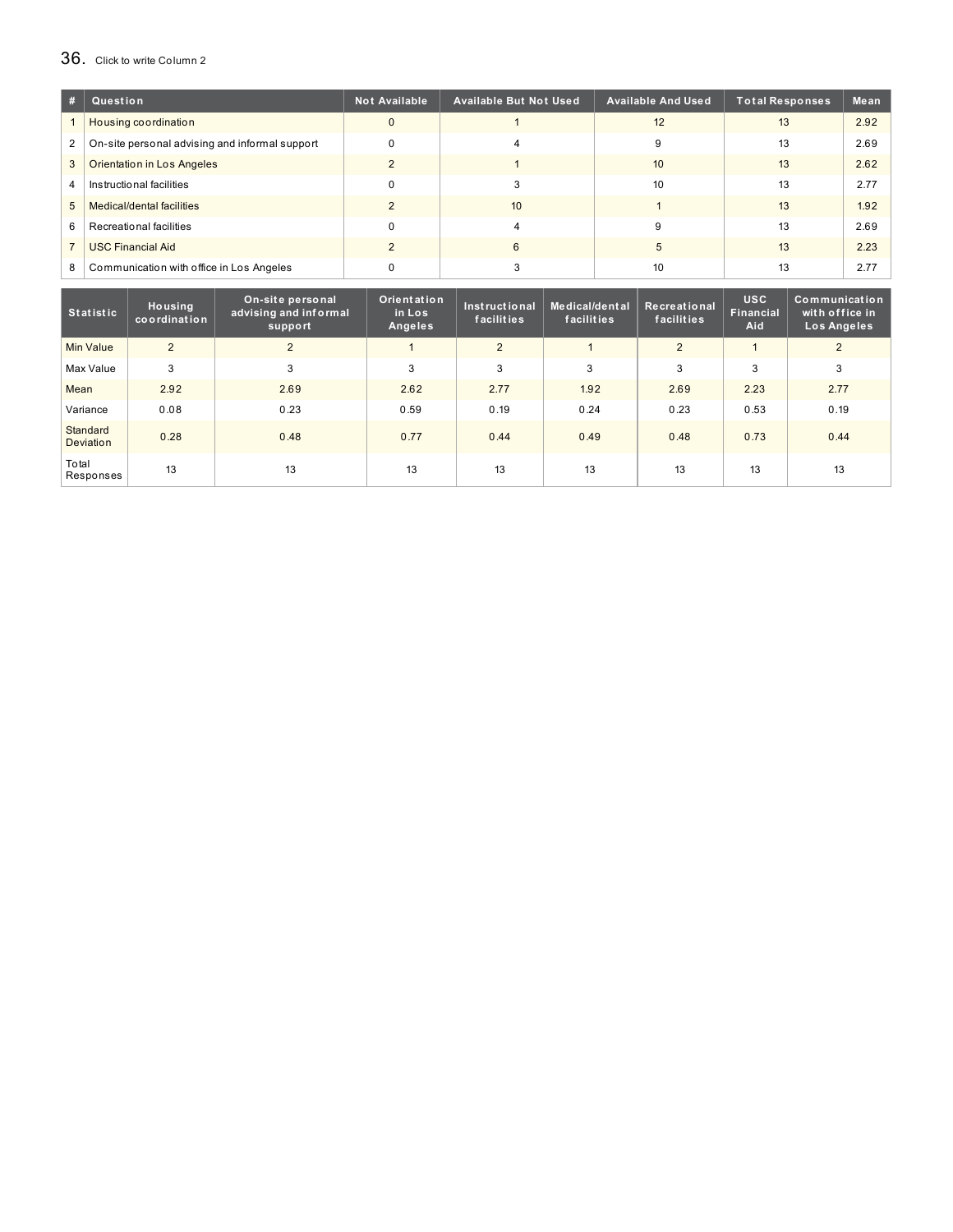# 36. Click to write Column <sup>2</sup>

| #              | Question                                       | <b>Not Available</b> | <b>Available But Not Used</b> | <b>Available And Used</b> | Total Responses | Mean |
|----------------|------------------------------------------------|----------------------|-------------------------------|---------------------------|-----------------|------|
|                | Housing coordination                           | $\Omega$             |                               | 12                        | 13              | 2.92 |
| $\mathbf{2}$   | On-site personal advising and informal support | $\Omega$             |                               | 9                         | 13              | 2.69 |
| 3              | <b>Orientation in Los Angeles</b>              | $\mathcal{D}$        |                               | 10                        | 13              | 2.62 |
| 4              | Instructional facilities                       | $\Omega$             |                               | 10                        | 13              | 2.77 |
| 5 <sup>5</sup> | Medical/dental facilities                      |                      | 10 <sup>1</sup>               |                           | 13              | 1.92 |
| 6              | Recreational facilities                        | $\Omega$             |                               |                           | 13              | 2.69 |
|                | <b>USC Financial Aid</b>                       |                      | 6                             | 5                         | 13              | 2.23 |
| 8              | Communication with office in Los Angeles       |                      |                               | 10                        | 13              | 2.77 |

| <b>Statistic</b>             | Housing<br>coordination | On-site personal<br>advising and informal<br>support | Orientation<br>in Los<br><b>Angeles</b> | Instructional<br>facilities | Medical/dental<br>facilities | Recreational<br>facilities | <b>USC</b><br><b>Financial</b><br>Aid | Communication <sup>"</sup><br>with office in<br>Los Angeles |
|------------------------------|-------------------------|------------------------------------------------------|-----------------------------------------|-----------------------------|------------------------------|----------------------------|---------------------------------------|-------------------------------------------------------------|
| <b>Min Value</b>             | 2                       | $\overline{2}$                                       |                                         | 2                           |                              | $\overline{2}$             |                                       | 2                                                           |
| Max Value                    | 3                       | 3                                                    | 3                                       | 3                           | 3                            | 3                          | 3                                     | 3                                                           |
| Mean                         | 2.92                    | 2.69                                                 | 2.62                                    | 2.77                        | 1.92                         | 2.69                       | 2.23                                  | 2.77                                                        |
| Variance                     | 0.08                    | 0.23                                                 | 0.59                                    | 0.19                        | 0.24                         | 0.23                       | 0.53                                  | 0.19                                                        |
| Standard<br><b>Deviation</b> | 0.28                    | 0.48                                                 | 0.77                                    | 0.44                        | 0.49                         | 0.48                       | 0.73                                  | 0.44                                                        |
| Total<br>Responses           | 13                      | 13                                                   | 13                                      | 13                          | 13                           | 13                         | 13                                    | 13                                                          |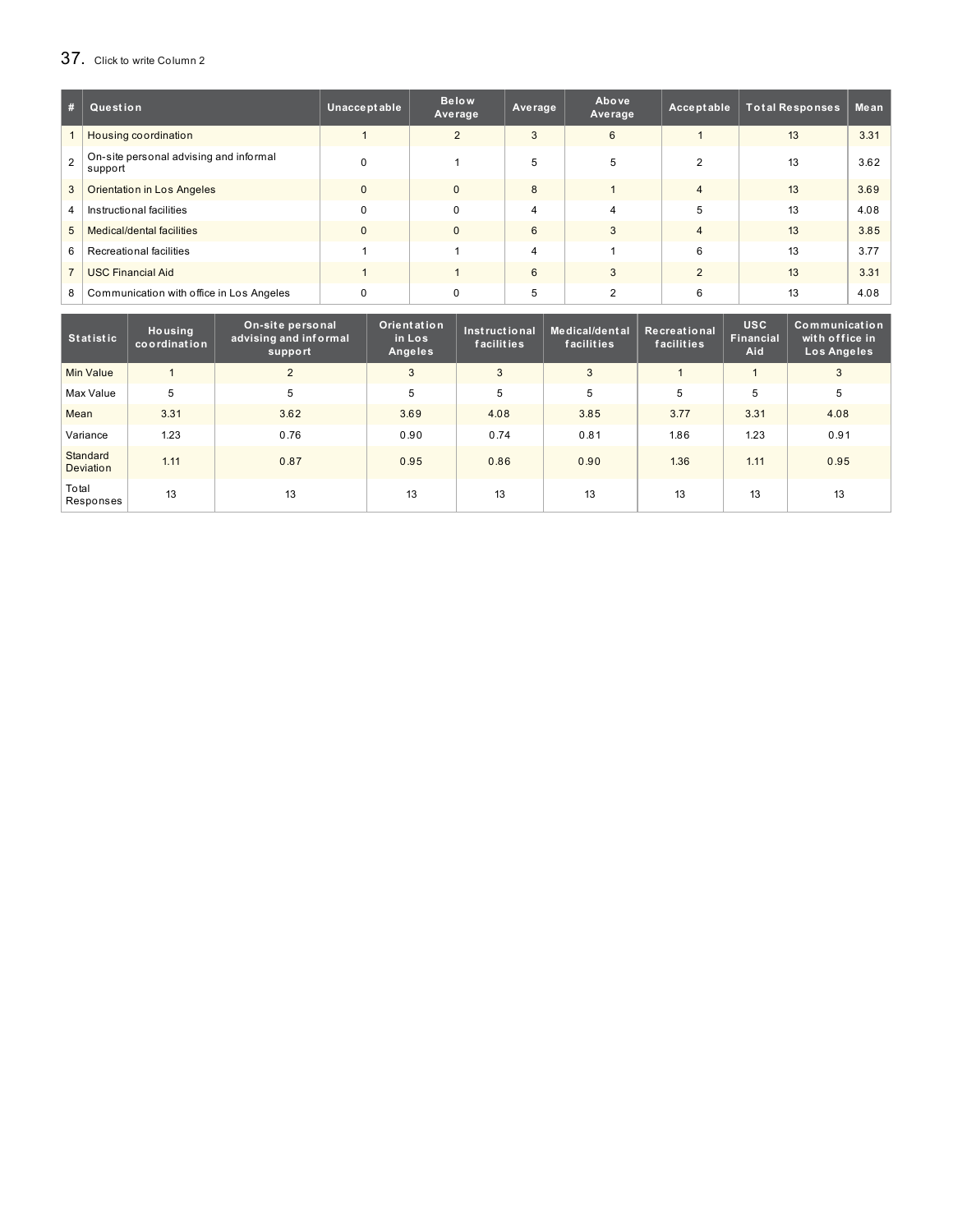# 37. Click to write Column <sup>2</sup>

| #              | Question                                          | Unacceptable | <b>Below</b><br>Average | Average        | Above<br>Average | Acceptable             | <b>Total Responses</b> | Mean |
|----------------|---------------------------------------------------|--------------|-------------------------|----------------|------------------|------------------------|------------------------|------|
|                | Housing coordination                              |              | 2                       | 3              | 6                |                        | 13                     | 3.31 |
| $\mathcal{P}$  | On-site personal advising and informal<br>support | $\Omega$     |                         | 5              | 5                | 2                      | 13                     | 3.62 |
| 3              | <b>Orientation in Los Angeles</b>                 | $\Omega$     | $\Omega$                | 8              |                  | $\boldsymbol{\Lambda}$ | 13                     | 3.69 |
| $\overline{4}$ | Instructional facilities                          | $\Omega$     | $\Omega$                | $\overline{4}$ | 4                | 5                      | 13                     | 4.08 |
| 5              | Medical/dental facilities                         | $\Omega$     | $\Omega$                | 6              | 3                | $\Delta$               | 13                     | 3.85 |
| 6              | Recreational facilities                           |              |                         | $\overline{4}$ |                  | 6                      | 13                     | 3.77 |
|                | <b>USC Financial Aid</b>                          |              |                         | 6              | 3                | $\mathcal{P}$          | 13                     | 3.31 |
| 8              | Communication with office in Los Angeles          | $\Omega$     | $\Omega$                | 5              |                  | 6                      | 13                     | 4.08 |

| <b>Statistic</b>      | Housing<br>coordination | On-site personal<br>advising and informal<br>support | Orientation<br>in Los<br>Angeles | Instructional<br>facilities | Medical/dental<br>facilities | Recreational<br>facilities | <b>USC</b><br>Financial<br>Aid | Communication<br>with office in<br>Los Angeles |
|-----------------------|-------------------------|------------------------------------------------------|----------------------------------|-----------------------------|------------------------------|----------------------------|--------------------------------|------------------------------------------------|
| <b>Min Value</b>      |                         | $\overline{2}$                                       | 3                                | 3                           | 3                            |                            |                                | 3                                              |
| Max Value             | 5                       | 5                                                    | 5                                | 5                           | 5                            | 5                          | 5                              | 5                                              |
| Mean                  | 3.31                    | 3.62                                                 | 3.69                             | 4.08                        | 3.85                         | 3.77                       | 3.31                           | 4.08                                           |
| Variance              | 1.23                    | 0.76                                                 | 0.90                             | 0.74                        | 0.81                         | 1.86                       | 1.23                           | 0.91                                           |
| Standard<br>Deviation | 1.11                    | 0.87                                                 | 0.95                             | 0.86                        | 0.90                         | 1.36                       | 1.11                           | 0.95                                           |
| Total<br>Responses    | 13                      | 13                                                   | 13                               | 13                          | 13                           | 13                         | 13                             | 13                                             |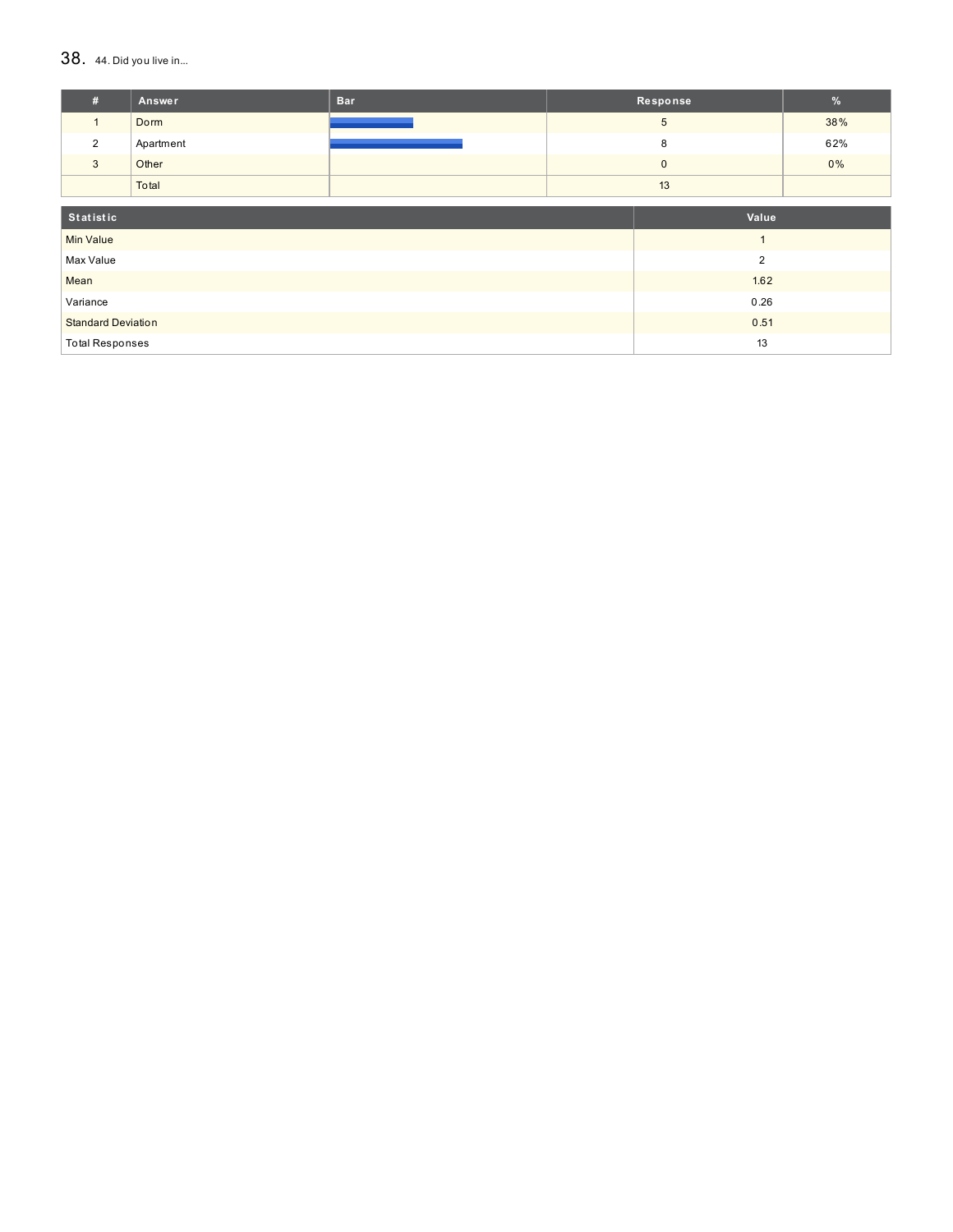### $38.$  44. Did you live in...

| #                         | Answer    | <b>Bar</b> | Response       |                | %   |
|---------------------------|-----------|------------|----------------|----------------|-----|
| 1                         | Dorm      |            |                | $\overline{5}$ | 38% |
| $\overline{2}$            | Apartment |            |                | 8              | 62% |
| 3                         | Other     |            | $\mathbf 0$    |                | 0%  |
|                           | Total     |            |                | 13             |     |
| Statistic                 |           |            | Value          |                |     |
| <b>Min Value</b>          |           |            | $\overline{1}$ |                |     |
| Max Value                 |           |            |                | $\overline{2}$ |     |
| Mean                      |           |            | 1.62           |                |     |
| Variance                  |           |            |                | 0.26           |     |
| <b>Standard Deviation</b> |           | 0.51       |                |                |     |
| <b>Total Responses</b>    |           |            |                | 13             |     |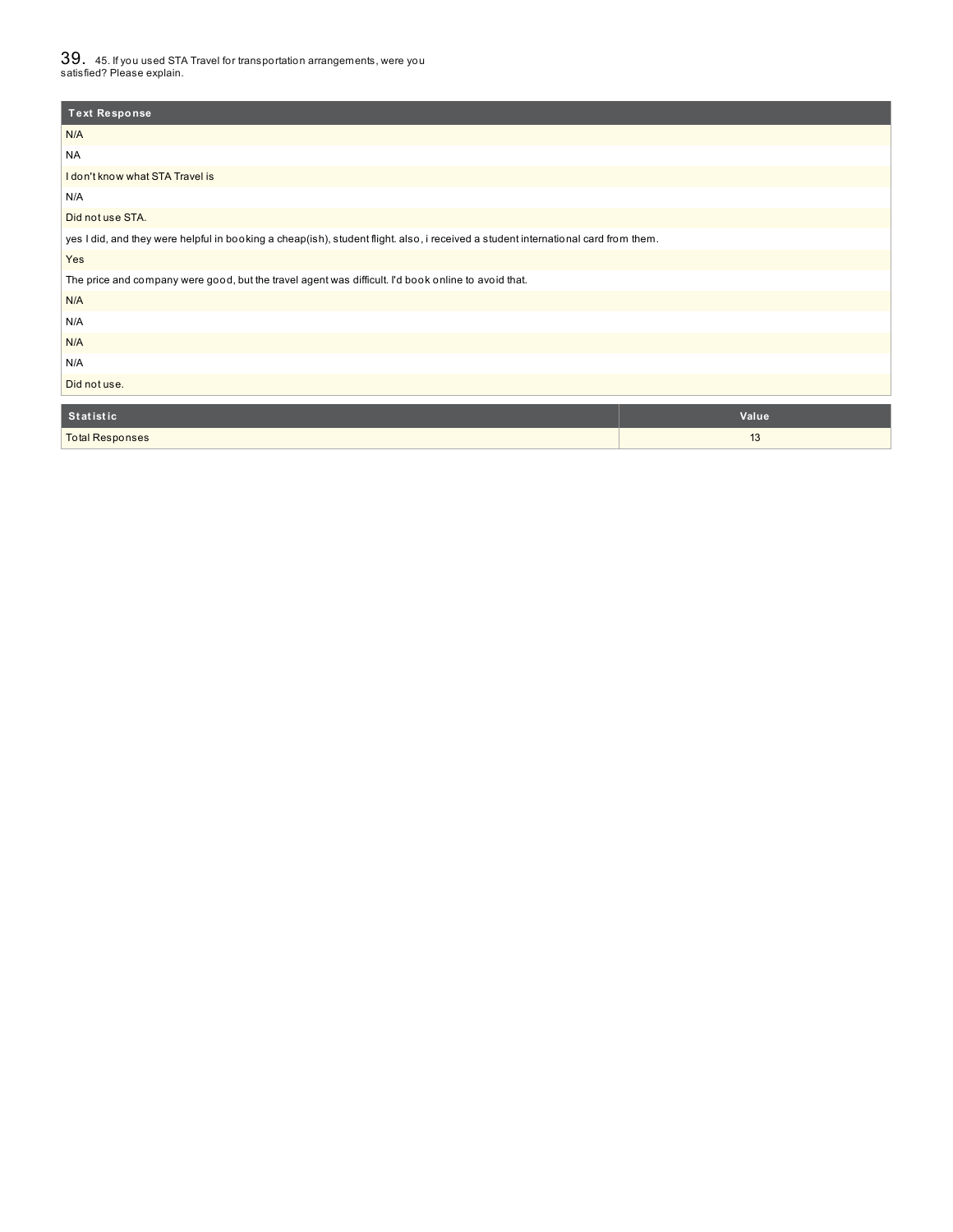$39_\cdot$  45. If you used STA Travel for transportation arrangements, were you<br>satisfied? Please explain.

| <b>Text Response</b>                                                                                                               |       |  |  |  |  |
|------------------------------------------------------------------------------------------------------------------------------------|-------|--|--|--|--|
| N/A                                                                                                                                |       |  |  |  |  |
| <b>NA</b>                                                                                                                          |       |  |  |  |  |
| I don't know what STA Travel is                                                                                                    |       |  |  |  |  |
| N/A                                                                                                                                |       |  |  |  |  |
| Did not use STA.                                                                                                                   |       |  |  |  |  |
| yes I did, and they were helpful in booking a cheap(ish), student flight. also, i received a student international card from them. |       |  |  |  |  |
| Yes                                                                                                                                |       |  |  |  |  |
| The price and company were good, but the travel agent was difficult. I'd book online to avoid that.                                |       |  |  |  |  |
| N/A                                                                                                                                |       |  |  |  |  |
| N/A                                                                                                                                |       |  |  |  |  |
| N/A                                                                                                                                |       |  |  |  |  |
| N/A                                                                                                                                |       |  |  |  |  |
| Did not use.                                                                                                                       |       |  |  |  |  |
| Statistic                                                                                                                          | Value |  |  |  |  |
|                                                                                                                                    |       |  |  |  |  |
| <b>Total Responses</b>                                                                                                             | 13    |  |  |  |  |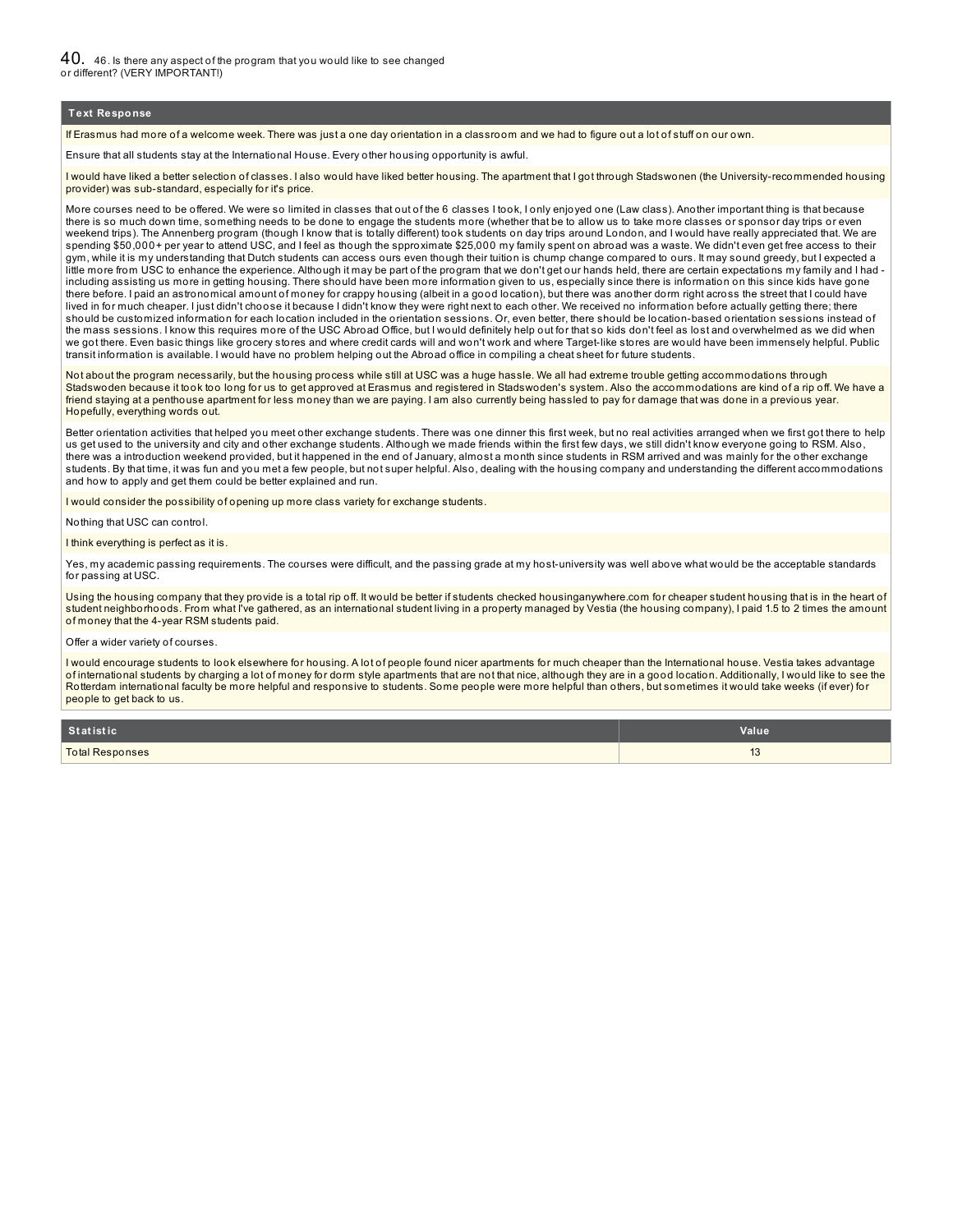40. 46. Is there any aspect of the program that you would like to see changed or different? (VERY IMPORTANT!)

#### **Text Response**

If Erasmus had more of a welcome week. There was just a one day orientation in a classroom and we had to figure out a lot of stuff on our own.

Ensure that all students stay at the International House. Every other housing opportunity is awful.

I would have liked a better selection of classes. I also would have liked better housing. The apartment that I got through Stadswonen (the University-recommended housing provider) was sub-standard, especially for it's price.

More courses need to be offered. We were so limited in classes that out of the 6 classes I took, I only enjoyed one (Law class). Another important thing is that because there is so much down time, something needs to be done to engage the students more (whether that be to allow us to take more classes or sponsor day trips or even weekend trips). The Annenberg program (though I know that is totally different) took students on day trips around London, and I would have really appreciated that. We are spending \$50,000+ per year to attend USC, and I feel as though the spproximate \$25,000 my family spent on abroad was a waste. We didn't even get free access to their gym, while it is my understanding that Dutch students can access ours even though their tuition is chump change compared to ours. It may sound greedy, but I expected a little more from USC to enhance the experience. Although it may be part of the program that we don't get our hands held, there are certain expectations my family and I had including assisting us more in getting housing. There should have been more information given to us, especially since there is information on this since kids have gone there before. I paid an astronomical amount of money for crappy housing (albeit in a good location), but there was another dorm right across the street that I could have lived in for much cheaper. I just didn't choose it because I didn't know they were right next to each other. We received no information before actually getting there; there should be customized information for each location included in the orientation sessions. Or, even better, there should be location-based orientation sessions instead of the mass sessions. I know this requires more of the USC Abroad Office, but I would definitely help out for that so kids don't feel as lost and overwhelmed as we did when we got there. Even basic things like grocery stores and where credit cards will and won't work and where Target-like stores are would have been immensely helpful. Public transit information is available. I would have no problem helping out the Abroad office in compiling a cheat sheet for future students.

Not about the program necessarily, but the housing process while still at USC was a huge hassle. We all had extreme trouble getting accommodations through Stadswoden because it took too long for us to get approved at Erasmus and registered in Stadswoden's system. Also the accommodations are kind of a rip off. We have a friend staying at a penthouse apartment for less money than we are paying. I am also currently being hassled to pay for damage that was done in a previous year. Hopefully, everything words out.

Better orientation activities that helped you meet other exchange students. There was one dinner this first week, but no real activities arranged when we first got there to help us get used to the university and city and other exchange students. Although we made friends within the first few days, we still didn't know everyone going to RSM. Also, there was a introduction weekend provided, but it happened in the end of January, almost a month since students in RSM arrived and was mainly for the other exchange students. By that time, it was fun and you met a few people, but not super helpful. Also, dealing with the housing company and understanding the different accommodations and how to apply and get them could be better explained and run.

I would consider the possibility of opening up more class variety for exchange students.

Nothing that USC can control.

I think everything is perfect as it is.

Yes, my academic passing requirements. The courses were difficult, and the passing grade at my host-university was well above what would be the acceptable standards for passing at USC.

Using the housing company that they provide is a total rip off. It would be better if students checked housinganywhere.com for cheaper student housing that is in the heart of student neighborhoods. From what I've gathered, as an international student living in a property managed by Vestia (the housing company), I paid 1.5 to 2 times the amount of money that the 4-year RSM students paid.

Offer a wider variety of courses.

I would encourage students to look elsewhere for housing. A lot of people found nicer apartments for much cheaper than the International house. Vestia takes advantage of international students by charging a lot of money for dorm style apartments that are not that nice, although they are in a good location. Additionally, I would like to see the Rotterdam international faculty be more helpful and responsive to students. Some people were more helpful than others, but sometimes it would take weeks (if ever) for people to get back to us.

| Statistic              | Value                 |
|------------------------|-----------------------|
| <b>Total Responses</b> | $\overline{10}$<br>⊥∪ |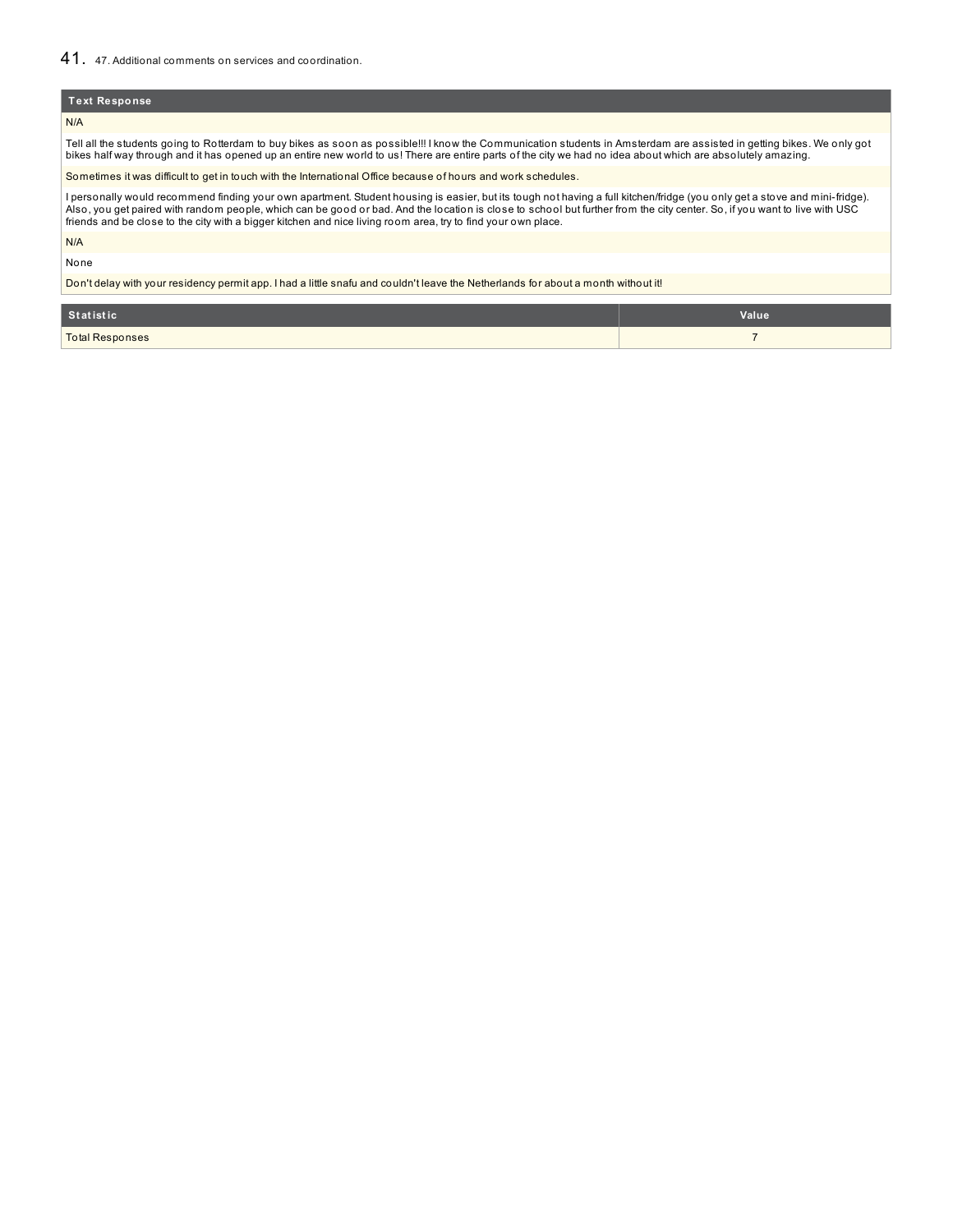## 41. 47. Additional comments on services and coordination.

### **Text Response**

#### N/A

Tell all the students going to Rotterdam to buy bikes as soon as possible!!! I know the Communication students in Amsterdam are assisted in getting bikes. We only got bikes half way through and it has opened up an entire new world to us! There are entire parts of the city we had no idea about which are absolutely amazing.

Sometimes it was difficult to get in touch with the International Office because of hours and work schedules.

I personally would recommend finding your own apartment. Student housing is easier, but its tough not having a full kitchen/fridge (you only get a stove and mini-fridge). Also, you get paired with random people, which can be good or bad. And the location is close to school but further from the city center. So, if you want to live with USC<br>friends and be close to the city with a bigger kitch

N/A

None

Don't delay with your residency permit app. I had a little snafu and couldn't leave the Netherlands for about a month without it!

| Statistic       | Value |
|-----------------|-------|
| Total Responses |       |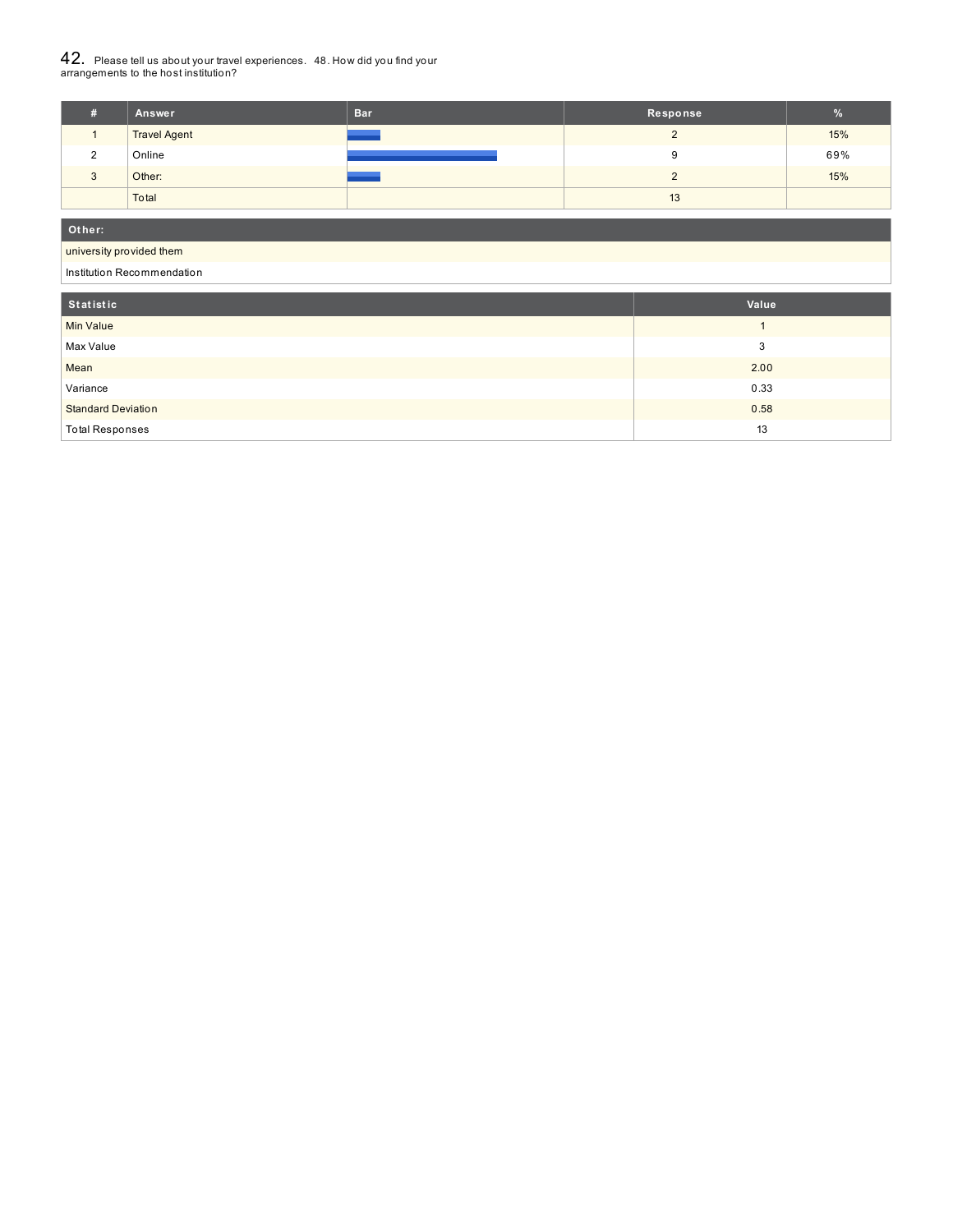# $42_\cdot\,$  Please tell us about your travel experiences.  $\,$  48. How did you find your  $\,$  arrangements to the host institution?

|   | Answer              | <b>Bar</b> | Response | $\%$ |
|---|---------------------|------------|----------|------|
|   | <b>Travel Agent</b> |            |          | 15%  |
|   | Online              |            |          | 69%  |
| ು | Other:              |            |          | 15%  |
|   | Total               |            | 13       |      |

**Ot her:**

## university provided them

Institution Recommendation

| Statistic                 | Value |
|---------------------------|-------|
| <b>Min Value</b>          |       |
| Max Value                 | 3     |
| Mean                      | 2.00  |
| Variance                  | 0.33  |
| <b>Standard Deviation</b> | 0.58  |
| <b>Total Responses</b>    | 13    |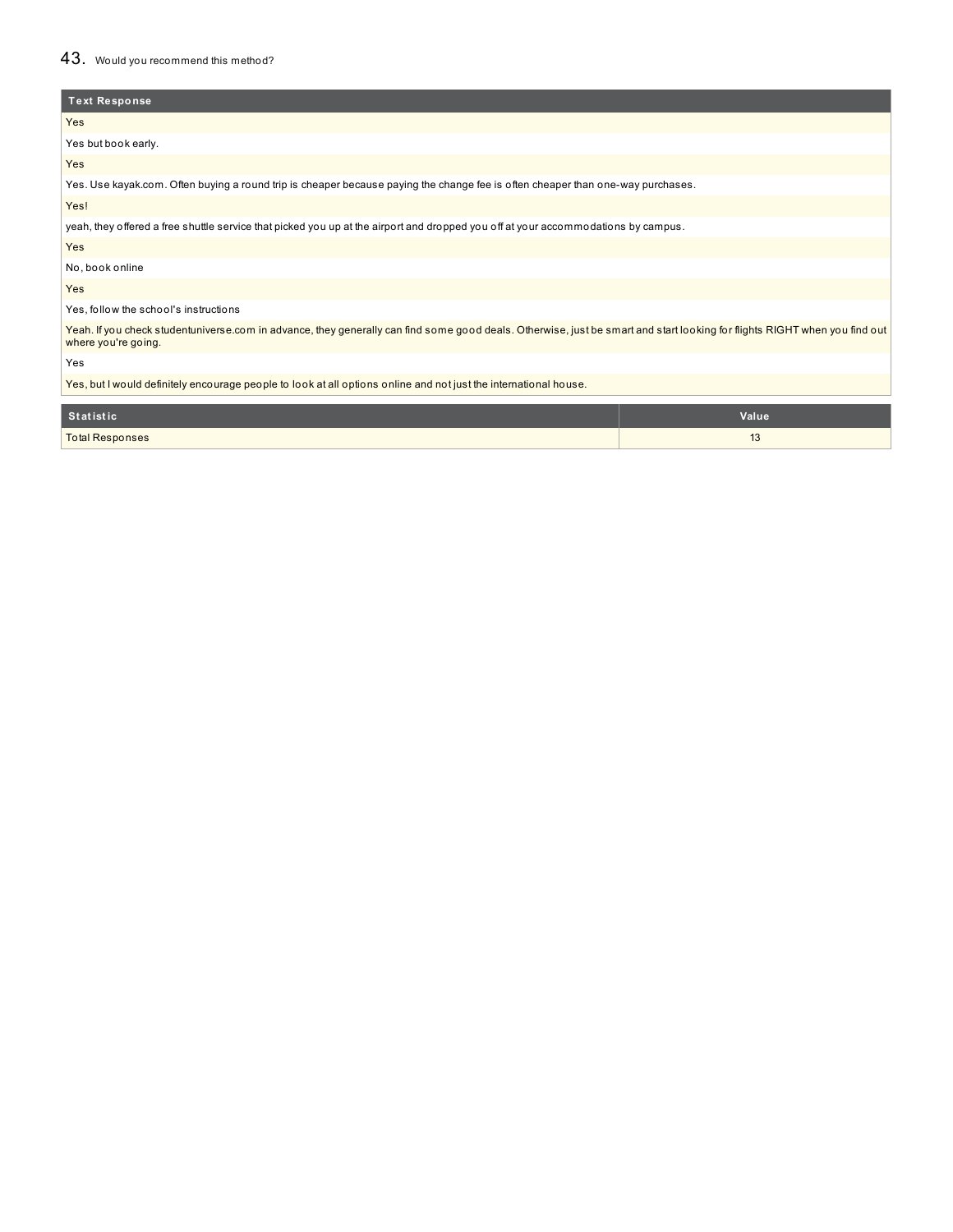## 43. Would you recommend this method?

| <b>Text Response</b>                                                                                                                                                                              |
|---------------------------------------------------------------------------------------------------------------------------------------------------------------------------------------------------|
| <b>Yes</b>                                                                                                                                                                                        |
| Yes but book early.                                                                                                                                                                               |
| Yes                                                                                                                                                                                               |
| Yes. Use kayak.com. Often buying a round trip is cheaper because paying the change fee is often cheaper than one-way purchases.                                                                   |
| Yes!                                                                                                                                                                                              |
| yeah, they offered a free shuttle service that picked you up at the airport and dropped you off at your accommodations by campus.                                                                 |
| Yes                                                                                                                                                                                               |
| No, book online                                                                                                                                                                                   |
| Yes                                                                                                                                                                                               |
| Yes, follow the school's instructions                                                                                                                                                             |
| Yeah. If you check studentuniverse.com in advance, they generally can find some good deals. Otherwise, just be smart and start looking for flights RIGHT when you find out<br>where you're going. |
| Yes                                                                                                                                                                                               |

Yes, but I would definitely encourage people to look at all options online and not just the international house.

| Statistic              | Value |
|------------------------|-------|
| <b>Total Responses</b> | ື     |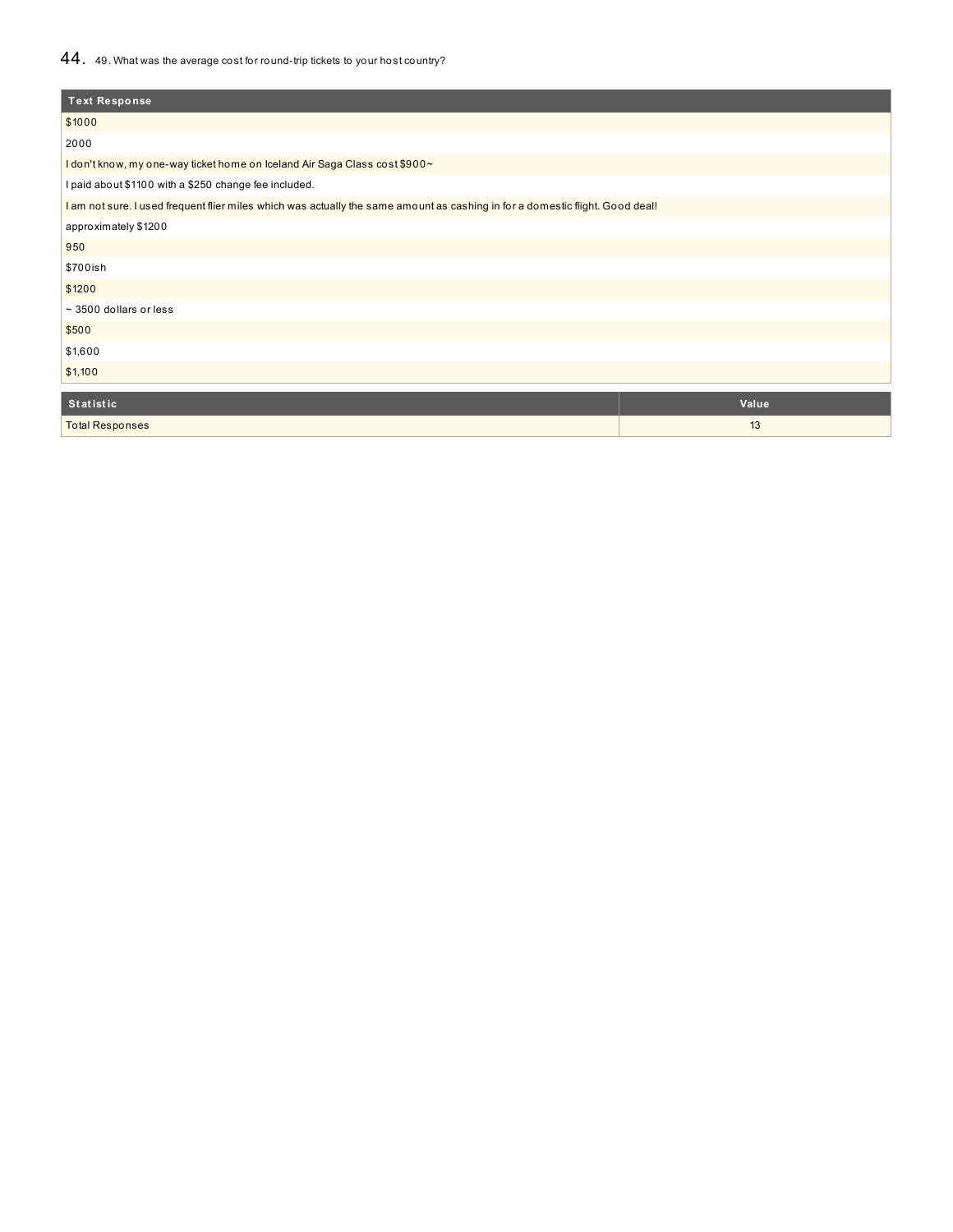## 44. 49. What was the average cost for round-trip tickets to your host country?

| <b>Text Response</b>                                                                                                          |       |
|-------------------------------------------------------------------------------------------------------------------------------|-------|
| \$1000                                                                                                                        |       |
| 2000                                                                                                                          |       |
| I don't know, my one-way ticket home on Iceland Air Saga Class cost \$900~                                                    |       |
| I paid about \$1100 with a \$250 change fee included.                                                                         |       |
| I am not sure. I used frequent flier miles which was actually the same amount as cashing in for a domestic flight. Good deal! |       |
| approximately \$1200                                                                                                          |       |
| 950                                                                                                                           |       |
| \$700ish                                                                                                                      |       |
| \$1200                                                                                                                        |       |
| $\sim$ 3500 dollars or less                                                                                                   |       |
| \$500                                                                                                                         |       |
| \$1,600                                                                                                                       |       |
| \$1,100                                                                                                                       |       |
|                                                                                                                               |       |
| Statistic                                                                                                                     | Value |
| <b>Total Responses</b>                                                                                                        | 13    |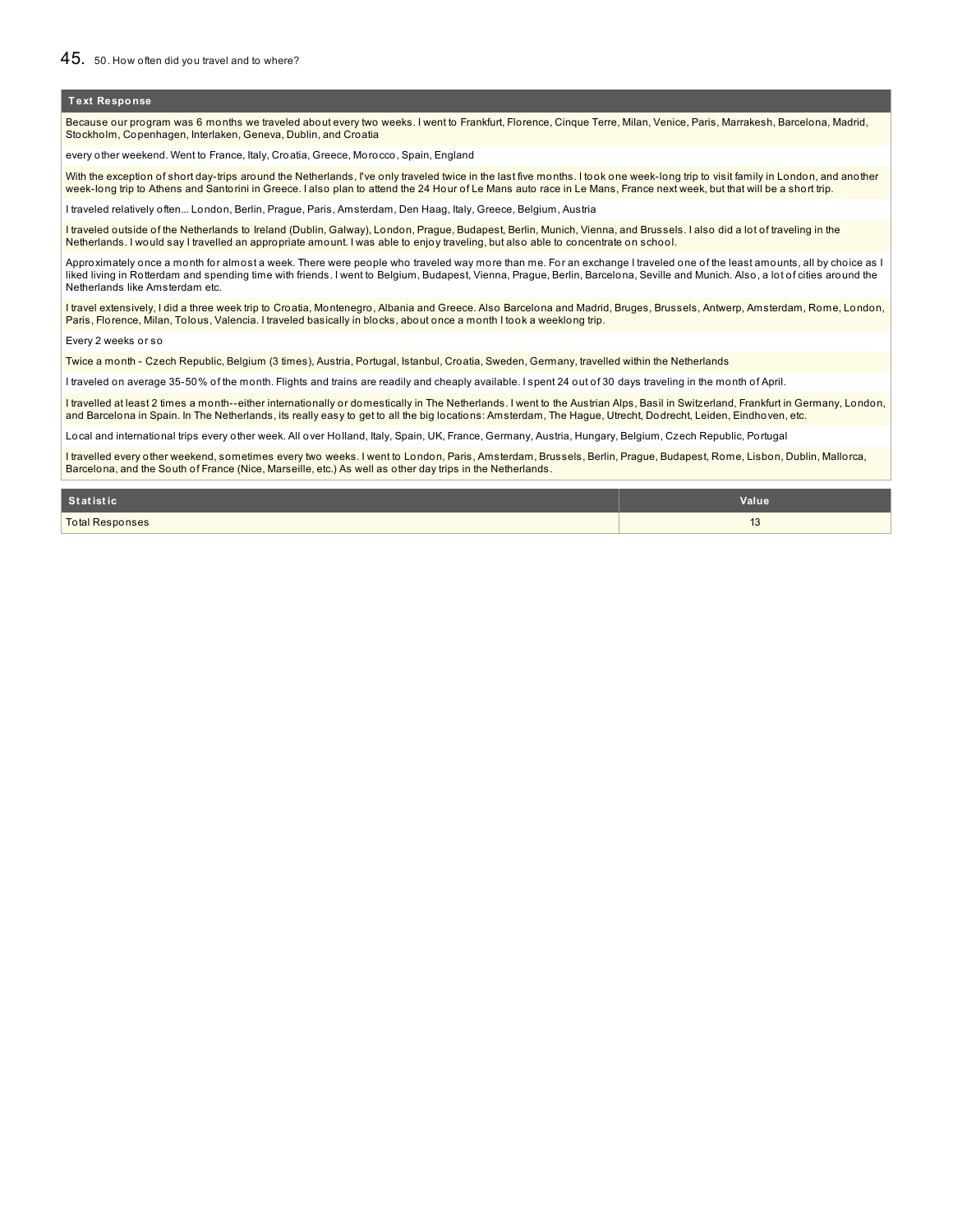Because our program was 6 months we traveled about every two weeks. I went to Frankfurt, Florence, Cinque Terre, Milan, Venice, Paris, Marrakesh, Barcelona, Madrid, Stockholm, Copenhagen, Interlaken, Geneva, Dublin, and Croatia

every other weekend. Went to France, Italy, Croatia, Greece, Morocco, Spain, England

With the exception of short day-trips around the Netherlands, I've only traveled twice in the last five months. I took one week-long trip to visit family in London, and another week-long trip to Athens and Santorini in Greece. I also plan to attend the 24 Hour of Le Mans auto race in Le Mans, France next week, but that will be a short trip.

I traveled relatively often... London, Berlin, Prague, Paris, Amsterdam, Den Haag, Italy, Greece, Belgium, Austria

I traveled outside of the Netherlands to Ireland (Dublin, Galway), London, Prague, Budapest, Berlin, Munich, Vienna, and Brussels. I also did a lot of traveling in the Netherlands. I would say I travelled an appropriate amount. I was able to enjoy traveling, but also able to concentrate on school.

Approximately once a month for almost a week. There were people who traveled way more than me. For an exchange I traveled one of the least amounts, all by choice as I liked living in Rotterdam and spending time with friends. I went to Belgium, Budapest, Vienna, Prague, Berlin, Barcelona, Seville and Munich. Also, a lot of cities around the Netherlands like Amsterdam etc.

I travel extensively, I did a three week trip to Croatia, Montenegro, Albania and Greece. Also Barcelona and Madrid, Bruges, Brussels, Antwerp, Amsterdam, Rome, London, Paris, Florence, Milan, Tolous, Valencia. I traveled basically in blocks, about once a month I took a weeklong trip.

Every 2 weeks or so

Twice a month - Czech Republic, Belgium (3 times), Austria, Portugal, Istanbul, Croatia, Sweden, Germany, travelled within the Netherlands

I traveled on average 35-50% of the month. Flights and trains are readily and cheaply available. I spent 24 out of 30 days traveling in the month of April.

I travelled at least 2 times a month--either internationally or domestically in The Netherlands. I went to the Austrian Alps, Basil in Switzerland, Frankfurt in Germany, London, and Barcelona in Spain. In The Netherlands, its really easy to get to all the big locations: Amsterdam, The Hague, Utrecht, Dodrecht, Leiden, Eindhoven, etc.

Local and international trips every other week. All over Holland, Italy, Spain, UK, France, Germany, Austria, Hungary, Belgium, Czech Republic, Portugal

I travelled every other weekend, sometimes every two weeks. I went to London, Paris, Amsterdam, Brussels, Berlin, Prague, Budapest, Rome, Lisbon, Dublin, Mallorca, Barcelona, and the South of France (Nice, Marseille, etc.) As well as other day trips in the Netherlands.

| <b>Statistic</b>       | Value        |
|------------------------|--------------|
| <b>Total Responses</b> | $\sim$<br>∪ו |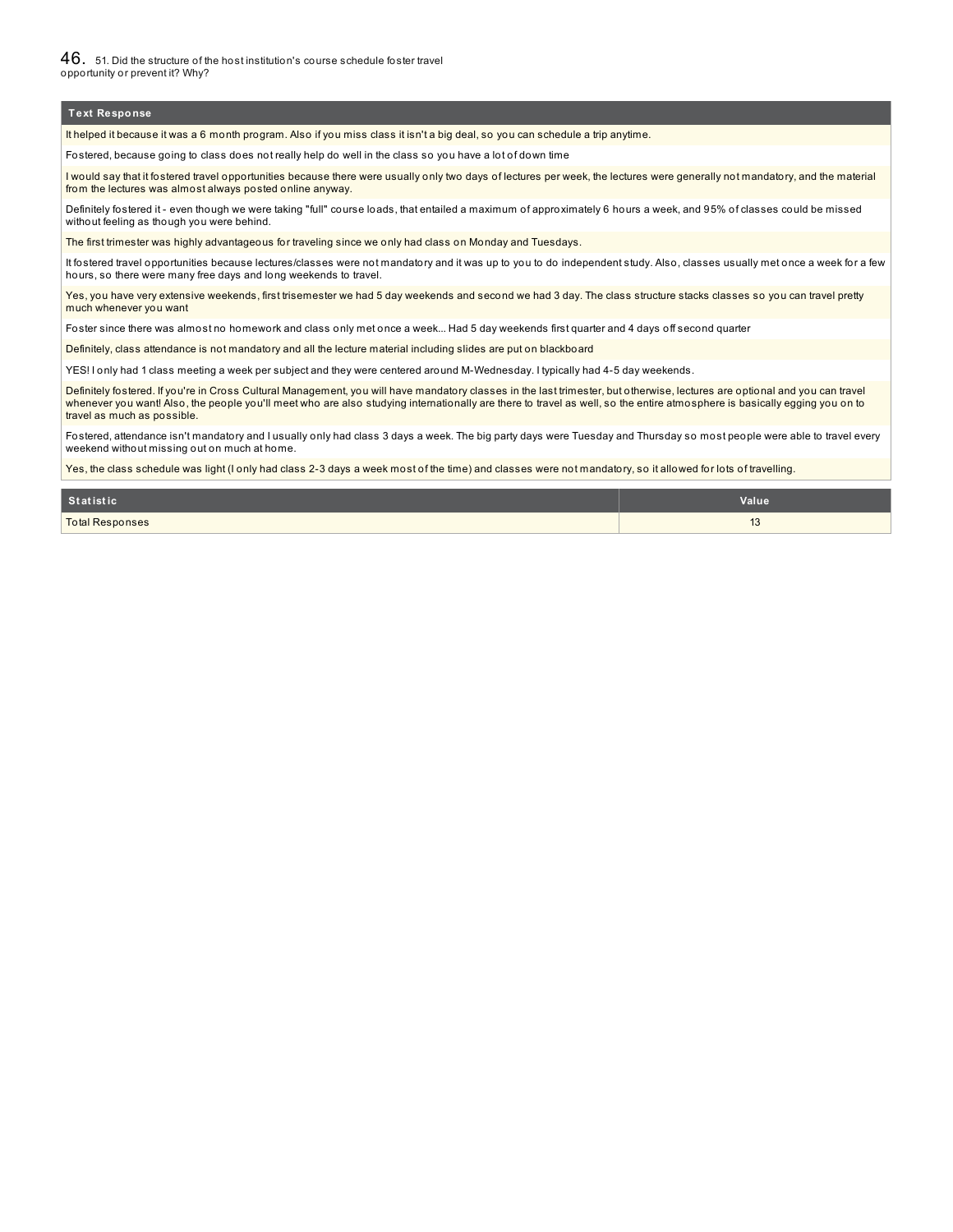$46.$  51. Did the structure of the host institution's course schedule foster travel opportunity or prevent it? Why?

#### **Text Response**

It helped it because it was a 6 month program. Also if you miss class it isn't a big deal, so you can schedule a trip anytime.

Fostered, because going to class does not really help do well in the class so you have a lot of down time

I would say that it fostered travel opportunities because there were usually only two days of lectures per week, the lectures were generally not mandatory, and the material from the lectures was almost always posted online anyway.

Definitely fostered it - even though we were taking "full" course loads, that entailed a maximum of approximately 6 hours a week, and 95% of classes could be missed without feeling as though you were behind.

The first trimester was highly advantageous for traveling since we only had class on Monday and Tuesdays.

It fostered travel opportunities because lectures/classes were not mandatory and it was up to you to do independent study. Also, classes usually met once a week for a few hours, so there were many free days and long weekends to travel.

Yes, you have very extensive weekends, first trisemester we had 5 day weekends and second we had 3 day. The class structure stacks classes so you can travel pretty much whenever you want

Foster since there was almost no homework and class only met once a week... Had 5 day weekends first quarter and 4 days off second quarter

Definitely, class attendance is not mandatory and all the lecture material including slides are put on blackboard

YES! I only had 1 class meeting a week per subject and they were centered around M-Wednesday. I typically had 4-5 day weekends.

Definitely fostered. If you're in Cross Cultural Management, you will have mandatory classes in the last trimester, but otherwise, lectures are optional and you can travel whenever you want! Also, the people you'll meet who are also studying internationally are there to travel as well, so the entire atmosphere is basically egging you on to travel as much as possible.

Fostered, attendance isn't mandatory and I usually only had class 3 days a week. The big party days were Tuesday and Thursday so most people were able to travel every weekend without missing out on much at home.

Yes, the class schedule was light (I only had class 2-3 days a week most of the time) and classes were not mandatory, so it allowed for lots of travelling.

| <b>Statistic</b>       | Value                    |
|------------------------|--------------------------|
| <b>Total Responses</b> | $\sqrt{2}$<br><u>ں ا</u> |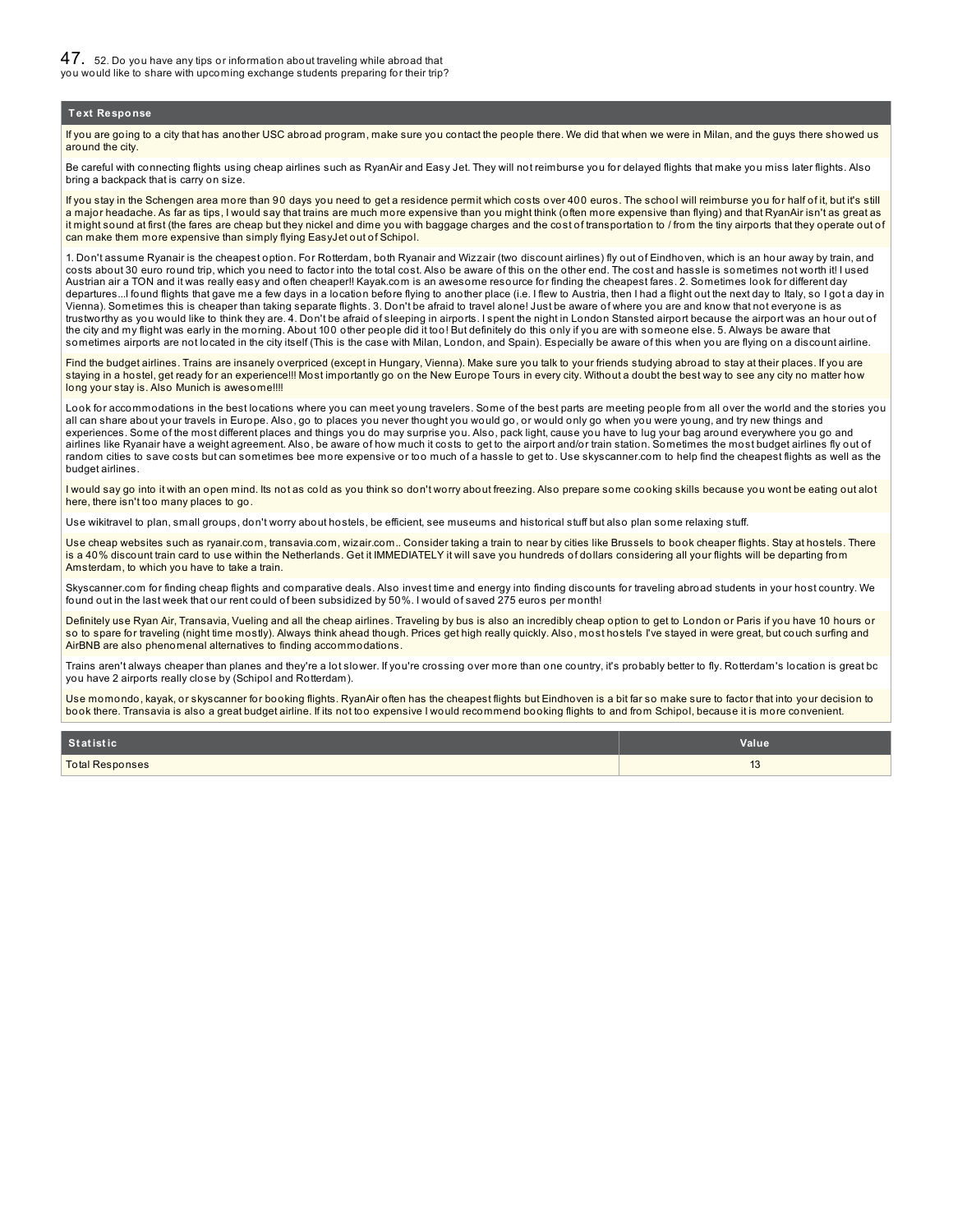If you are going to a city that has another USC abroad program, make sure you contact the people there. We did that when we were in Milan, and the guys there showed us around the city

Be careful with connecting flights using cheap airlines such as RyanAir and Easy Jet. They will not reimburse you for delayed flights that make you miss later flights. Also bring a backpack that is carry on size.

If you stay in the Schengen area more than 90 days you need to get a residence permit which costs over 400 euros. The school will reimburse you for half of it, but it's still a major headache. As far as tips, I would say that trains are much more expensive than you might think (often more expensive than flying) and that RyanAir isn't as great as it might sound at first (the fares are cheap but they nickel and dime you with baggage charges and the cost of transportation to / from the tiny airports that they operate out of can make them more expensive than simply flying EasyJet out of Schipol.

1. Don't assume Ryanair is the cheapest option. For Rotterdam, both Ryanair and Wizzair (two discount airlines) fly out of Eindhoven, which is an hour away by train, and costs about 30 euro round trip, which you need to factor into the total cost. Also be aware of this on the other end. The cost and hassle is sometimes not worth it! I used Austrian air a TON and it was really easy and often cheaper!! Kayak.com is an awesome resource for finding the cheapest fares. 2. Sometimes look for different day departures...I found flights that gave me a few days in a location before flying to another place (i.e. I flew to Austria, then I had a flight out the next day to Italy, so I got a day in Vienna). Sometimes this is cheaper than taking separate flights. 3. Don't be afraid to travel alone! Just be aware of where you are and know that not everyone is as trustworthy as you would like to think they are. 4. Don't be afraid of sleeping in airports. I spent the night in London Stansted airport because the airport was an hour out of<br>the city and my flight was early in the morni sometimes airports are not located in the city itself (This is the case with Milan, London, and Spain). Especially be aware of this when you are flying on a discount airline.

Find the budget airlines. Trains are insanely overpriced (except in Hungary, Vienna). Make sure you talk to your friends studying abroad to stay at their places. If you are staying in a hostel, get ready for an experience!!! Most importantly go on the New Europe Tours in every city. Without a doubt the best way to see any city no matter how long your stay is. Also Munich is awesome!!!!

Look for accommodations in the best locations where you can meet young travelers. Some of the best parts are meeting people from all over the world and the stories you all can share about your travels in Europe. Also, go to places you never thought you would go, or would only go when you were young, and try new things and experiences. Some of the most different places and things you do may surprise you. Also, pack light, cause you have to lug your bag around everywhere you go and airlines like Ryanair have a weight agreement. Also, be aware of how much it costs to get to the airport and/or train station. Sometimes the most budget airlines fly out of random cities to save costs but can sometimes bee more expensive or too much of a hassle to get to. Use skyscanner.com to help find the cheapest flights as well as the budget airlines.

I would say go into it with an open mind. Its not as cold as you think so don't worry about freezing. Also prepare some cooking skills because you wont be eating out alot here, there isn't too many places to go.

Use wikitravel to plan, small groups, don't worry about hostels, be efficient, see museums and historical stuff but also plan some relaxing stuff.

Use cheap websites such as ryanair.com, transavia.com, wizair.com.. Consider taking a train to near by cities like Brussels to book cheaper flights. Stay at hostels. There is a 40% discount train card to use within the Netherlands. Get it IMMEDIATELY it will save you hundreds of dollars considering all your flights will be departing from Amsterdam, to which you have to take a train.

Skyscanner.com for finding cheap flights and comparative deals. Also invest time and energy into finding discounts for traveling abroad students in your host country. We found out in the last week that our rent could of been subsidized by 50%. I would of saved 275 euros per month!

Definitely use Ryan Air, Transavia, Vueling and all the cheap airlines. Traveling by bus is also an incredibly cheap option to get to London or Paris if you have 10 hours or so to spare for traveling (night time mostly). Always think ahead though. Prices get high really quickly. Also, most hostels I've stayed in were great, but couch surfing and AirBNB are also phenomenal alternatives to finding accommodations.

Trains aren't always cheaper than planes and they're a lot slower. If you're crossing over more than one country, it's probably better to fly. Rotterdam's location is great bc you have 2 airports really close by (Schipol and Rotterdam).

Use momondo, kayak, or skyscanner for booking flights. RyanAir often has the cheapest flights but Eindhoven is a bit far so make sure to factor that into your decision to book there. Transavia is also a great budget airline. If its not too expensive I would recommend booking flights to and from Schipol, because it is more convenient.

| Statistic              | <b>Value</b> |
|------------------------|--------------|
| <b>Total Responses</b> | ю            |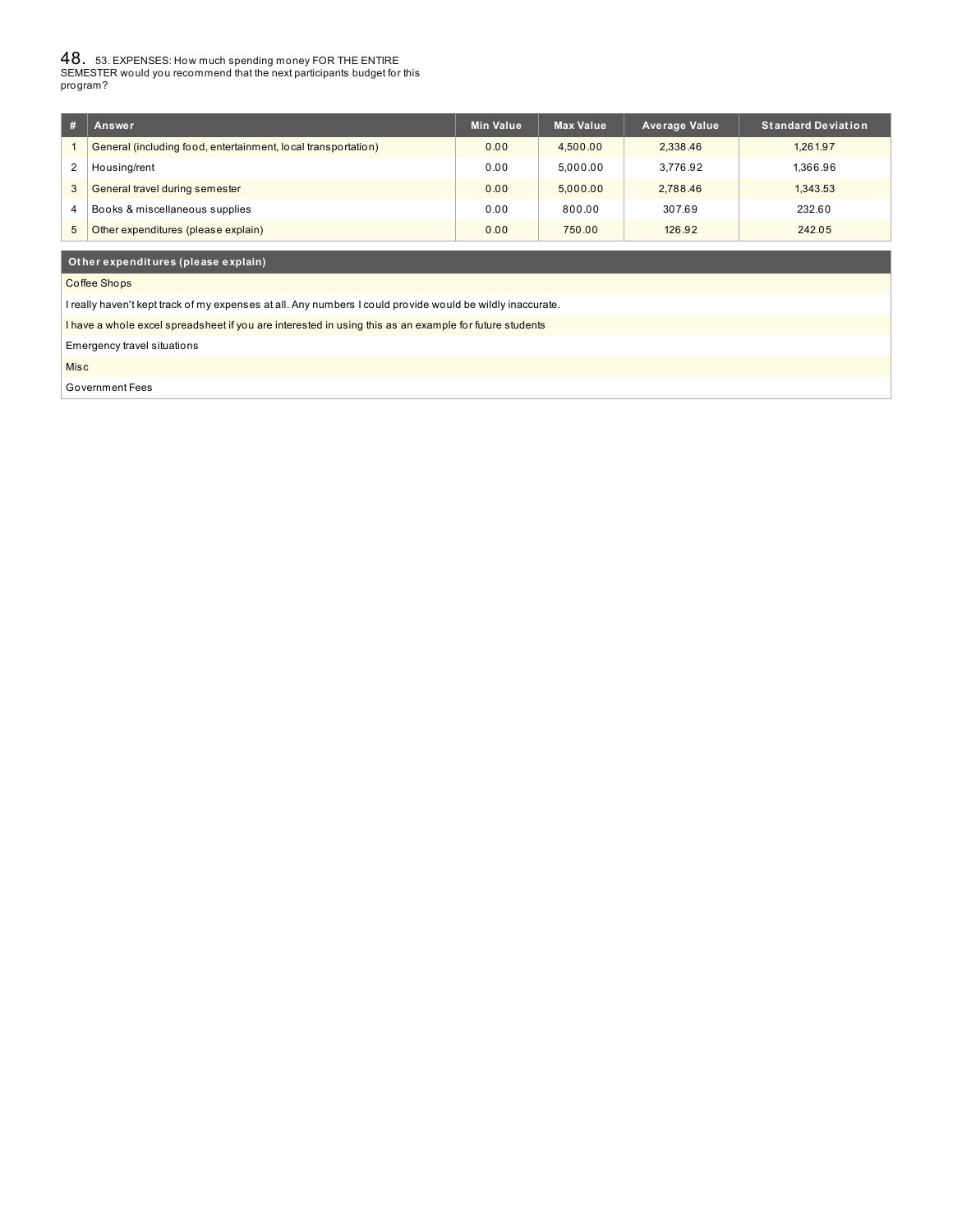$48_{\cdot}$  53. EXPENSES: How much spending money FOR THE ENTIRE<br>SEMESTER would you recommend that the next participants budget for this program?

| #                      | Answer                                                        | <b>Min Value</b> | <b>Max Value</b> | <b>Average Value</b> | <b>Standard Deviation</b> |
|------------------------|---------------------------------------------------------------|------------------|------------------|----------------------|---------------------------|
|                        | General (including food, entertainment, local transportation) | 0.00             | 4.500.00         | 2.338.46             | 1.261.97                  |
| $\overline{2}$         | Housing/rent                                                  | 0.00             | 5.000.00         | 3.776.92             | 1.366.96                  |
|                        | General travel during semester                                | 0.00             | 5.000.00         | 2.788.46             | 1.343.53                  |
| $\boldsymbol{\Lambda}$ | Books & miscellaneous supplies                                | 0.00             | 800.00           | 307.69               | 232.60                    |
|                        | Other expenditures (please explain)                           | 0.00             | 750.00           | 126.92               | 242.05                    |

### **Ot her expendit ures (please explain)**

Coffee Shops

I really haven't kept track of my expenses at all. Any numbers I could provide would be wildly inaccurate.

I have a whole excel spreadsheet if you are interested in using this as an example for future students

Emergency travel situations

Misc

Government Fees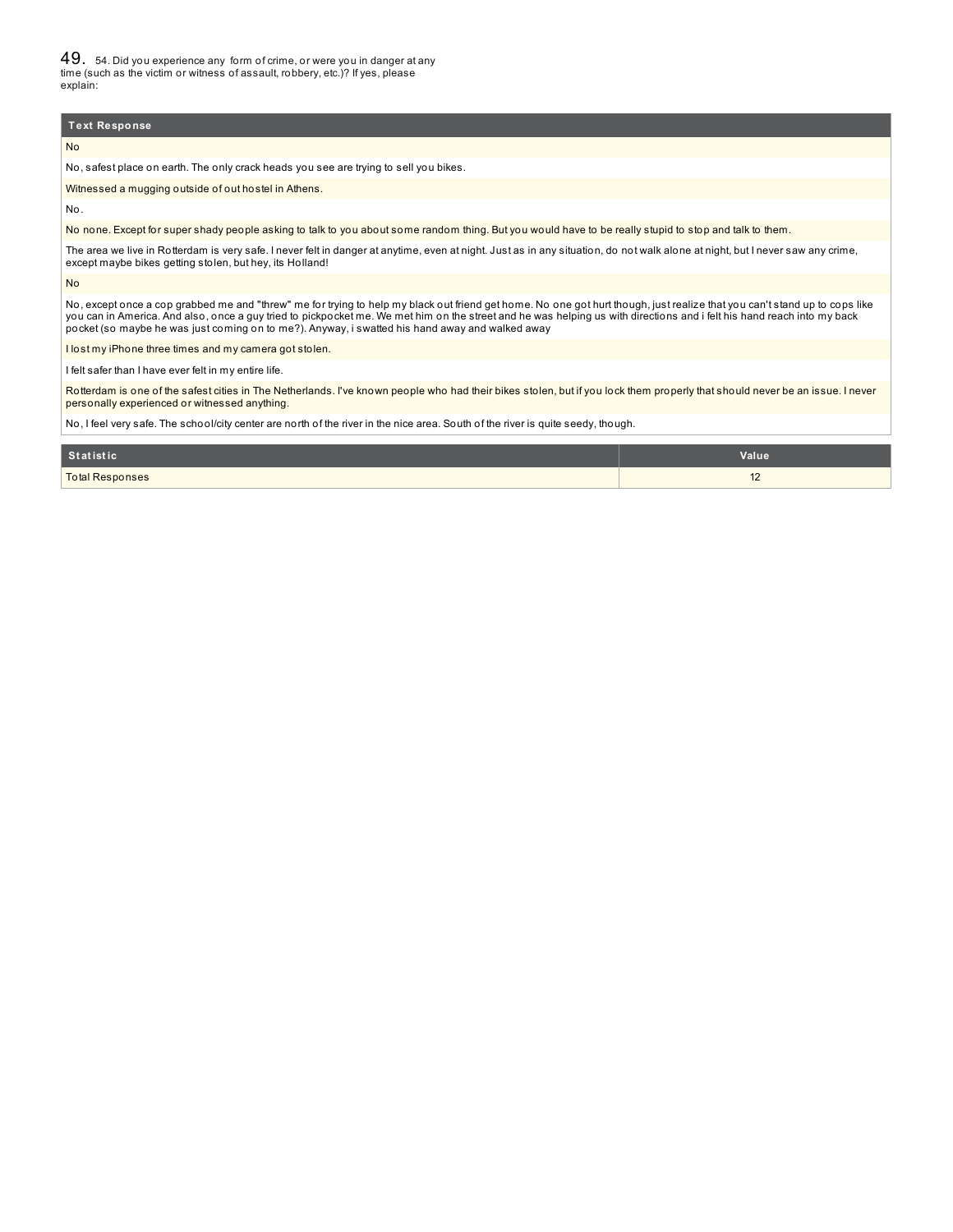49. 54. Did you experience any form of crime, or were you in danger at any time (such as the victim or witness of assault, robbery, etc.)? If yes, please explain:

#### **Text Response**

No

No, safest place on earth. The only crack heads you see are trying to sell you bikes.

Witnessed a mugging outside of out hostel in Athens.

No.

No none. Except for super shady people asking to talk to you about some random thing. But you would have to be really stupid to stop and talk to them.

The area we live in Rotterdam is very safe. I never felt in danger at anytime, even at night. Just as in any situation, do not walk alone at night, but I never saw any crime, except maybe bikes getting stolen, but hey, its Holland!

No

No, except once a cop grabbed me and "threw" me for trying to help my black out friend get home. No one got hurt though, just realize that you can't stand up to cops like you can in America. And also, once a guy tried to pickpocket me. We met him on the street and he was helping us with directions and i felt his hand reach into my back pocket (so maybe he was just coming on to me?). Anyway, i swatted his hand away and walked away

I lost my iPhone three times and my camera got stolen.

I felt safer than I have ever felt in my entire life.

Rotterdam is one of the safest cities in The Netherlands. I've known people who had their bikes stolen, but if you lock them properly that should never be an issue. I never personally experienced or witnessed anything.

No, I feel very safe. The school/city center are north of the river in the nice area. South of the river is quite seedy, though.

| Statistic              | Value                           |
|------------------------|---------------------------------|
| <b>Total Responses</b> | $\overline{10}$<br>$\mathbf{Z}$ |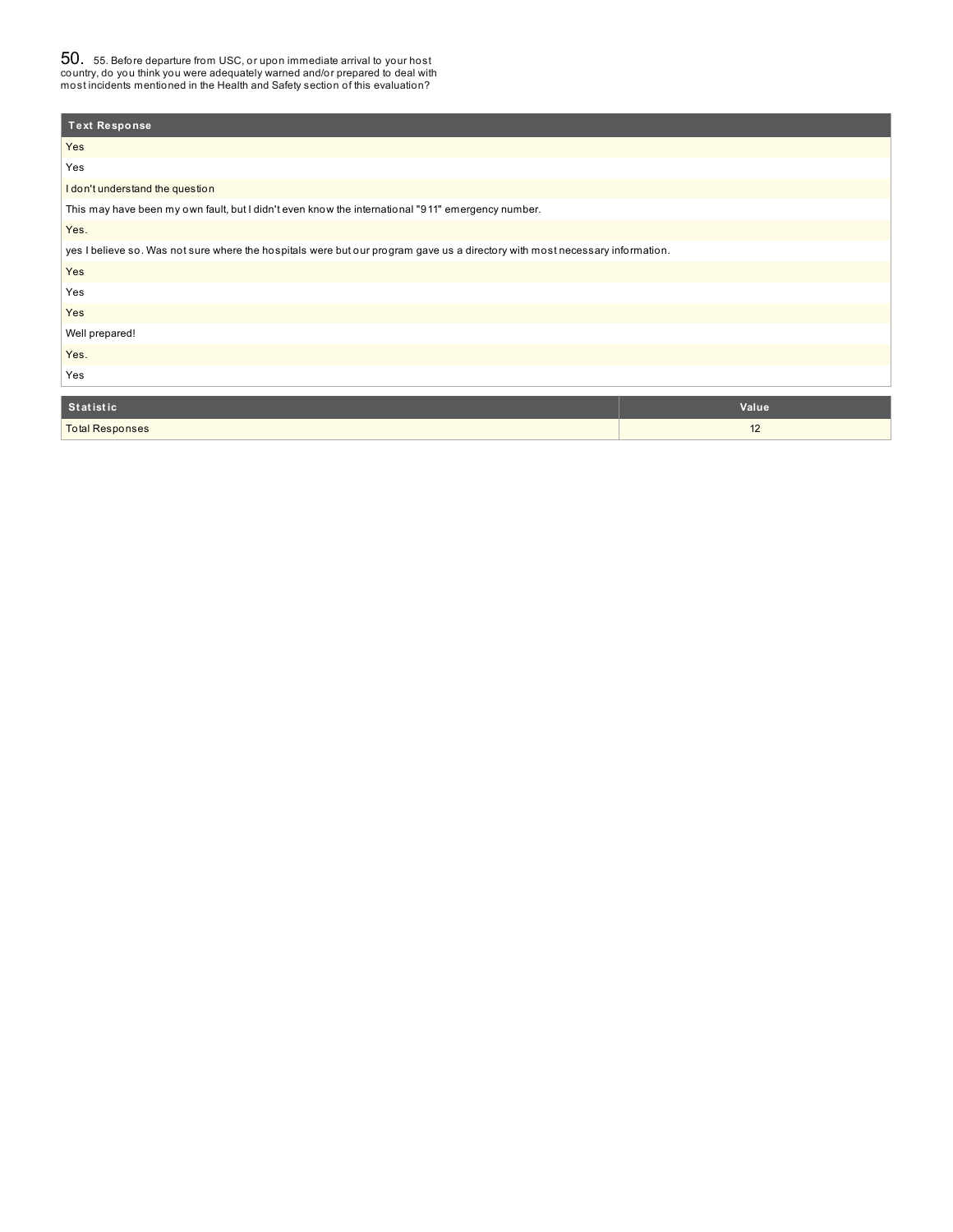$50_\cdot$  55. Before departure from USC, or upon immediate arrival to your host<br>country, do you think you were adequately warned and/or prepared to deal with<br>most incidents mentioned in the Health and Safety section of this e

| <b>Text Response</b>                                                                                                         |       |  |
|------------------------------------------------------------------------------------------------------------------------------|-------|--|
| Yes                                                                                                                          |       |  |
| Yes                                                                                                                          |       |  |
| I don't understand the question                                                                                              |       |  |
| This may have been my own fault, but I didn't even know the international "911" emergency number.                            |       |  |
| Yes.                                                                                                                         |       |  |
| yes I believe so. Was not sure where the hospitals were but our program gave us a directory with most necessary information. |       |  |
| Yes                                                                                                                          |       |  |
| Yes                                                                                                                          |       |  |
| Yes                                                                                                                          |       |  |
| Well prepared!                                                                                                               |       |  |
| Yes.                                                                                                                         |       |  |
| Yes                                                                                                                          |       |  |
|                                                                                                                              |       |  |
| <b>Statistic</b>                                                                                                             | Value |  |
| <b>Total Responses</b>                                                                                                       | 12    |  |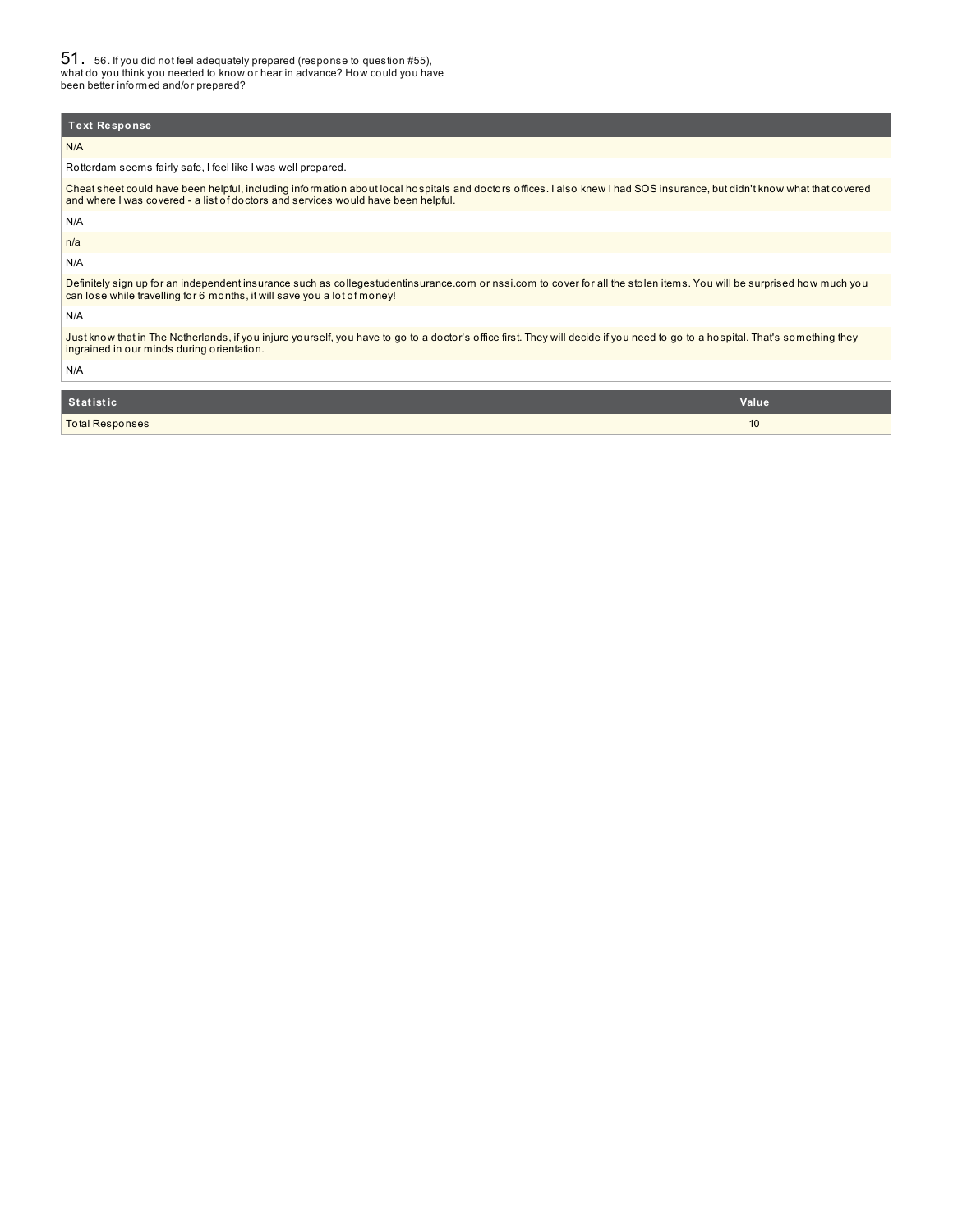51. 56. If you did not feel adequately prepared (response to question #55), what do you think you needed to know or hear in advance? How could you have been better informed and/or prepared?

## N/A Rotterdam seems fairly safe, I feel like I was well prepared. Cheat sheet could have been helpful, including information about local hospitals and doctors offices. I also knew I had SOS insurance, but didn't know what that covered and where I was covered - a list of doctors and services would have been helpful. N/A n/a N/A Definitely sign up for an independent insurance such as collegestudentinsurance.com or nssi.com to cover for all the stolen items. You will be surprised how much you can lose while travelling for 6 months, it will save you a lot of money! N/A Just know that in The Netherlands, if you injure yourself, you have to go to a doctor's office first. They will decide if you need to go to a hospital. That's something they ingrained in our minds during orientation. N/A **Text Response St at ist ic Value**

| platistic              | value |
|------------------------|-------|
| <b>Total Responses</b> | U     |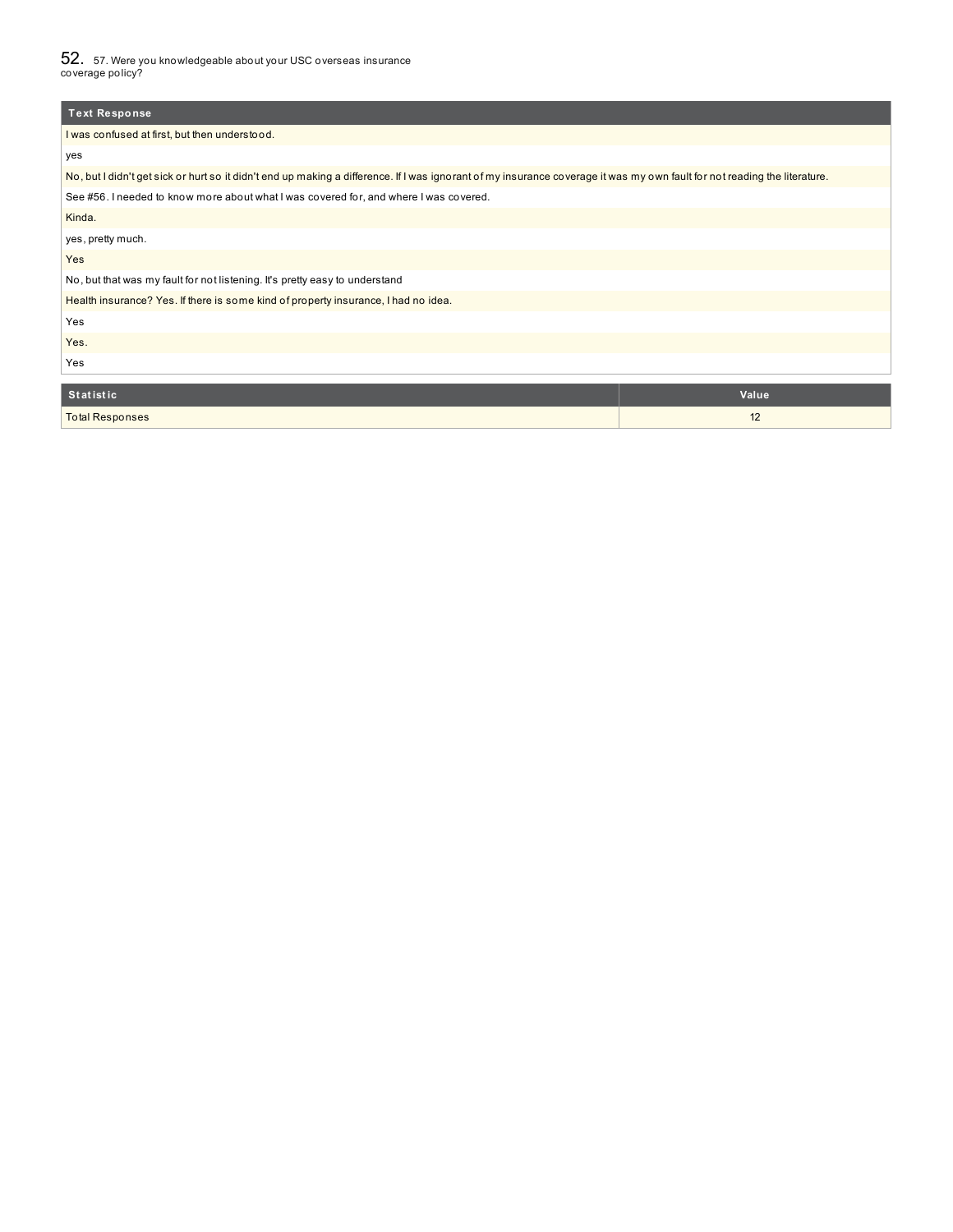$52_\cdot$  57. Were you knowledgeable about your USC overseas insurance<br>coverage policy?

| <b>Text Response</b>                                                                                                                                                      |       |  |  |
|---------------------------------------------------------------------------------------------------------------------------------------------------------------------------|-------|--|--|
| I was confused at first, but then understood.                                                                                                                             |       |  |  |
| yes                                                                                                                                                                       |       |  |  |
| No, but I didn't get sick or hurt so it didn't end up making a difference. If I was ignorant of my insurance coverage it was my own fault for not reading the literature. |       |  |  |
| See #56. I needed to know more about what I was covered for, and where I was covered.                                                                                     |       |  |  |
| Kinda.                                                                                                                                                                    |       |  |  |
| yes, pretty much.                                                                                                                                                         |       |  |  |
| Yes                                                                                                                                                                       |       |  |  |
| No, but that was my fault for not listening. It's pretty easy to understand                                                                                               |       |  |  |
| Health insurance? Yes. If there is some kind of property insurance, I had no idea.                                                                                        |       |  |  |
| Yes                                                                                                                                                                       |       |  |  |
| Yes.                                                                                                                                                                      |       |  |  |
| Yes                                                                                                                                                                       |       |  |  |
|                                                                                                                                                                           |       |  |  |
| <b>Statistic</b>                                                                                                                                                          | Value |  |  |
| <b>Total Responses</b>                                                                                                                                                    | 12    |  |  |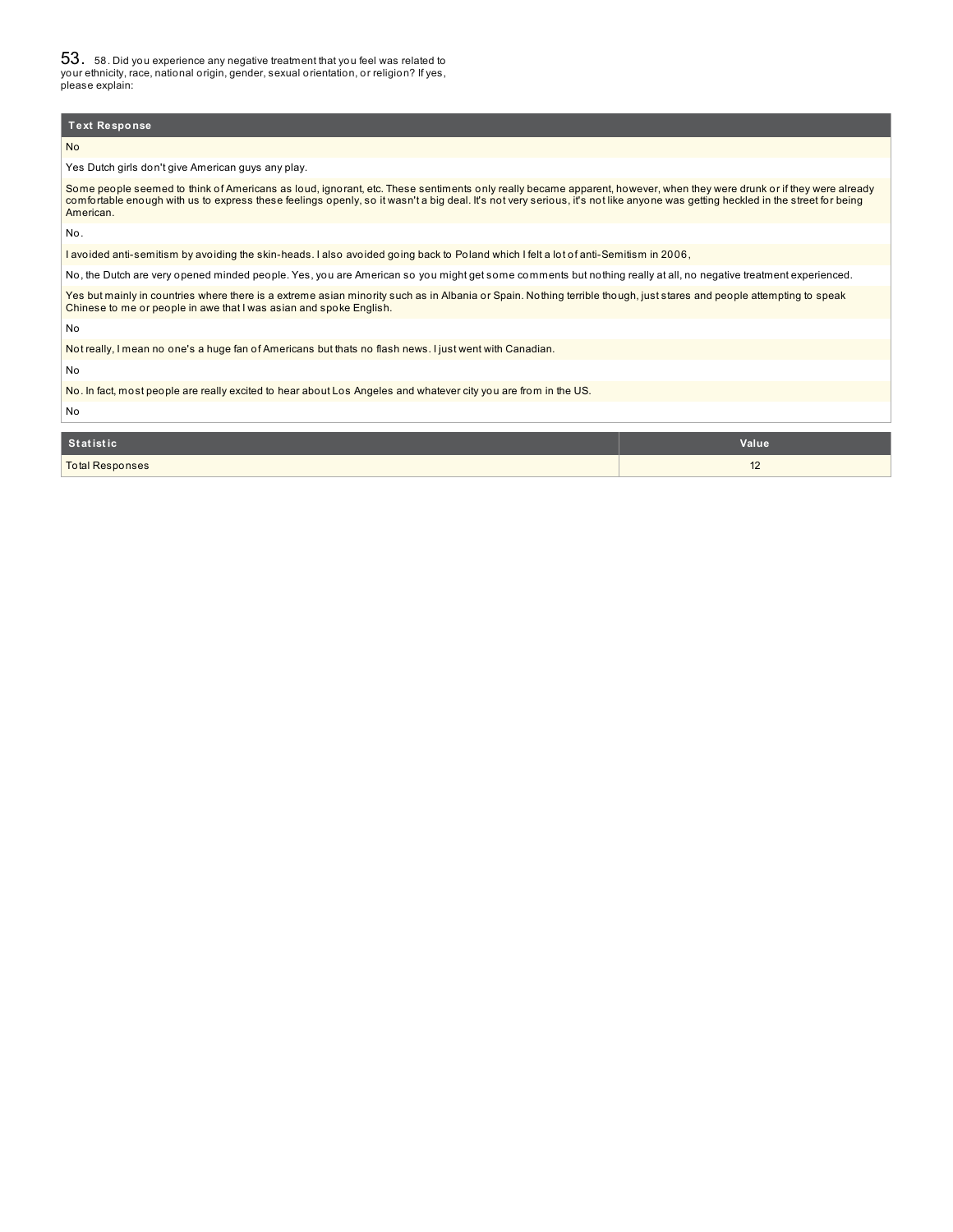53. 58. Did you experience any negative treatment that you feel was related to your ethnicity, race, national origin, gender, sexual orientation, or religion? If yes, please explain:

#### **Text Response**

#### No

Yes Dutch girls don't give American guys any play.

Some people seemed to think of Americans as loud, ignorant, etc. These sentiments only really became apparent, however, when they were drunk or if they were already comfortable enough with us to express these feelings openly, so it wasn't a big deal. It's not very serious, it's not like anyone was getting heckled in the street for being American.

No.

I avoided anti-semitism by avoiding the skin-heads. I also avoided going back to Poland which I felt a lot of anti-Semitism in 2006,

No, the Dutch are very opened minded people. Yes, you are American so you might get some comments but nothing really at all, no negative treatment experienced.

Yes but mainly in countries where there is a extreme asian minority such as in Albania or Spain. Nothing terrible though, just stares and people attempting to speak Chinese to me or people in awe that I was asian and spoke English.

No

Not really, I mean no one's a huge fan of Americans but thats no flash news. I just went with Canadian.

No

No. In fact, most people are really excited to hear about Los Angeles and whatever city you are from in the US.

No

| <b>Statistic</b>       | Value      |
|------------------------|------------|
| <b>Total Responses</b> | $\epsilon$ |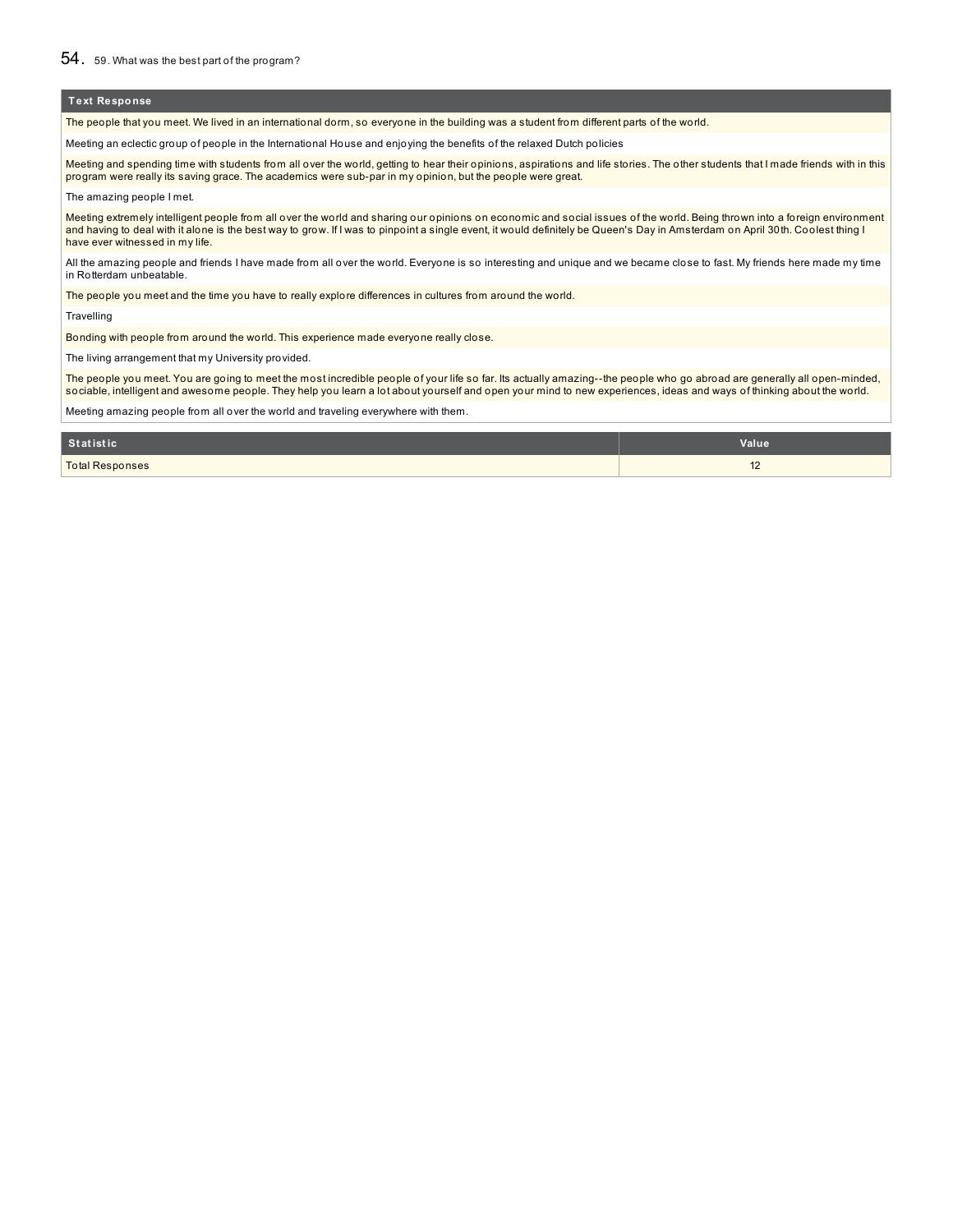The people that you meet. We lived in an international dorm, so everyone in the building was a student from different parts of the world.

Meeting an eclectic group of people in the International House and enjoying the benefits of the relaxed Dutch policies

Meeting and spending time with students from all over the world, getting to hear their opinions, aspirations and life stories. The other students that I made friends with in this program were really its saving grace. The academics were sub-par in my opinion, but the people were great.

The amazing people I met.

Meeting extremely intelligent people from all over the world and sharing our opinions on economic and social issues of the world. Being thrown into a foreign environment and having to deal with it alone is the best way to grow. If I was to pinpoint a single event, it would definitely be Queen's Day in Amsterdam on April 30th. Coolest thing I have ever witnessed in my life.

All the amazing people and friends I have made from all over the world. Everyone is so interesting and unique and we became close to fast. My friends here made my time in Rotterdam unbeatable.

The people you meet and the time you have to really explore differences in cultures from around the world.

**Travelling** 

Bonding with people from around the world. This experience made everyone really close.

The living arrangement that my University provided.

The people you meet. You are going to meet the most incredible people of your life so far. Its actually amazing--the people who go abroad are generally all open-minded, sociable, intelligent and awesome people. They help you learn a lot about yourself and open your mind to new experiences, ideas and ways of thinking about the world.

Meeting amazing people from all over the world and traveling everywhere with them.

| Statistic              | <b>Value</b>                     |
|------------------------|----------------------------------|
| <b>Total Responses</b> | $\overline{1}$<br>$\overline{2}$ |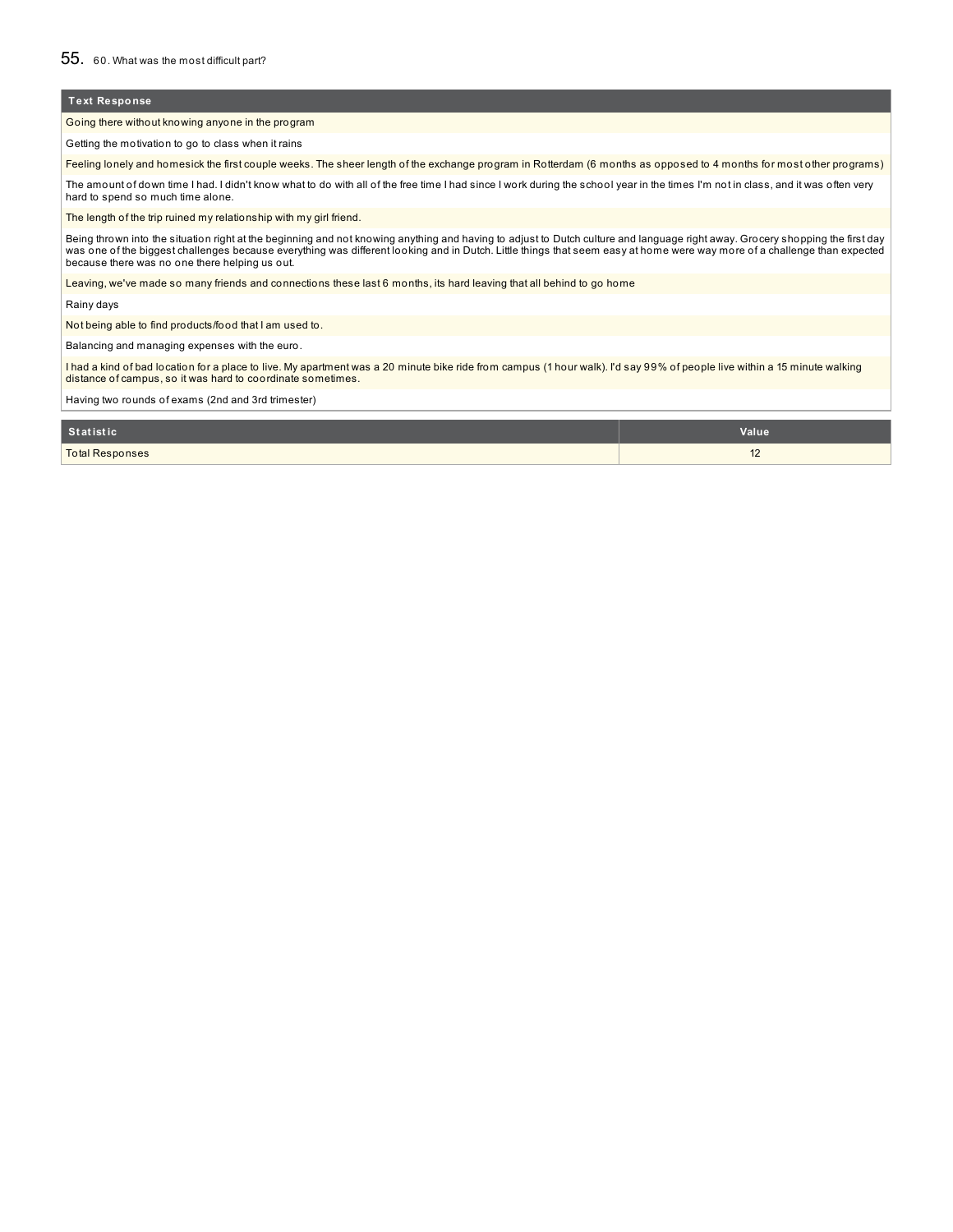Going there without knowing anyone in the program

Getting the motivation to go to class when it rains

Feeling lonely and homesick the first couple weeks. The sheer length of the exchange program in Rotterdam (6 months as opposed to 4 months for most other programs)

The amount of down time I had. I didn't know what to do with all of the free time I had since I work during the school year in the times I'm not in class, and it was often very hard to spend so much time alone.

The length of the trip ruined my relationship with my girl friend.

Being thrown into the situation right at the beginning and not knowing anything and having to adjust to Dutch culture and language right away. Grocery shopping the first day<br>was one of the biggest challenges because everyt because there was no one there helping us out.

Leaving, we've made so many friends and connections these last 6 months, its hard leaving that all behind to go home

Rainy days

Not being able to find products/food that I am used to.

Balancing and managing expenses with the euro.

l had a kind of bad location for a place to live. My apartment was a 20 minute bike ride from campus (1 hour walk). I'd say 99% of people live within a 15 minute walking<br>distance of campus, so it was hard to coordinate som

Having two rounds of exams (2nd and 3rd trimester)

| Statistic              | <b>Value</b>              |
|------------------------|---------------------------|
| <b>Total Responses</b> | $\overline{16}$<br>$\sim$ |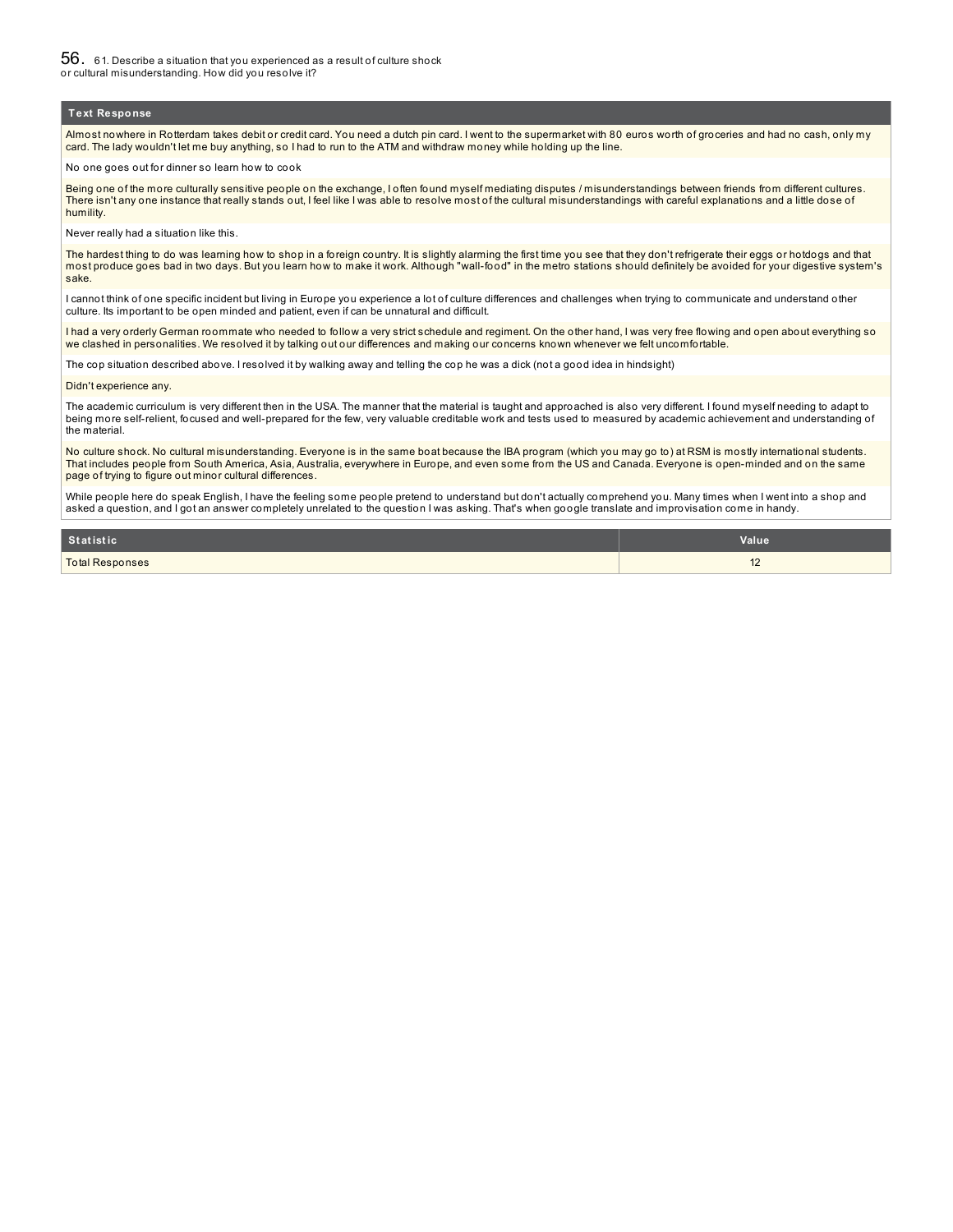56. 61. Describe <sup>a</sup> situation that you experienced as <sup>a</sup> result of culture shock or cultural misunderstanding. How did you resolve it?

#### **Text Response**

Almost nowhere in Rotterdam takes debit or credit card. You need a dutch pin card. I went to the supermarket with 80 euros worth of groceries and had no cash, only my card. The lady wouldn't let me buy anything, so I had to run to the ATM and withdraw money while holding up the line.

#### No one goes out for dinner so learn how to cook

Being one of the more culturally sensitive people on the exchange, I often found myself mediating disputes / misunderstandings between friends from different cultures. There isn't any one instance that really stands out, I feel like I was able to resolve most of the cultural misunderstandings with careful explanations and a little dose of humility.

Never really had a situation like this.

The hardest thing to do was learning how to shop in a foreign country. It is slightly alarming the first time you see that they don't refrigerate their eggs or hotdogs and that most produce goes bad in two days. But you learn how to make it work. Although "wall-food" in the metro stations should definitely be avoided for your digestive system's sake.

I cannot think of one specific incident but living in Europe you experience a lot of culture differences and challenges when trying to communicate and understand other culture. Its important to be open minded and patient, even if can be unnatural and difficult.

I had a very orderly German roommate who needed to follow a very strict schedule and regiment. On the other hand, I was very free flowing and open about everything so we clashed in personalities. We resolved it by talking out our differences and making our concerns known whenever we felt uncomfortable.

The cop situation described above. I resolved it by walking away and telling the cop he was a dick (not a good idea in hindsight)

Didn't experience any.

The academic curriculum is very different then in the USA. The manner that the material is taught and approached is also very different. I found myself needing to adapt to being more self-relient, focused and well-prepared for the few, very valuable creditable work and tests used to measured by academic achievement and understanding of the material.

No culture shock. No cultural misunderstanding. Everyone is in the same boat because the IBA program (which you may go to) at RSM is mostly international students. That includes people from South America, Asia, Australia, everywhere in Europe, and even some from the US and Canada. Everyone is open-minded and on the same page of trying to figure out minor cultural differences.

While people here do speak English, I have the feeling some people pretend to understand but don't actually comprehend you. Many times when I went into a shop and asked a question, and I got an answer completely unrelated to the question I was asking. That's when google translate and improvisation come in handy.

| <b>Statistic</b>       | <b>Value</b>   |
|------------------------|----------------|
| <b>Total Responses</b> | $\overline{ }$ |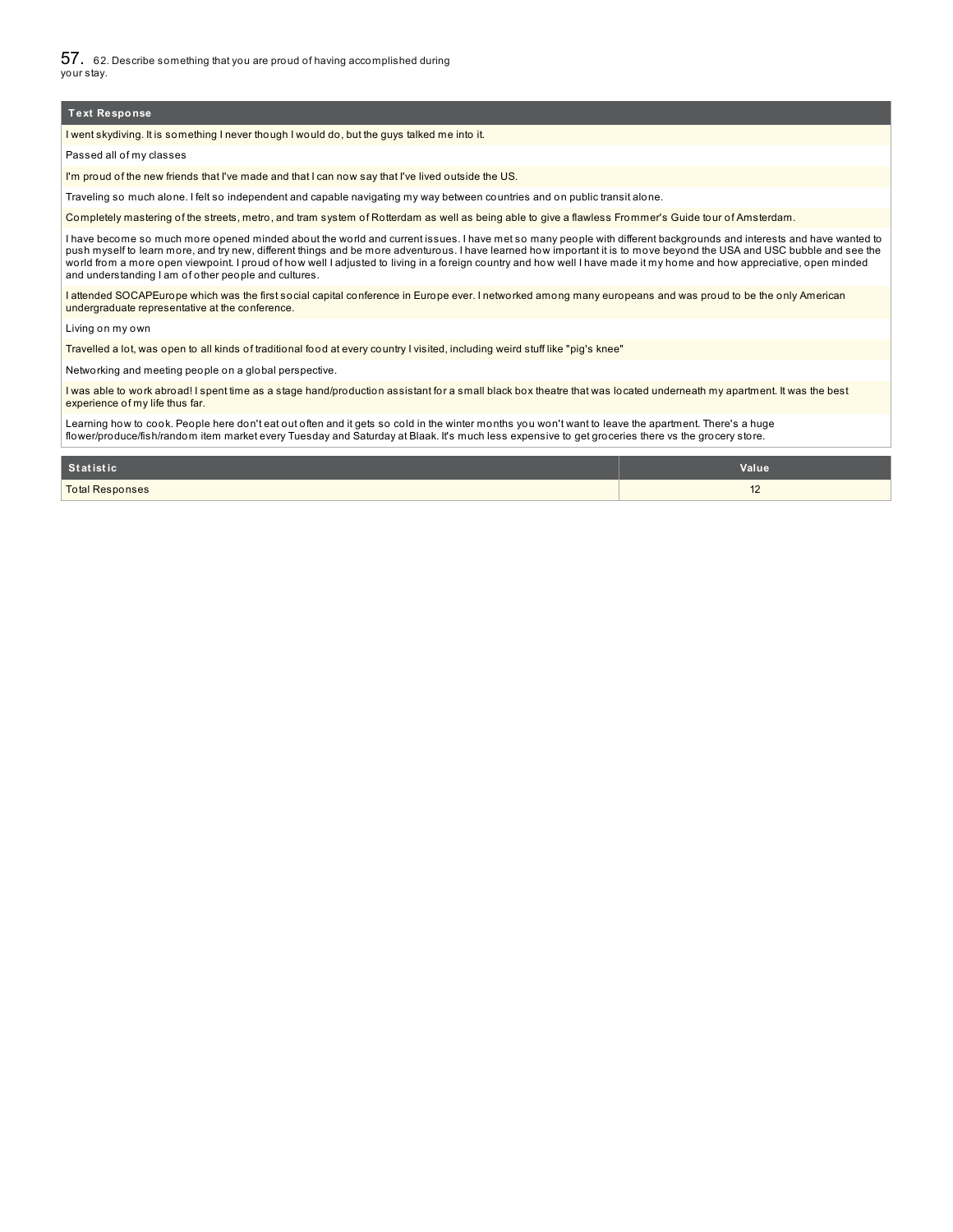57. 62. Describe something that you are proud of having accomplished during your stay.

#### **Text Response**

I went skydiving. It is something I never though I would do, but the guys talked me into it.

Passed all of my classes

I'm proud of the new friends that I've made and that I can now say that I've lived outside the US.

Traveling so much alone. I felt so independent and capable navigating my way between countries and on public transit alone.

Completely mastering of the streets, metro, and tram system of Rotterdam as well as being able to give a flawless Frommer's Guide tour of Amsterdam.

I have become so much more opened minded about the world and current issues. I have met so many people with different backgrounds and interests and have wanted to<br>push myself to learn more, and try new, different things an world from a more open viewpoint. I proud of how well I adjusted to living in a foreign country and how well I have made it my home and how appreciative, open minded and understanding I am of other people and cultures.

I attended SOCAPEurope which was the first social capital conference in Europe ever. I networked among many europeans and was proud to be the only American undergraduate representative at the conference.

Living on my own

Travelled a lot, was open to all kinds of traditional food at every country I visited, including weird stuff like "pig's knee"

Networking and meeting people on a global perspective.

I was able to work abroad! I spent time as a stage hand/production assistant for a small black box theatre that was located underneath my apartment. It was the best experience of my life thus far.

Learning how to cook. People here don't eat out often and it gets so cold in the winter months you won't want to leave the apartment. There's a huge flower/produce/fish/random item market every Tuesday and Saturday at Blaak. It's much less expensive to get groceries there vs the grocery store.

| Statistic              | Value       |
|------------------------|-------------|
| <b>Total Responses</b> | $\sim$<br>K |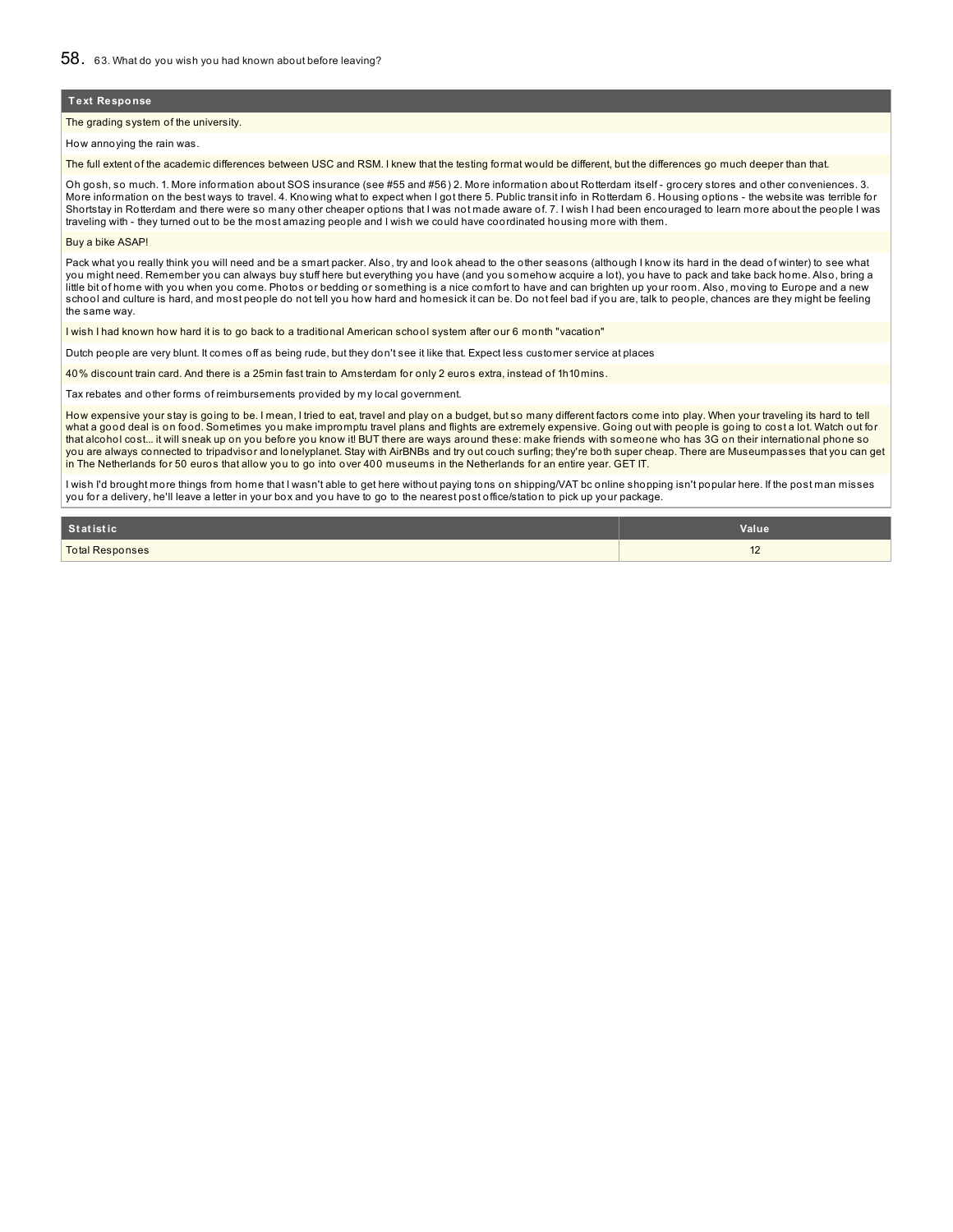#### The grading system of the university.

How annoying the rain was.

The full extent of the academic differences between USC and RSM. I knew that the testing format would be different, but the differences go much deeper than that.

Oh gosh, so much. 1. More information about SOS insurance (see #55 and #56) 2. More information about Rotterdam itself - grocery stores and other conveniences. 3. More information on the best ways to travel. 4. Knowing what to expect when I got there 5. Public transit info in Rotterdam 6. Housing options - the website was terrible for Shortstay in Rotterdam and there were so many other cheaper options that I was not made aware of. 7. I wish I had been encouraged to learn more about the people I was traveling with - they turned out to be the most amazing people and I wish we could have coordinated housing more with them.

#### Buy a bike ASAP!

Pack what you really think you will need and be a smart packer. Also, try and look ahead to the other seasons (although I know its hard in the dead of winter) to see what you might need. Remember you can always buy stuff here but everything you have (and you somehow acquire a lot), you have to pack and take back home. Also, bring a little bit of home with you when you come. Photos or bedding or something is a nice comfort to have and can brighten up your room. Also, moving to Europe and a new school and culture is hard, and most people do not tell you how hard and homesick it can be. Do not feel bad if you are, talk to people, chances are they might be feeling the same way.

I wish I had known how hard it is to go back to a traditional American school system after our 6 month "vacation"

Dutch people are very blunt. It comes off as being rude, but they don't see it like that. Expect less customer service at places

40% discount train card. And there is a 25min fast train to Amsterdam for only 2 euros extra, instead of 1h10mins.

Tax rebates and other forms of reimbursements provided by my local government.

How expensive your stay is going to be. I mean, I tried to eat, travel and play on a budget, but so many different factors come into play. When your traveling its hard to tell what a good deal is on food. Sometimes you make impromptu travel plans and flights are extremely expensive. Going out with people is going to cost a lot. Watch out for that alcohol cost... it will sneak up on you before you know it! BUT there are ways around these: make friends with someone who has 3G on their international phone so you are always connected to tripadvisor and lonelyplanet. Stay with AirBNBs and try out couch surfing; they're both super cheap. There are Museumpasses that you can get in The Netherlands for 50 euros that allow you to go into over 400 museums in the Netherlands for an entire year. GET IT.

I wish I'd brought more things from home that I wasn't able to get here without paying tons on shipping/VAT bc online shopping isn't popular here. If the post man misses you for a delivery, he'll leave a letter in your box and you have to go to the nearest post office/station to pick up your package.

| Statistic              | Value          |
|------------------------|----------------|
| <b>Total Responses</b> | $\overline{ }$ |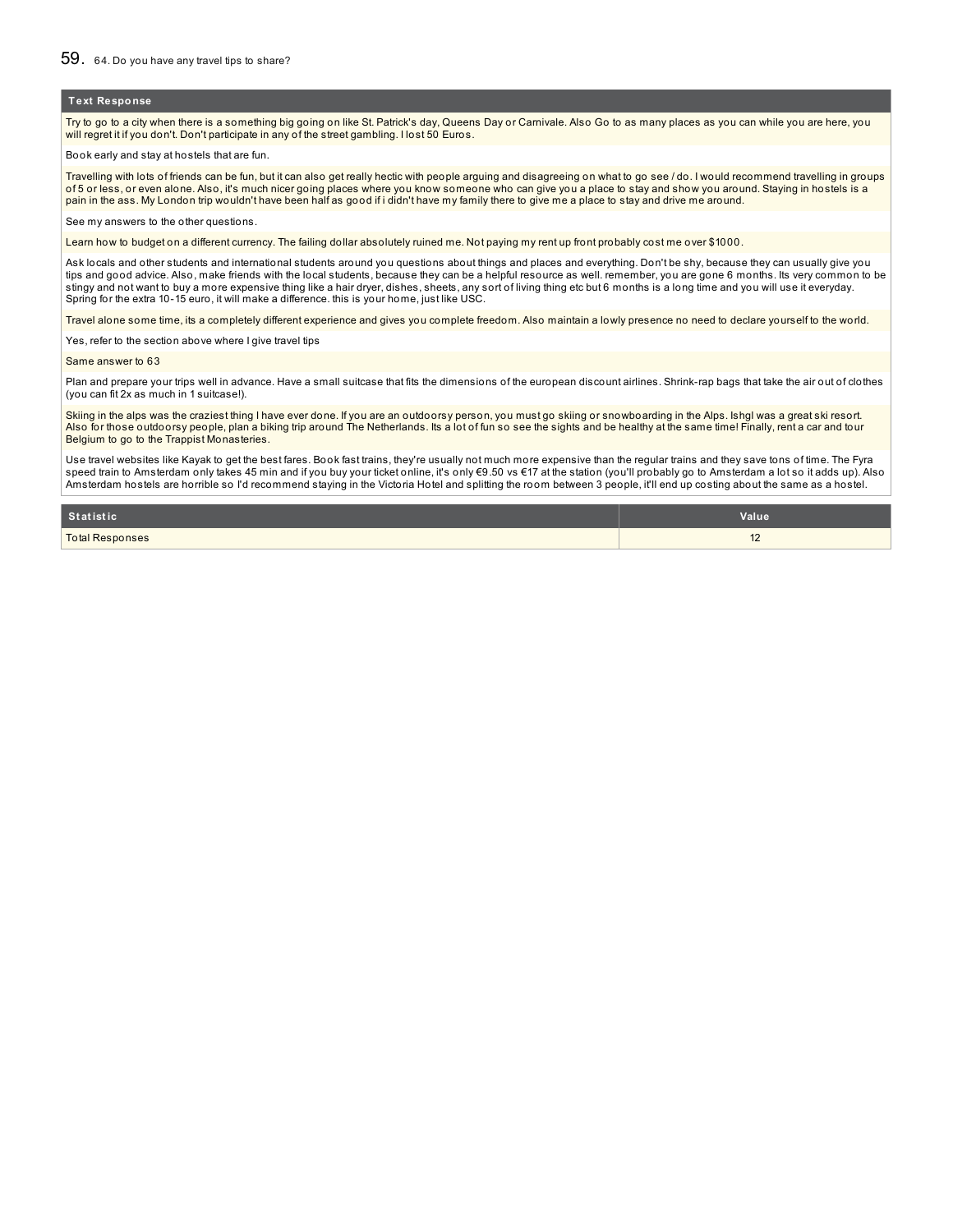Try to go to a city when there is a something big going on like St. Patrick's day, Queens Day or Carnivale. Also Go to as many places as you can while you are here, you will regret it if you don't. Don't participate in any of the street gambling. I lost 50 Euros.

Book early and stay at hostels that are fun.

Travelling with lots of friends can be fun, but it can also get really hectic with people arguing and disagreeing on what to go see / do. I would recommend travelling in groups of 5 or less, or even alone. Also, it's much nicer going places where you know someone who can give you a place to stay and show you around. Staying in hostels is a pain in the ass. My London trip wouldn't have been half as good if i didn't have my family there to give me a place to stay and drive me around.

See my answers to the other questions.

Learn how to budget on a different currency. The failing dollar absolutely ruined me. Not paying my rent up front probably cost me over \$1000.

Ask locals and other students and international students around you questions about things and places and everything. Don't be shy, because they can usually give you tips and good advice. Also, make friends with the local students, because they can be a helpful resource as well. remember, you are gone 6 months. Its very common to be stingy and not want to buy a more expensive thing like a hair dryer, dishes, sheets, any sort of living thing etc but 6 months is a long time and you will use it everyday. Spring for the extra 10-15 euro, it will make a difference. this is your home, just like USC.

Travel alone some time, its a completely different experience and gives you complete freedom. Also maintain a lowly presence no need to declare yourself to the world.

Yes, refer to the section above where I give travel tips

Same answer to 63

Plan and prepare your trips well in advance. Have a small suitcase that fits the dimensions of the european discount airlines. Shrink-rap bags that take the air out of clothes (you can fit 2x as much in 1 suitcase!).

Skiing in the alps was the craziest thing I have ever done. If you are an outdoorsy person, you must go skiing or snowboarding in the Alps. Ishgl was a great ski resort. Also for those outdoorsy people, plan a biking trip around The Netherlands. Its a lot of fun so see the sights and be healthy at the same time! Finally, rent a car and tour Belgium to go to the Trappist Monasteries.

Use travel websites like Kayak to get the best fares. Book fast trains, they're usually not much more expensive than the regular trains and they save tons of time. The Fyra speed train to Amsterdam only takes 45 min and if you buy your ticket online, it's only €9.50 vs €17 at the station (you'll probably go to Amsterdam a lot so it adds up). Also Amsterdam hostels are horrible so I'd recommend staying in the Victoria Hotel and splitting the room between 3 people, it'll end up costing about the same as a hostel.

| Statistic              | <b>Value</b> |
|------------------------|--------------|
| <b>Total Responses</b> | $\sim$       |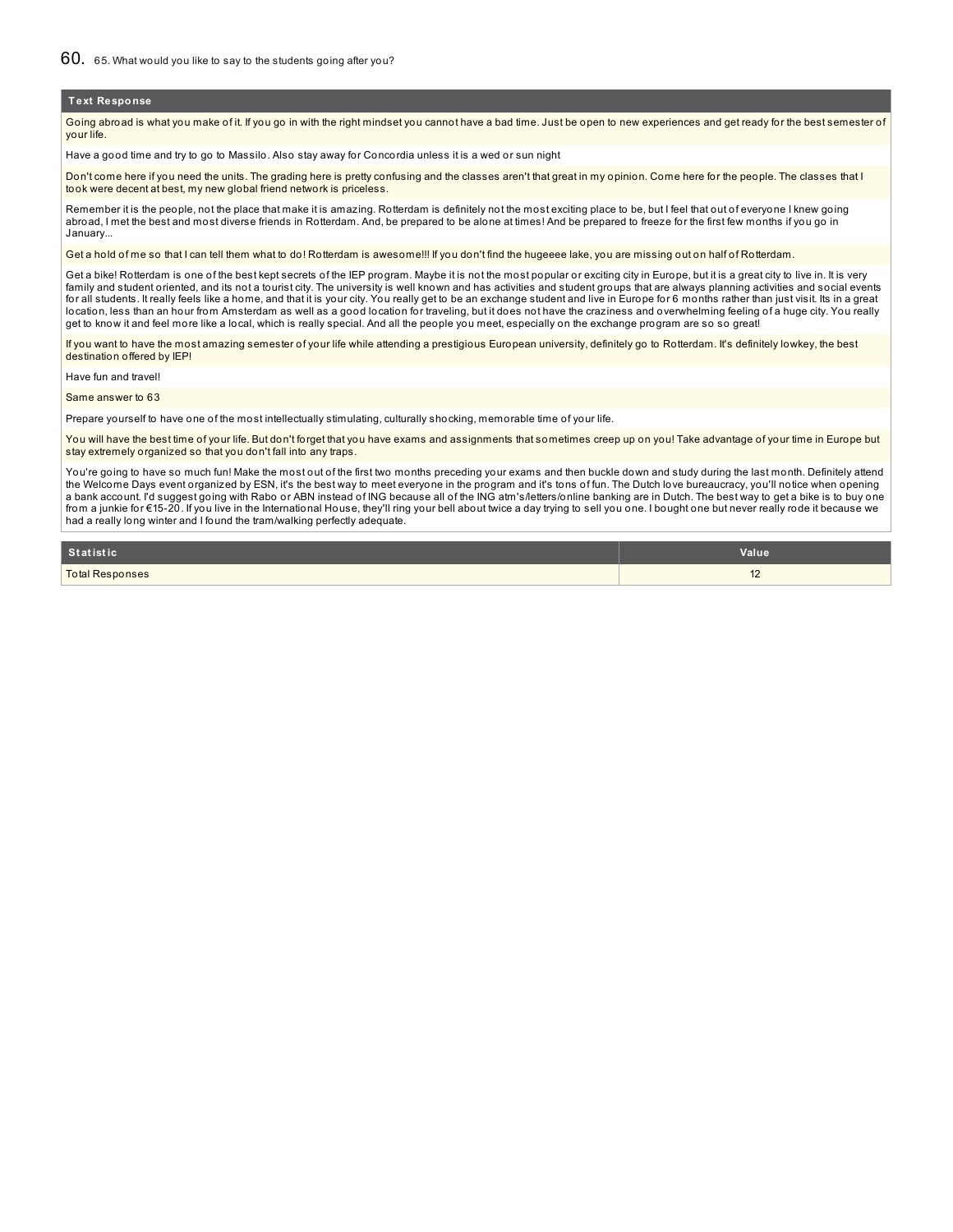Going abroad is what you make of it. If you go in with the right mindset you cannot have a bad time. Just be open to new experiences and get ready for the best semester of your life.

Have a good time and try to go to Massilo. Also stay away for Concordia unless it is a wed or sun night

Don't come here if you need the units. The grading here is pretty confusing and the classes aren't that great in my opinion. Come here for the people. The classes that I took were decent at best, my new global friend network is priceless.

Remember it is the people, not the place that make it is amazing. Rotterdam is definitely not the most exciting place to be, but I feel that out of everyone I knew going abroad, I met the best and most diverse friends in Rotterdam. And, be prepared to be alone at times! And be prepared to freeze for the first few months if you go in January...

Get a hold of me so that I can tell them what to do! Rotterdam is awesome!!! If you don't find the hugeeee lake, you are missing out on half of Rotterdam.

Get a bike! Rotterdam is one of the best kept secrets of the IEP program. Maybe it is not the most popular or exciting city in Europe, but it is a great city to live in. It is very family and student oriented, and its not a tourist city. The university is well known and has activities and student groups that are always planning activities and social events for all students. It really feels like a home, and that it is your city. You really get to be an exchange student and live in Europe for 6 months rather than just visit. Its in a great location, less than an hour from Amsterdam as well as a good location for traveling, but it does not have the craziness and overwhelming feeling of a huge city. You really get to know it and feel more like a local, which is really special. And all the people you meet, especially on the exchange program are so so great!

If you want to have the most amazing semester of your life while attending a prestigious European university, definitely go to Rotterdam. It's definitely lowkey, the best destination offered by IEP!

Have fun and travel!

#### Same answer to 63

Prepare yourself to have one of the most intellectually stimulating, culturally shocking, memorable time of your life.

You will have the best time of your life. But don't forget that you have exams and assignments that sometimes creep up on you! Take advantage of your time in Europe but stay extremely organized so that you don't fall into any traps.

You're going to have so much fun! Make the most out of the first two months preceding your exams and then buckle down and study during the last month. Definitely attend the Welcome Days event organized by ESN, it's the best way to meet everyone in the program and it's tons of fun. The Dutch love bureaucracy, you'll notice when opening a bank account. I'd suggest going with Rabo or ABN instead of ING because all of the ING atm's/letters/online banking are in Dutch. The best way to get a bike is to buy one from a junkie for €15-20. If you live in the International House, they'll ring your bell about twice a day trying to sell you one. I bought one but never really rode it because we had a really long winter and I found the tram/walking perfectly adequate.

| Statistic              | Value                |
|------------------------|----------------------|
| <b>Total Responses</b> | $\overline{A}$<br>14 |